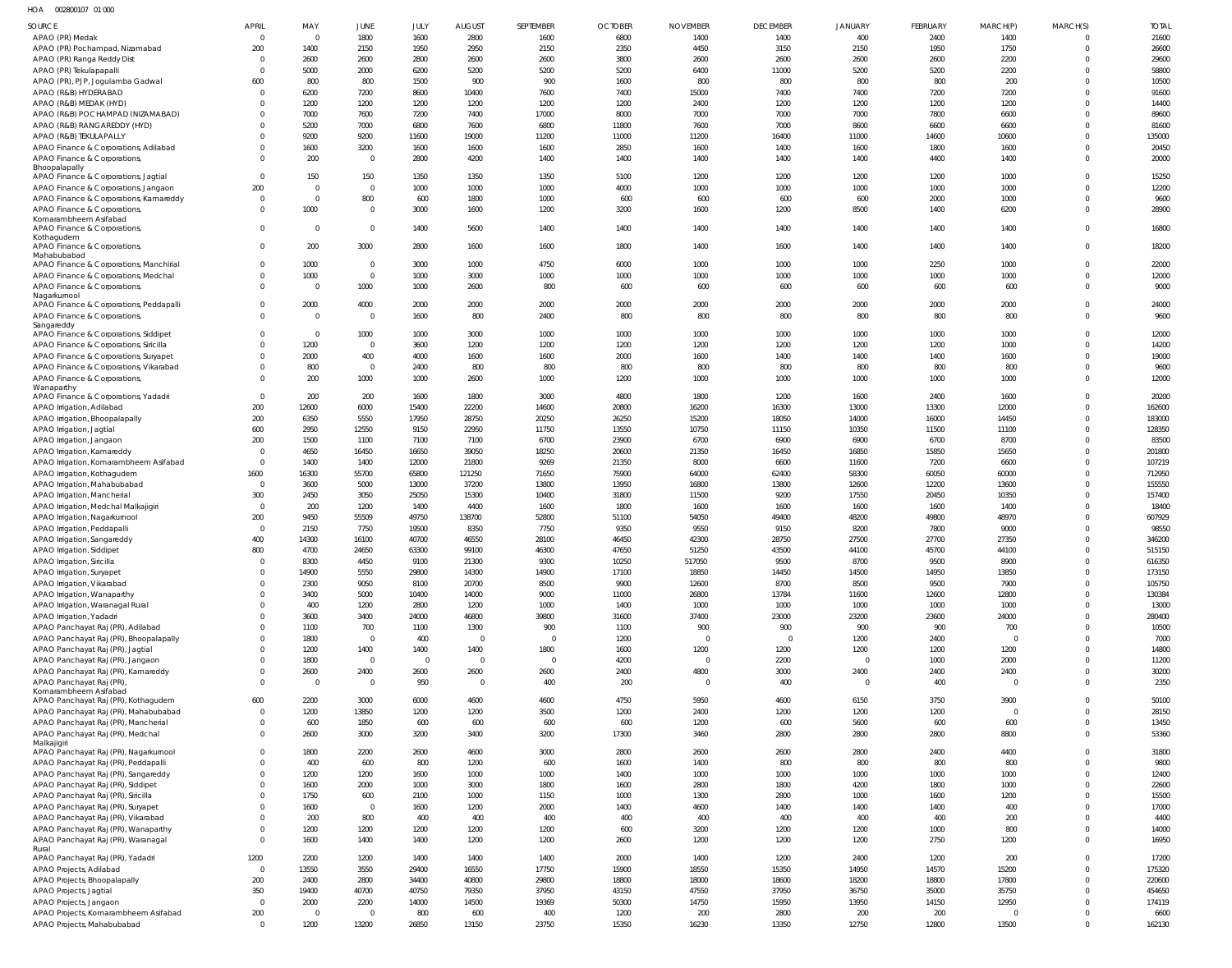HOA 002800107 01 000

| <b>SOURCE</b>                                                                   | <b>APRIL</b>         | MAY                  | JUNE                   | JULY           | <b>AUGUST</b>          | SEPTEMBER      | <b>OCTOBER</b> | <b>NOVEMBER</b>        | <b>DECEMBER</b>        | <b>JANUARY</b> | <b>FEBRUARY</b> | MARCH(P)               | MARCH(S)             | <b>TOTAL</b>     |
|---------------------------------------------------------------------------------|----------------------|----------------------|------------------------|----------------|------------------------|----------------|----------------|------------------------|------------------------|----------------|-----------------|------------------------|----------------------|------------------|
| APAO (PR) Medak                                                                 | $\Omega$             | $\overline{0}$       | 1800                   | 1600           | 2800                   | 1600           | 6800           | 1400                   | 1400                   | 400            | 2400            | 1400                   |                      | 21600            |
| APAO (PR) Pochampad, Nizamabad                                                  | 200                  | 1400                 | 2150                   | 1950           | 2950                   | 2150           | 2350           | 4450                   | 3150                   | 2150           | 1950            | 1750                   | $\Omega$             | 26600            |
| APAO (PR) Ranga Reddy Dist                                                      | - 0                  | 2600                 | 2600                   | 2800           | 2600                   | 2600           | 3800           | 2600                   | 2600                   | 2600           | 2600            | 2200                   |                      | 29600            |
| APAO (PR) Tekulapapalli                                                         | - 0                  | 5000                 | 2000                   | 6200           | 5200                   | 5200           | 5200           | 6400                   | 11000                  | 5200           | 5200            | 2200                   | 0                    | 58800            |
| APAO (PR), PJP, Jogulamba Gadwal                                                | 600                  | 800                  | 800                    | 1500           | 900                    | 900            | 1600           | 800                    | 800                    | 800            | 800             | 200                    |                      | 10500            |
| APAO (R&B) HYDERABAD                                                            | - 0                  | 6200                 | 7200                   | 8600           | 10400                  | 7600           | 7400           | 15000                  | 7400                   | 7400           | 7200            | 7200                   | $\Omega$             | 91600            |
| APAO (R&B) MEDAK (HYD)                                                          | - 0                  | 1200                 | 1200                   | 1200           | 1200                   | 1200           | 1200           | 2400                   | 1200                   | 1200           | 1200            | 1200                   | $\Omega$             | 14400            |
| APAO (R&B) POCHAMPAD (NIZAMABAD)<br>APAO (R&B) RANGAREDDY (HYD)                 |                      | 7000<br>5200         | 7600<br>7000           | 7200<br>6800   | 7400<br>7600           | 17000<br>6800  | 8000<br>11800  | 7000<br>7600           | 7000<br>7000           | 7000<br>8600   | 7800<br>6600    | 6600<br>6600           |                      | 89600<br>81600   |
| APAO (R&B) TEKULAPALLY                                                          |                      | 9200                 | 9200                   | 11600          | 19000                  | 11200          | 11000          | 11200                  | 16400                  | 11000          | 14600           | 10600                  | $\Omega$             | 135000           |
| APAO Finance & Corporations, Adilabad                                           |                      | 1600                 | 3200                   | 1600           | 1600                   | 1600           | 2850           | 1600                   | 1400                   | 1600           | 1800            | 1600                   | $\Omega$             | 20450            |
| APAO Finance & Corporations,                                                    |                      | 200                  | $\overline{0}$         | 2800           | 4200                   | 1400           | 1400           | 1400                   | 1400                   | 1400           | 4400            | 1400                   | $\Omega$             | 20000            |
| Bhoopalapally                                                                   |                      |                      |                        |                |                        |                |                |                        |                        |                |                 |                        |                      |                  |
| APAO Finance & Corporations, Jagtial                                            | - 0                  | 150                  | 150                    | 1350           | 1350                   | 1350           | 5100           | 1200                   | 1200                   | 1200           | 1200            | 1000                   |                      | 15250            |
| APAO Finance & Corporations, Jangaon                                            | 200<br>- 0           | $\Omega$<br>$\Omega$ | $\overline{0}$<br>800  | 1000<br>600    | 1000<br>1800           | 1000<br>1000   | 4000<br>600    | 1000<br>600            | 1000<br>600            | 1000<br>600    | 1000<br>2000    | 1000<br>1000           | $\Omega$<br>$\Omega$ | 12200<br>9600    |
| APAO Finance & Corporations, Kamareddy<br>APAO Finance & Corporations           |                      | 1000                 | $\overline{0}$         | 3000           | 1600                   | 1200           | 3200           | 1600                   | 1200                   | 8500           | 1400            | 6200                   | $\Omega$             | 28900            |
| Komarambheem Asifabad                                                           |                      |                      |                        |                |                        |                |                |                        |                        |                |                 |                        |                      |                  |
| APAO Finance & Corporations,                                                    | $\Omega$             | $\Omega$             | $\overline{0}$         | 1400           | 5600                   | 1400           | 1400           | 1400                   | 1400                   | 1400           | 1400            | 1400                   | $\Omega$             | 16800            |
| Kothagudem<br>APAO Finance & Corporations,                                      | $\Omega$             | 200                  | 3000                   | 2800           | 1600                   | 1600           | 1800           | 1400                   | 1600                   | 1400           | 1400            | 1400                   | $\Omega$             | 18200            |
| Mahabubabad                                                                     |                      |                      |                        |                |                        |                |                |                        |                        |                |                 |                        |                      |                  |
| APAO Finance & Corporations, Manchirial                                         |                      | 1000                 | $\overline{0}$         | 3000           | 1000                   | 4750           | 6000           | 1000                   | 1000                   | 1000           | 2250            | 1000                   | 0                    | 22000            |
| APAO Finance & Corporations, Medchal                                            | $\Omega$             | 1000                 | $\overline{0}$         | 1000           | 3000                   | 1000           | 1000           | 1000                   | 1000                   | 1000           | 1000            | 1000                   | $\Omega$             | 12000            |
| APAO Finance & Corporations,                                                    | $\Omega$             | $\Omega$             | 1000                   | 1000           | 2600                   | 800            | 600            | 600                    | 600                    | 600            | 600             | 600                    | $\Omega$             | 9000             |
| Nagarkurnool<br>APAO Finance & Corporations, Peddapalli                         | $\Omega$             | 2000                 | 4000                   | 2000           | 2000                   | 2000           | 2000           | 2000                   | 2000                   | 2000           | 2000            | 2000                   | $\Omega$             | 24000            |
| APAO Finance & Corporations,                                                    | $\Omega$             | $\Omega$             | $\overline{0}$         | 1600           | 800                    | 2400           | 800            | 800                    | 800                    | 800            | 800             | 800                    | $\Omega$             | 9600             |
| Sangareddy                                                                      |                      |                      |                        |                |                        |                |                |                        |                        |                |                 |                        |                      |                  |
| APAO Finance & Corporations, Siddipet                                           | $\Omega$             | $\Omega$             | 1000                   | 1000           | 3000                   | 1000           | 1000           | 1000                   | 1000                   | 1000           | 1000            | 1000                   | $\Omega$             | 12000            |
| APAO Finance & Corporations, Siricilla                                          |                      | 1200<br>2000         | $\overline{0}$<br>400  | 3600<br>4000   | 1200<br>1600           | 1200<br>1600   | 1200<br>2000   | 1200<br>1600           | 1200<br>1400           | 1200<br>1400   | 1200<br>1400    | 1000<br>1600           | $\Omega$<br>$\Omega$ | 14200<br>19000   |
| APAO Finance & Corporations, Suryapet<br>APAO Finance & Corporations, Vikarabad |                      | 800                  | $\overline{0}$         | 2400           | 800                    | 800            | 800            | 800                    | 800                    | 800            | 800             | 800                    | $\Omega$             | 9600             |
| APAO Finance & Corporations,                                                    |                      | 200                  | 1000                   | 1000           | 2600                   | 1000           | 1200           | 1000                   | 1000                   | 1000           | 1000            | 1000                   | $\Omega$             | 12000            |
| Wanaparthy                                                                      |                      |                      |                        |                |                        |                |                |                        |                        |                |                 |                        |                      |                  |
| APAO Finance & Corporations, Yadadri                                            | $\Omega$             | 200                  | 200                    | 1600           | 1800                   | 3000           | 4800           | 1800                   | 1200                   | 1600           | 2400            | 1600                   |                      | 20200            |
| APAO Irrigation, Adilabad                                                       | 200                  | 12600                | 6000                   | 15400          | 22200                  | 14600          | 20800          | 16200                  | 16300                  | 13000          | 13300           | 12000                  | $\Omega$             | 162600           |
| APAO Irrigation, Bhoopalapally                                                  | 200                  | 6350                 | 5550                   | 17950          | 28750                  | 20250          | 26250          | 15200                  | 18050                  | 14000          | 16000           | 14450                  | $\Omega$<br>$\Omega$ | 183000           |
| APAO Irrigation, Jagtial<br>APAO Irrigation, Jangaon                            | 600<br>200           | 2950<br>1500         | 12550<br>1100          | 9150<br>7100   | 22950<br>7100          | 11750<br>6700  | 13550<br>23900 | 10750<br>6700          | 11150<br>6900          | 10350<br>6900  | 11500<br>6700   | 11100<br>8700          |                      | 128350<br>83500  |
| APAO Irrigation, Kamareddy                                                      | - 0                  | 4650                 | 16450                  | 16650          | 39050                  | 18250          | 20600          | 21350                  | 16450                  | 16850          | 15850           | 15650                  |                      | 201800           |
| APAO Irrigation, Komarambheem Asifabad                                          | $\Omega$             | 1400                 | 1400                   | 12000          | 21800                  | 9269           | 21350          | 8000                   | 6600                   | 11600          | 7200            | 6600                   |                      | 107219           |
| APAO Irrigation, Kothagudem                                                     | 1600                 | 16300                | 55700                  | 65800          | 121250                 | 71650          | 75900          | 64000                  | 62400                  | 58300          | 60050           | 60000                  |                      | 712950           |
| APAO Irrigation, Mahabubabad                                                    | $\Omega$             | 3600                 | 5000                   | 13000          | 37200                  | 13800          | 13950          | 16800                  | 13800                  | 12600          | 12200           | 13600                  | $\Omega$             | 155550           |
| APAO Irrigation, Mancherial                                                     | 300                  | 2450                 | 3050                   | 25050          | 15300                  | 10400          | 31800          | 11500                  | 9200                   | 17550          | 20450           | 10350                  |                      | 157400           |
| APAO Irrigation, Medchal Malkajigiri                                            | $\Omega$             | 200                  | 1200                   | 1400           | 4400                   | 1600           | 1800           | 1600                   | 1600                   | 1600           | 1600            | 1400                   |                      | 18400            |
| APAO Irrigation, Nagarkurnool                                                   | 200                  | 9450                 | 55509                  | 49750          | 138700                 | 52800          | 51100          | 54050                  | 49400                  | 48200          | 49800           | 48970                  |                      | 607929           |
| APAO Irrigation, Peddapalli                                                     | - 0                  | 2150                 | 7750                   | 19500          | 8350                   | 7750           | 9350           | 9550                   | 9150                   | 8200           | 7800            | 9000                   |                      | 98550            |
| APAO Irrigation, Sangareddy<br>APAO Irrigation, Siddipet                        | 400<br>800           | 14300<br>4700        | 16100<br>24650         | 40700<br>63300 | 46550<br>99100         | 28100<br>46300 | 46450<br>47650 | 42300<br>51250         | 28750<br>43500         | 27500<br>44100 | 27700<br>45700  | 27350<br>44100         | $\Omega$             | 346200<br>515150 |
| APAO Irrigation, Siricilla                                                      | $\Omega$             | 8300                 | 4450                   | 9100           | 21300                  | 9300           | 10250          | 517050                 | 9500                   | 8700           | 9500            | 8900                   | $\Omega$             | 616350           |
| APAO Irrigation, Suryapet                                                       |                      | 14900                | 5550                   | 29800          | 14300                  | 14900          | 17100          | 18850                  | 14450                  | 14500          | 14950           | 13850                  | $\Omega$             | 173150           |
| APAO Irrigation, Vikarabad                                                      |                      | 2300                 | 9050                   | 8100           | 20700                  | 8500           | 9900           | 12600                  | 8700                   | 8500           | 9500            | 7900                   | $\Omega$             | 105750           |
| APAO Irrigation, Wanaparthy                                                     |                      | 3400                 | 5000                   | 10400          | 14000                  | 9000           | 11000          | 26800                  | 13784                  | 11600          | 12600           | 12800                  | $\Omega$             | 130384           |
| APAO Irrigation, Waranagal Rural                                                |                      | 400                  | 1200                   | 2800           | 1200                   | 1000           | 1400           | 1000                   | 1000                   | 1000           | 1000            | 1000                   | $\Omega$             | 13000            |
| APAO Irrigation, Yadadri                                                        |                      | 3600                 | 3400                   | 24000          | 46800                  | 39800          | 31600          | 37400                  | 23000                  | 23200          | 23600           | 24000                  | $\Omega$             | 280400           |
| APAO Panchayat Raj (PR), Adilabad                                               |                      | 1100                 | 700                    | 1100           | 1300                   | 900            | 1100           | 900                    | 900                    | 900            | 900             | 700                    | $\Omega$             | 10500            |
| APAO Panchayat Raj (PR), Bhoopalapally<br>APAO Panchayat Raj (PR), Jagtial      |                      | 1800<br>1200         | $\overline{0}$<br>1400 | 400<br>1400    | $\overline{0}$<br>1400 | 0<br>1800      | 1200<br>1600   | $\overline{0}$<br>1200 | $\overline{0}$<br>1200 | 1200<br>1200   | 2400<br>1200    | $\overline{0}$<br>1200 | $\Omega$<br>$\Omega$ | 7000<br>14800    |
| APAO Panchayat Raj (PR), Jangaon                                                |                      | 1800                 | $\overline{0}$         | $\mathbf{0}$   | $\overline{0}$         | $\overline{0}$ | 4200           | $\overline{0}$         | 2200                   | $\overline{0}$ | 1000            | 2000                   | $\Omega$             | 11200            |
| APAO Panchayat Raj (PR), Kamareddy                                              | $\Omega$             | 2600                 | 2400                   | 2600           | 2600                   | 2600           | 2400           | 4800                   | 3000                   | 2400           | 2400            | 2400                   | $\Omega$             | 30200            |
| APAO Panchayat Raj (PR),                                                        | $\Omega$             | $\overline{0}$       | $\overline{0}$         | 950            | $\overline{0}$         | 400            | 200            | $\overline{0}$         | 400                    | $\overline{0}$ | 400             | $\circ$                | $\Omega$             | 2350             |
| Komarambheem Asifabad                                                           |                      |                      |                        |                |                        |                |                |                        |                        |                |                 |                        |                      |                  |
| APAO Panchayat Raj (PR), Kothagudem                                             | 600                  | 2200                 | 3000                   | 6000           | 4600                   | 4600           | 4750           | 5950                   | 4600                   | 6150           | 3750            | 3900                   | $\Omega$             | 50100            |
| APAO Panchayat Raj (PR), Mahabubabad<br>APAO Panchayat Raj (PR), Mancherial     | $\Omega$<br>$\Omega$ | 1200<br>600          | 13850<br>1850          | 1200<br>600    | 1200<br>600            | 3500<br>600    | 1200<br>600    | 2400<br>1200           | 1200<br>600            | 1200<br>5600   | 1200<br>600     | $\overline{0}$<br>600  | $\Omega$<br>$\Omega$ | 28150<br>13450   |
| APAO Panchayat Raj (PR), Medchal                                                | $\Omega$             | 2600                 | 3000                   | 3200           | 3400                   | 3200           | 17300          | 3460                   | 2800                   | 2800           | 2800            | 8800                   | $\Omega$             | 53360            |
| Malkajigiri                                                                     |                      |                      |                        |                |                        |                |                |                        |                        |                |                 |                        |                      |                  |
| APAO Panchayat Raj (PR), Nagarkurnool                                           | $\Omega$             | 1800                 | 2200                   | 2600           | 4600                   | 3000           | 2800           | 2600                   | 2600                   | 2800           | 2400            | 4400                   | $\Omega$             | 31800            |
| APAO Panchayat Raj (PR), Peddapalli                                             |                      | 400                  | 600                    | 800            | 1200                   | 600            | 1600           | 1400                   | 800                    | 800            | 800             | 800                    |                      | 9800             |
| APAO Panchayat Raj (PR), Sangareddy                                             | $\Omega$             | 1200                 | 1200                   | 1600           | 1000                   | 1000           | 1400           | 1000                   | 1000                   | 1000           | 1000            | 1000                   | $\Omega$             | 12400            |
| APAO Panchayat Raj (PR), Siddipet<br>APAO Panchayat Raj (PR), Siricilla         |                      | 1600<br>1750         | 2000<br>600            | 1000<br>2100   | 3000<br>1000           | 1800<br>1150   | 1600<br>1000   | 2800<br>1300           | 1800<br>2800           | 4200<br>1000   | 1800<br>1600    | 1000<br>1200           | $\Omega$             | 22600<br>15500   |
| APAO Panchayat Raj (PR), Suryapet                                               |                      | 1600                 | $\overline{0}$         | 1600           | 1200                   | 2000           | 1400           | 4600                   | 1400                   | 1400           | 1400            | 400                    | $\Omega$             | 17000            |
| APAO Panchayat Raj (PR), Vikarabad                                              |                      | 200                  | 800                    | 400            | 400                    | 400            | 400            | 400                    | 400                    | 400            | 400             | 200                    |                      | 4400             |
| APAO Panchayat Raj (PR), Wanaparthy                                             |                      | 1200                 | 1200                   | 1200           | 1200                   | 1200           | 600            | 3200                   | 1200                   | 1200           | 1000            | 800                    | $\Omega$             | 14000            |
| APAO Panchayat Raj (PR), Waranagal                                              | $\Omega$             | 1600                 | 1400                   | 1400           | 1200                   | 1200           | 2600           | 1200                   | 1200                   | 1200           | 2750            | 1200                   | $\Omega$             | 16950            |
| Rural                                                                           |                      |                      |                        |                |                        |                |                |                        |                        |                |                 |                        |                      |                  |
| APAO Panchayat Raj (PR), Yadadri<br>APAO Projects, Adilabad                     | 1200<br>$\Omega$     | 2200<br>13550        | 1200<br>3550           | 1400<br>29400  | 1400<br>16550          | 1400<br>17750  | 2000<br>15900  | 1400<br>18550          | 1200<br>15350          | 2400<br>14950  | 1200<br>14570   | 200<br>15200           | $\Omega$<br>$\Omega$ | 17200<br>175320  |
| APAO Projects, Bhoopalapally                                                    | 200                  | 2400                 | 2800                   | 34400          | 40800                  | 29800          | 18800          | 18000                  | 18600                  | 18200          | 18800           | 17800                  | $\Omega$             | 220600           |
| APAO Projects, Jagtial                                                          | 350                  | 19400                | 40700                  | 40750          | 79350                  | 37950          | 43150          | 47550                  | 37950                  | 36750          | 35000           | 35750                  | $\Omega$             | 454650           |
| APAO Projects, Jangaon                                                          | $\Omega$             | 2000                 | 2200                   | 14000          | 14500                  | 19369          | 50300          | 14750                  | 15950                  | 13950          | 14150           | 12950                  |                      | 174119           |
| APAO Projects, Komarambheem Asifabad                                            | 200                  | $\Omega$             | $\overline{0}$         | 800            | 600                    | 400            | 1200           | 200                    | 2800                   | 200            | 200             |                        |                      | 6600             |
| APAO Projects, Mahabubabad                                                      | $\overline{0}$       | 1200                 | 13200                  | 26850          | 13150                  | 23750          | 15350          | 16230                  | 13350                  | 12750          | 12800           | 13500                  | $\mathbf 0$          | 162130           |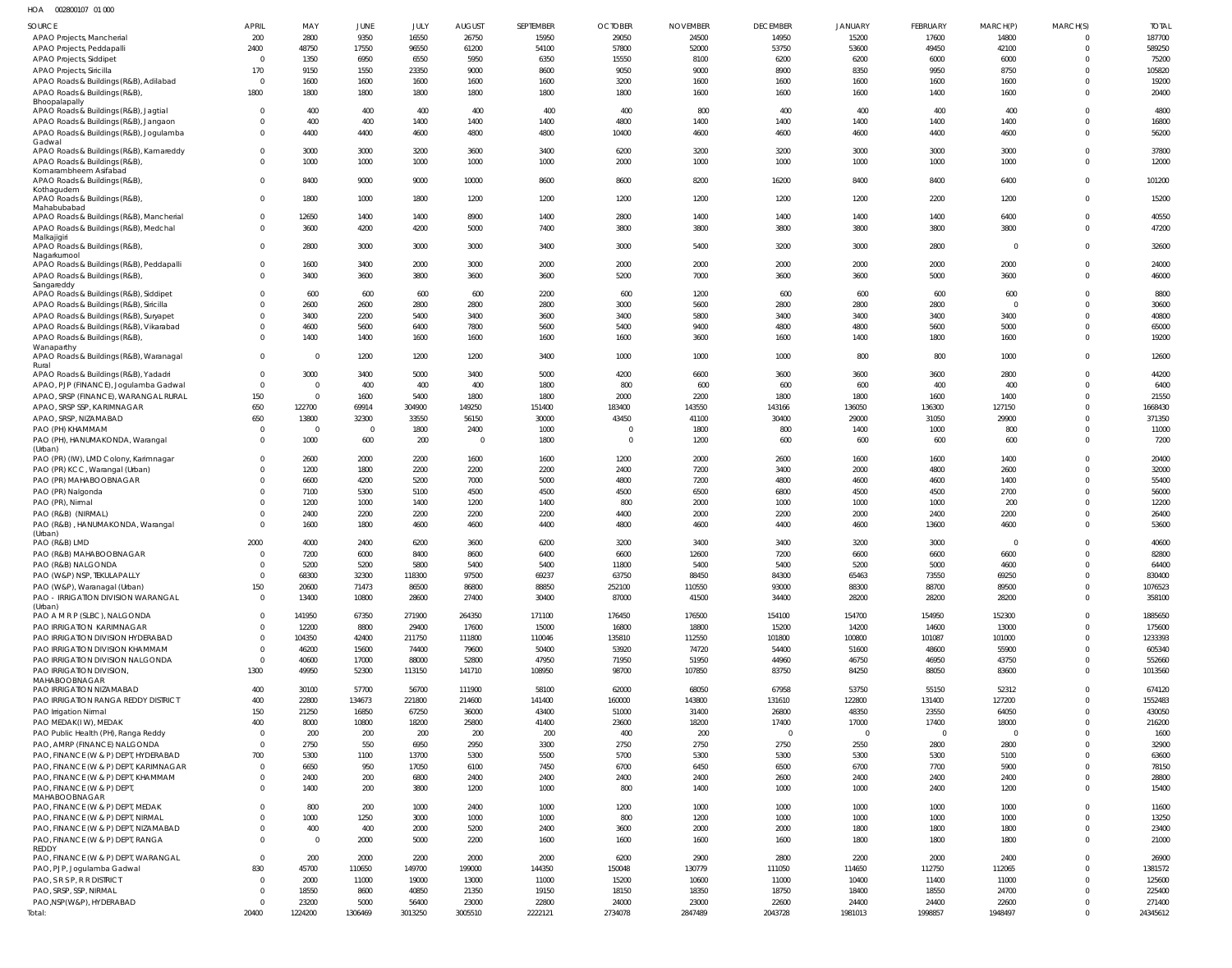| HOA | 002800107 01 000 |  |
|-----|------------------|--|
|     |                  |  |

| SOURCE                                                                      | <b>APRIL</b>                     | MAY                    | <b>JUNE</b>     | JULY            | <b>AUGUST</b>        | <b>SEPTEMBER</b> | <b>OCTOBER</b>             | <b>NOVEMBER</b> | <b>DECEMBER</b> | <b>JANUARY</b>  | FEBRUARY        | MARCH(P)        | MARCH(S)                | <b>TOTAL</b>      |
|-----------------------------------------------------------------------------|----------------------------------|------------------------|-----------------|-----------------|----------------------|------------------|----------------------------|-----------------|-----------------|-----------------|-----------------|-----------------|-------------------------|-------------------|
| APAO Projects, Mancherial                                                   | 200                              | 2800                   | 9350            | 16550           | 26750                | 15950            | 29050                      | 24500           | 14950           | 15200           | 17600           | 14800           | $\Omega$                | 187700            |
| APAO Projects, Peddapalli                                                   | 2400                             | 48750                  | 17550           | 96550           | 61200                | 54100            | 57800                      | 52000           | 53750           | 53600           | 49450           | 42100           | $\Omega$                | 589250            |
| APAO Projects, Siddipet                                                     | $\Omega$                         | 1350                   | 6950            | 6550            | 5950                 | 6350             | 15550                      | 8100            | 6200            | 6200            | 6000            | 6000            | $\Omega$                | 75200             |
| APAO Projects, Siricilla                                                    | 170                              | 9150                   | 1550            | 23350           | 9000                 | 8600             | 9050                       | 9000            | 8900            | 8350            | 9950            | 8750            | $\Omega$                | 105820            |
| APAO Roads & Buildings (R&B), Adilabad                                      | $\overline{0}$                   | 1600                   | 1600            | 1600            | 1600                 | 1600             | 3200                       | 1600            | 1600            | 1600            | 1600            | 1600            | $\Omega$<br>$\Omega$    | 19200<br>20400    |
| APAO Roads & Buildings (R&B),<br>Bhoopalapally                              | 1800                             | 1800                   | 1800            | 1800            | 1800                 | 1800             | 1800                       | 1600            | 1600            | 1600            | 1400            | 1600            |                         |                   |
| APAO Roads & Buildings (R&B), Jagtial                                       | $\Omega$                         | 400                    | 400             | 400             | 400                  | 400              | 400                        | 800             | 400             | 400             | 400             | 400             | $\Omega$                | 4800              |
| APAO Roads & Buildings (R&B), Jangaon                                       | $\Omega$                         | 400                    | 400             | 1400            | 1400                 | 1400             | 4800                       | 1400            | 1400            | 1400            | 1400            | 1400            | $\Omega$                | 16800             |
| APAO Roads & Buildings (R&B), Jogulamba                                     | $\Omega$                         | 4400                   | 4400            | 4600            | 4800                 | 4800             | 10400                      | 4600            | 4600            | 4600            | 4400            | 4600            | $\Omega$                | 56200             |
| Gadwal                                                                      |                                  |                        |                 |                 |                      |                  |                            |                 |                 |                 |                 |                 |                         |                   |
| APAO Roads & Buildings (R&B), Kamareddy                                     | $\Omega$<br>$\Omega$             | 3000                   | 3000            | 3200            | 3600                 | 3400             | 6200                       | 3200            | 3200            | 3000            | 3000            | 3000            | $\Omega$                | 37800             |
| APAO Roads & Buildings (R&B),<br>Komarambheem Asifabad                      |                                  | 1000                   | 1000            | 1000            | 1000                 | 1000             | 2000                       | 1000            | 1000            | 1000            | 1000            | 1000            | $\mathbf 0$             | 12000             |
| APAO Roads & Buildings (R&B),                                               | $\Omega$                         | 8400                   | 9000            | 9000            | 10000                | 8600             | 8600                       | 8200            | 16200           | 8400            | 8400            | 6400            | $\Omega$                | 101200            |
| Kothagudem                                                                  |                                  |                        |                 |                 |                      |                  |                            |                 |                 |                 |                 |                 |                         |                   |
| APAO Roads & Buildings (R&B),<br>Mahabubabad                                | $\Omega$                         | 1800                   | 1000            | 1800            | 1200                 | 1200             | 1200                       | 1200            | 1200            | 1200            | 2200            | 1200            | $\mathbf 0$             | 15200             |
| APAO Roads & Buildings (R&B), Mancherial                                    | $\Omega$                         | 12650                  | 1400            | 1400            | 8900                 | 1400             | 2800                       | 1400            | 1400            | 1400            | 1400            | 6400            | $\Omega$                | 40550             |
| APAO Roads & Buildings (R&B), Medchal                                       | $\Omega$                         | 3600                   | 4200            | 4200            | 5000                 | 7400             | 3800                       | 3800            | 3800            | 3800            | 3800            | 3800            | $\mathbf 0$             | 47200             |
| Malkajigiri                                                                 |                                  |                        |                 |                 |                      |                  |                            |                 |                 |                 |                 |                 |                         |                   |
| APAO Roads & Buildings (R&B),                                               | $\Omega$                         | 2800                   | 3000            | 3000            | 3000                 | 3400             | 3000                       | 5400            | 3200            | 3000            | 2800            | $\Omega$        | $\mathbf 0$             | 32600             |
| Nagarkurnool<br>APAO Roads & Buildings (R&B), Peddapalli                    | $\Omega$                         | 1600                   | 3400            | 2000            | 3000                 | 2000             | 2000                       | 2000            | 2000            | 2000            | 2000            | 2000            | $\mathbf 0$             | 24000             |
| APAO Roads & Buildings (R&B),                                               | $\Omega$                         | 3400                   | 3600            | 3800            | 3600                 | 3600             | 5200                       | 7000            | 3600            | 3600            | 5000            | 3600            | $\Omega$                | 46000             |
| Sangareddy                                                                  |                                  |                        |                 |                 |                      |                  |                            |                 |                 |                 |                 |                 |                         |                   |
| APAO Roads & Buildings (R&B), Siddipet                                      | $\Omega$                         | 600                    | 600             | 600             | 600                  | 2200             | 600                        | 1200            | 600             | 600             | 600             | 600             | $\mathbf 0$             | 8800              |
| APAO Roads & Buildings (R&B), Siricilla                                     | $\Omega$                         | 2600                   | 2600            | 2800            | 2800                 | 2800             | 3000                       | 5600            | 2800            | 2800            | 2800            | $\Omega$        | $\Omega$                | 30600             |
| APAO Roads & Buildings (R&B), Suryapet                                      | $\Omega$                         | 3400                   | 2200            | 5400            | 3400                 | 3600             | 3400                       | 5800            | 3400            | 3400            | 3400            | 3400            | $\mathbf 0$             | 40800             |
| APAO Roads & Buildings (R&B), Vikarabad                                     | $\Omega$                         | 4600                   | 5600            | 6400            | 7800                 | 5600             | 5400                       | 9400            | 4800            | 4800            | 5600            | 5000            | $\Omega$                | 65000             |
| APAO Roads & Buildings (R&B),<br>Wanaparthy                                 | $\Omega$                         | 1400                   | 1400            | 1600            | 1600                 | 1600             | 1600                       | 3600            | 1600            | 1400            | 1800            | 1600            | $\mathbf 0$             | 19200             |
| APAO Roads & Buildings (R&B), Waranagal                                     | $\overline{0}$                   | $\overline{0}$         | 1200            | 1200            | 1200                 | 3400             | 1000                       | 1000            | 1000            | 800             | 800             | 1000            | $\mathbf 0$             | 12600             |
| Rural                                                                       |                                  |                        |                 |                 |                      |                  |                            |                 |                 |                 |                 |                 |                         |                   |
| APAO Roads & Buildings (R&B), Yadadri                                       | $\overline{0}$                   | 3000                   | 3400            | 5000            | 3400                 | 5000             | 4200                       | 6600            | 3600            | 3600            | 3600            | 2800            | $\mathbf 0$             | 44200             |
| APAO, PJP (FINANCE), Jogulamba Gadwal                                       | $\overline{0}$                   | $\overline{0}$         | 400             | 400             | 400                  | 1800             | 800                        | 600             | 600             | 600             | 400             | 400             | $\Omega$                | 6400              |
| APAO, SRSP (FINANCE), WARANGAL RURAL                                        | 150                              | $\overline{0}$         | 1600            | 5400            | 1800                 | 1800             | 2000                       | 2200            | 1800            | 1800            | 1600            | 1400            | $\mathbf 0$             | 21550             |
| APAO, SRSP SSP, KARIMNAGAR                                                  | 650                              | 122700                 | 69914           | 304900          | 149250               | 151400           | 183400                     | 143550          | 143166          | 136050          | 136300          | 127150          | $\Omega$                | 1668430           |
| APAO, SRSP, NIZAMABAD                                                       | 650                              | 13800                  | 32300           | 33550           | 56150                | 30000            | 43450                      | 41100           | 30400           | 29000           | 31050           | 29900           | $\Omega$                | 371350            |
| PAO (PH) KHAMMAM<br>PAO (PH), HANUMAKONDA, Warangal                         | $\Omega$<br>$\Omega$             | $\overline{0}$<br>1000 | $\Omega$<br>600 | 1800<br>200     | 2400<br>$\mathbf{0}$ | 1000<br>1800     | $\Omega$<br>$\overline{0}$ | 1800<br>1200    | 800<br>600      | 1400<br>600     | 1000<br>600     | 800<br>600      | $\Omega$<br>$\mathbf 0$ | 11000<br>7200     |
| (Urban)                                                                     |                                  |                        |                 |                 |                      |                  |                            |                 |                 |                 |                 |                 |                         |                   |
| PAO (PR) (IW), LMD Colony, Karimnagar                                       | $\overline{0}$                   | 2600                   | 2000            | 2200            | 1600                 | 1600             | 1200                       | 2000            | 2600            | 1600            | 1600            | 1400            | $\mathbf 0$             | 20400             |
| PAO (PR) KCC, Warangal (Urban)                                              | $\Omega$                         | 1200                   | 1800            | 2200            | 2200                 | 2200             | 2400                       | 7200            | 3400            | 2000            | 4800            | 2600            | $\overline{0}$          | 32000             |
| PAO (PR) MAHABOOBNAGAR                                                      | $\Omega$                         | 6600                   | 4200            | 5200            | 7000                 | 5000             | 4800                       | 7200            | 4800            | 4600            | 4600            | 1400            | $\Omega$                | 55400             |
| PAO (PR) Nalgonda                                                           | $\Omega$                         | 7100                   | 5300            | 5100            | 4500                 | 4500             | 4500                       | 6500            | 6800            | 4500            | 4500            | 2700            | $\Omega$                | 56000             |
| PAO (PR), Nirmal                                                            | $\Omega$                         | 1200                   | 1000            | 1400            | 1200                 | 1400             | 800                        | 2000            | 1000            | 1000            | 1000            | 200             | $\Omega$                | 12200             |
| PAO (R&B) (NIRMAL)                                                          | $\Omega$                         | 2400                   | 2200            | 2200            | 2200                 | 2200             | 4400                       | 2000            | 2200            | 2000            | 2400            | 2200            | $\Omega$                | 26400             |
| PAO (R&B), HANUMAKONDA, Warangal<br>(Urban)                                 | $\Omega$                         | 1600                   | 1800            | 4600            | 4600                 | 4400             | 4800                       | 4600            | 4400            | 4600            | 13600           | 4600            | $\Omega$                | 53600             |
| PAO (R&B) LMD                                                               | 2000                             | 4000                   | 2400            | 6200            | 3600                 | 6200             | 3200                       | 3400            | 3400            | 3200            | 3000            |                 | $\Omega$                | 40600             |
| PAO (R&B) MAHABOOBNAGAR                                                     | $\overline{0}$                   | 7200                   | 6000            | 8400            | 8600                 | 6400             | 6600                       | 12600           | 7200            | 6600            | 6600            | 6600            | $\mathbf 0$             | 82800             |
| PAO (R&B) NALGONDA                                                          |                                  | 5200                   | 5200            | 5800            | 5400                 | 5400             | 11800                      | 5400            | 5400            | 5200            | 5000            | 4600            | $\cap$                  | 64400             |
| PAO (W&P) NSP, TEKULAPALLY                                                  | $\overline{0}$                   | 68300                  | 32300           | 118300          | 97500                | 69237            | 63750                      | 88450           | 84300           | 65463           | 73550           | 69250           | $\mathbf 0$             | 830400            |
| PAO (W&P), Waranagal (Urban)                                                | 150                              | 20600                  | 71473           | 86500           | 86800                | 88850            | 252100                     | 110550          | 93000           | 88300           | 88700           | 89500           | $\mathbf 0$             | 1076523           |
| PAO - IRRIGATION DIVISION WARANGAL                                          | $\Omega$                         | 13400                  | 10800           | 28600           | 27400                | 30400            | 87000                      | 41500           | 34400           | 28200           | 28200           | 28200           | $\Omega$                | 358100            |
| (Urban)                                                                     |                                  |                        |                 |                 |                      |                  |                            |                 |                 |                 |                 |                 |                         |                   |
| PAO A M R P (SLBC), NALGONDA                                                | $\overline{0}$<br>$\overline{0}$ | 141950                 | 67350           | 271900          | 264350               | 171100           | 176450                     | 176500          | 154100          | 154700          | 154950<br>14600 | 152300<br>13000 | $\Omega$<br>$\Omega$    | 1885650           |
| PAO IRRIGATION KARIMNAGAR<br>PAO IRRIGATION DIVISION HYDERABAD              | $\overline{0}$                   | 12200<br>104350        | 8800<br>42400   | 29400<br>211750 | 17600<br>111800      | 15000<br>110046  | 16800<br>135810            | 18800<br>112550 | 15200<br>101800 | 14200<br>100800 | 101087          | 101000          | $\Omega$                | 175600<br>1233393 |
| PAO IRRIGATION DIVISION KHAMMAM                                             | $\overline{0}$                   | 46200                  | 15600           | 74400           | 79600                | 50400            | 53920                      | 74720           | 54400           | 51600           | 48600           | 55900           | $\Omega$                | 605340            |
| PAO IRRIGATION DIVISION NALGONDA                                            | $\overline{0}$                   | 40600                  | 17000           | 88000           | 52800                | 47950            | 71950                      | 51950           | 44960           | 46750           | 46950           | 43750           | $\Omega$                | 552660            |
| PAO IRRIGATION DIVISION,                                                    | 1300                             | 49950                  | 52300           | 113150          | 141710               | 108950           | 98700                      | 107850          | 83750           | 84250           | 88050           | 83600           | $\Omega$                | 1013560           |
| MAHABOOBNAGAR                                                               |                                  |                        |                 |                 |                      |                  |                            |                 |                 |                 |                 |                 |                         |                   |
| PAO IRRIGATION NIZAMABAD                                                    | 400                              | 30100                  | 57700           | 56700           | 111900               | 58100            | 62000                      | 68050           | 67958           | 53750           | 55150           | 52312           | $\Omega$                | 674120            |
| PAO IRRIGATION RANGA REDDY DISTRICT                                         | 400                              | 22800                  | 134673          | 221800          | 214600               | 141400           | 160000                     | 143800          | 131610          | 122800          | 131400          | 127200          | $\Omega$                | 1552483           |
| PAO Irrigation Nirmal                                                       | 150                              | 21250                  | 16850           | 67250           | 36000                | 43400            | 51000                      | 31400           | 26800           | 48350           | 23550           | 64050           | $\Omega$                | 430050            |
| PAO MEDAK(IW), MEDAK                                                        | 400                              | 8000                   | 10800           | 18200           | 25800                | 41400            | 23600                      | 18200           | 17400           | 17000           | 17400           | 18000           | $\Omega$                | 216200            |
| PAO Public Health (PH), Ranga Reddy                                         | $\overline{0}$                   | 200                    | 200             | 200             | 200                  | 200              | 400                        | 200             | $\overline{0}$  | $\overline{0}$  | $\overline{0}$  | - 0             | $\Omega$                | 1600              |
| PAO, AMRP (FINANCE) NALGONDA                                                | $\overline{0}$                   | 2750                   | 550             | 6950            | 2950                 | 3300             | 2750                       | 2750            | 2750            | 2550            | 2800            | 2800            | $\Omega$                | 32900             |
| PAO, FINANCE (W & P) DEPT, HYDERABAD                                        | 700                              | 5300                   | 1100            | 13700           | 5300                 | 5500             | 5700                       | 5300            | 5300            | 5300            | 5300            | 5100            | $\Omega$<br>$\Omega$    | 63600             |
| PAO, FINANCE (W & P) DEPT, KARIMNAGAR<br>PAO, FINANCE (W & P) DEPT, KHAMMAM | $\overline{0}$<br>$\Omega$       | 6650<br>2400           | 950<br>200      | 17050<br>6800   | 6100<br>2400         | 7450<br>2400     | 6700<br>2400               | 6450<br>2400    | 6500<br>2600    | 6700<br>2400    | 7700<br>2400    | 5900<br>2400    | $\Omega$                | 78150<br>28800    |
| PAO, FINANCE (W & P) DEPT,                                                  | $\Omega$                         | 1400                   | 200             | 3800            | 1200                 | 1000             | 800                        | 1400            | 1000            | 1000            | 2400            | 1200            | $\Omega$                | 15400             |
| MAHABOOBNAGAR                                                               |                                  |                        |                 |                 |                      |                  |                            |                 |                 |                 |                 |                 |                         |                   |
| PAO, FINANCE (W & P) DEPT, MEDAK                                            | $\Omega$                         | 800                    | 200             | 1000            | 2400                 | 1000             | 1200                       | 1000            | 1000            | 1000            | 1000            | 1000            | $\Omega$                | 11600             |
| PAO, FINANCE (W & P) DEPT, NIRMAL                                           | $\Omega$                         | 1000                   | 1250            | 3000            | 1000                 | 1000             | 800                        | 1200            | 1000            | 1000            | 1000            | 1000            | $\Omega$                | 13250             |
| PAO, FINANCE (W & P) DEPT, NIZAMABAD                                        | $\Omega$                         | 400                    | 400             | 2000            | 5200                 | 2400             | 3600                       | 2000            | 2000            | 1800            | 1800            | 1800            | $\mathbf 0$             | 23400             |
| PAO, FINANCE (W & P) DEPT, RANGA                                            | $\Omega$                         | $\overline{0}$         | 2000            | 5000            | 2200                 | 1600             | 1600                       | 1600            | 1600            | 1800            | 1800            | 1800            | $\Omega$                | 21000             |
| REDDY<br>PAO, FINANCE (W & P) DEPT, WARANGAL                                | $\overline{0}$                   | 200                    | 2000            | 2200            | 2000                 | 2000             | 6200                       | 2900            | 2800            | 2200            | 2000            | 2400            | $\Omega$                | 26900             |
| PAO, PJP, Jogulamba Gadwal                                                  | 830                              | 45700                  | 110650          | 149700          | 199000               | 144350           | 150048                     | 130779          | 111050          | 114650          | 112750          | 112065          | $\Omega$                | 1381572           |
| PAO, S R S P, R R DISTRICT                                                  | $\Omega$                         | 2000                   | 11000           | 19000           | 13000                | 11000            | 15200                      | 10600           | 11000           | 10400           | 11400           | 11000           | $\Omega$                | 125600            |
| PAO, SRSP, SSP, NIRMAL                                                      | $\Omega$                         | 18550                  | 8600            | 40850           | 21350                | 19150            | 18150                      | 18350           | 18750           | 18400           | 18550           | 24700           | $\Omega$                | 225400            |
| PAO, NSP(W&P), HYDERABAD                                                    | $\Omega$                         | 23200                  | 5000            | 56400           | 23000                | 22800            | 24000                      | 23000           | 22600           | 24400           | 24400           | 22600           | $\Omega$                | 271400            |
| Total:                                                                      | 20400                            | 1224200                | 1306469         | 3013250         | 3005510              | 2222121          | 2734078                    | 2847489         | 2043728         | 1981013         | 1998857         | 1948497         | $\mathbf 0$             | 24345612          |
|                                                                             |                                  |                        |                 |                 |                      |                  |                            |                 |                 |                 |                 |                 |                         |                   |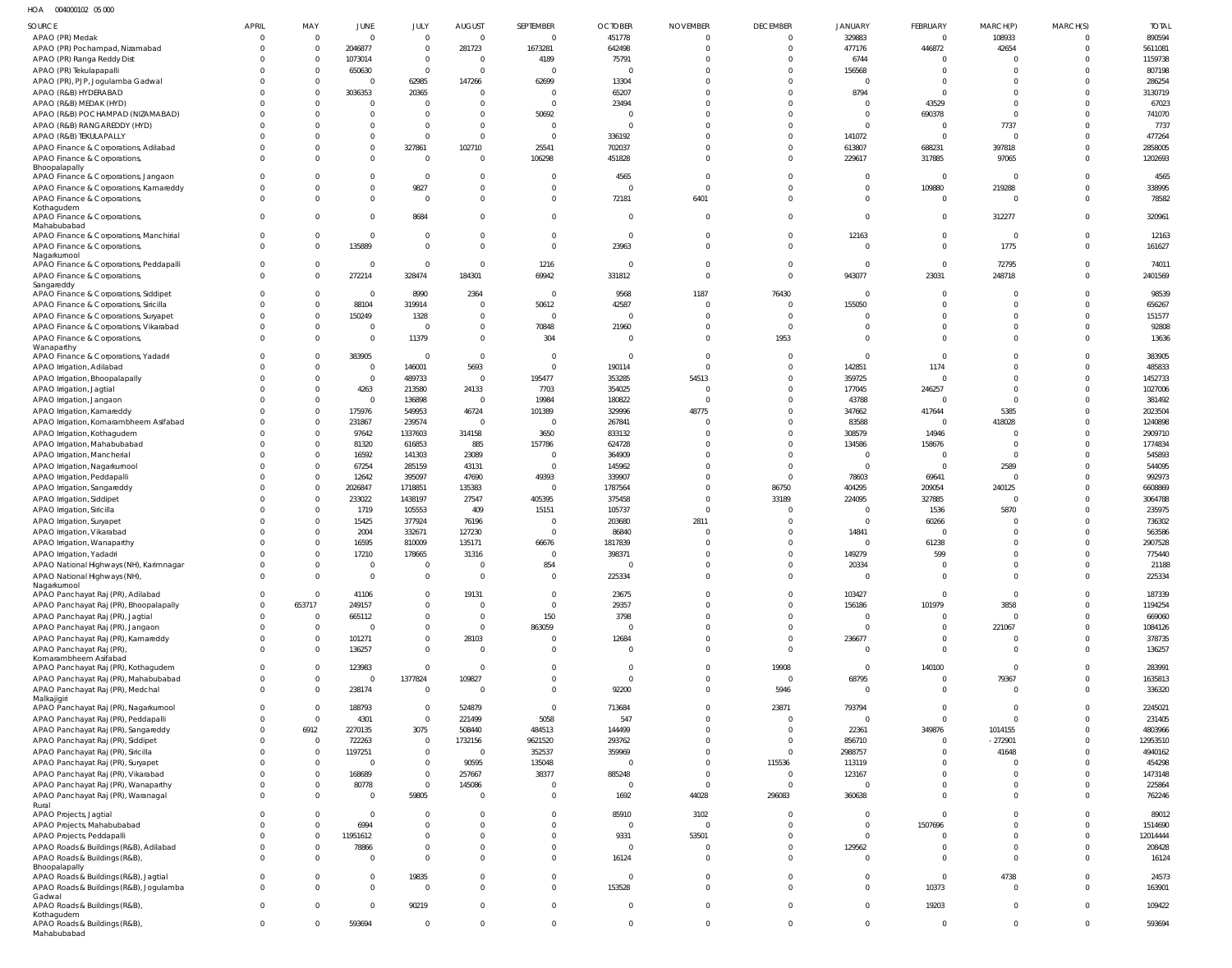HOA 004000102 05 000

| SOURCE                                                                      | APRIL       | MAY<br>$\mathbf 0$       | JUNE<br>$\mathbf 0$        | JULY<br>$\Omega$         | AUGUST<br>$\overline{0}$         | SEPTEMBER<br>$\overline{0}$ | <b>OCTOBER</b>          | <b>NOVEMBER</b><br>$\overline{0}$ | <b>DECEMBER</b><br>$\Omega$ | JANUARY                  | FEBRUARY                | MARCH(P)<br>108933           | MARCH(S)             | <b>TOTAL</b><br>890594 |
|-----------------------------------------------------------------------------|-------------|--------------------------|----------------------------|--------------------------|----------------------------------|-----------------------------|-------------------------|-----------------------------------|-----------------------------|--------------------------|-------------------------|------------------------------|----------------------|------------------------|
| APAO (PR) Medak                                                             |             | $\mathbf 0$              |                            | $\Omega$                 |                                  |                             | 451778                  | $\mathbf{0}$                      | $\Omega$                    | 329883                   | $\overline{0}$          |                              | $\Omega$             |                        |
| APAO (PR) Pochampad, Nizamabad                                              |             |                          | 2046877                    |                          | 281723                           | 1673281                     | 642498                  |                                   | $\Omega$                    | 477176                   | 446872                  | 42654<br>$\Omega$            |                      | 5611081                |
| APAO (PR) Ranga Reddy Dist                                                  |             | $\mathbf{0}$<br>$\Omega$ | 1073014                    | $\mathbf{0}$<br>$\Omega$ | $\overline{0}$<br>$\overline{0}$ | 4189                        | 75791                   | $\circ$<br>$\Omega$               | $\Omega$                    | 6744                     | $\Omega$<br>$\Omega$    | $\Omega$                     |                      | 1159738                |
| APAO (PR) Tekulapapalli                                                     |             | $\mathbf 0$              | 650630<br>$\overline{0}$   |                          |                                  | $\overline{0}$              | $\overline{0}$          | $\overline{0}$                    | $\Omega$                    | 156568<br>$\overline{0}$ | $\Omega$                | $\Omega$                     |                      | 807198                 |
| APAO (PR), PJP, Jogulamba Gadwal<br>APAO (R&B) HYDERABAD                    |             | $\Omega$                 | 3036353                    | 62985<br>20365           | 147266<br>$\Omega$               | 62699<br>$\overline{0}$     | 13304<br>65207          | $\Omega$                          | $\Omega$                    | 8794                     | $\mathbf 0$             | $\mathbf{0}$                 |                      | 286254<br>3130719      |
| APAO (R&B) MEDAK (HYD)                                                      |             | $\Omega$                 | $\overline{0}$             | $\Omega$                 | $\Omega$                         | $\Omega$                    | 23494                   | $\Omega$                          | $\Omega$                    | $\overline{0}$           | 43529                   | $\Omega$                     |                      | 67023                  |
| APAO (R&B) POCHAMPAD (NIZAMABAD)                                            |             |                          | $\overline{0}$             | $\Omega$                 | $\Omega$                         | 50692                       | $\Omega$                | $\Omega$                          | $\Omega$                    | $\mathbf 0$              | 690378                  | $\mathbf 0$                  |                      | 741070                 |
| APAO (R&B) RANGAREDDY (HYD)                                                 |             |                          | $\mathbf 0$                | $\Omega$                 | $\Omega$                         | $\overline{0}$              | $\Omega$                | $\Omega$                          | $\Omega$                    | $\Omega$                 | $\mathbf 0$             | 7737                         |                      | 7737                   |
| APAO (R&B) TEKULAPALLY                                                      |             |                          | $\mathbf 0$                | $\Omega$                 | $\Omega$                         | $\Omega$                    | 336192                  | $\overline{0}$                    | $\Omega$                    | 141072                   | $\mathbf 0$             | $\mathbf 0$                  |                      | 477264                 |
| APAO Finance & Corporations, Adilabad                                       |             | 0                        | $\mathbf 0$                | 327861                   | 102710                           | 25541                       | 702037                  | $\Omega$                          | $\Omega$                    | 613807                   | 688231                  | 397818                       |                      | 2858005                |
| APAO Finance & Corporations,                                                |             | $\Omega$                 | $\mathbf 0$                | $\Omega$                 | $\Omega$                         | 106298                      | 451828                  | $\overline{0}$                    | $\Omega$                    | 229617                   | 317885                  | 97065                        | $\Omega$             | 1202693                |
| Bhoopalapally                                                               |             |                          |                            |                          |                                  |                             |                         |                                   |                             |                          |                         |                              |                      |                        |
| APAO Finance & Corporations, Jangaon                                        |             |                          | $\mathbf 0$                | $\Omega$                 | - 0                              | $\Omega$                    | 4565                    | $\overline{0}$                    | $\Omega$                    | $\mathbf{0}$             | $\overline{0}$          | $\mathbf{0}$                 | $\Omega$             | 4565                   |
| APAO Finance & Corporations, Kamareddy                                      |             | $\Omega$                 | $\mathbf 0$                | 9827                     | $\overline{0}$                   | $\overline{0}$              | $\overline{0}$          | $\Omega$                          | $\Omega$                    | $\mathbf 0$              | 109880                  | 219288                       | $\Omega$             | 338995                 |
| APAO Finance & Corporations,                                                | $\Omega$    | $\Omega$                 | $\mathbf 0$                | $\Omega$                 | $\Omega$                         | $\overline{0}$              | 72181                   | 6401                              | $\Omega$                    | $\Omega$                 | $\Omega$                | $\overline{0}$               | $\Omega$             | 78582                  |
| Kothagudem                                                                  |             |                          |                            |                          |                                  |                             |                         |                                   |                             |                          |                         |                              |                      |                        |
| APAO Finance & Corporations,<br>Mahabubabad                                 | $\Omega$    | $\Omega$                 | $\mathbf 0$                | 8684                     | $\Omega$                         | $\overline{0}$              | $\Omega$                | $\overline{0}$                    | $\Omega$                    | $\Omega$                 | $\Omega$                | 312277                       | $\Omega$             | 320961                 |
| APAO Finance & Corporations, Manchirial                                     | $\Omega$    | 0                        | $\overline{0}$             | $\Omega$                 | $\overline{0}$                   | $\overline{0}$              | $\overline{0}$          | $\overline{0}$                    | $\Omega$                    | 12163                    | $\Omega$                | $\overline{0}$               | $\Omega$             | 12163                  |
| APAO Finance & Corporations,                                                | $\Omega$    | $\Omega$                 | 135889                     | $\Omega$                 | $\Omega$                         | $\overline{0}$              | 23963                   | $\overline{0}$                    | $\Omega$                    | $\mathbf{0}$             | $\mathbf 0$             | 1775                         | $\Omega$             | 161627                 |
| Nagarkurnool                                                                |             |                          |                            |                          |                                  |                             |                         |                                   |                             |                          |                         |                              |                      |                        |
| APAO Finance & Corporations, Peddapalli                                     | $\Omega$    | 0                        | $\overline{0}$             | $\Omega$                 | $\Omega$                         | 1216                        | $\overline{0}$          | $\overline{0}$                    | $\Omega$                    | $\mathbf{0}$             | $\mathbf 0$             | 72795                        |                      | 74011                  |
| APAO Finance & Corporations,                                                | $\Omega$    | $\mathbf 0$              | 272214                     | 328474                   | 184301                           | 69942                       | 331812                  | $\overline{0}$                    | $\Omega$                    | 943077                   | 23031                   | 248718                       | $\Omega$             | 2401569                |
| Sangareddy                                                                  |             |                          |                            |                          |                                  | $\Omega$                    |                         |                                   |                             |                          |                         |                              |                      |                        |
| APAO Finance & Corporations, Siddipet                                       |             | 0<br>$\mathbf 0$         | $\overline{0}$             | 8990                     | 2364                             |                             | 9568                    | 1187                              | 76430<br>$\Omega$           | $\mathbf{0}$             | $\mathbf 0$<br>$\Omega$ | $\overline{0}$               | $\Omega$             | 98539                  |
| APAO Finance & Corporations, Siricilla                                      |             | $\mathbf 0$              | 88104                      | 319914                   | $\overline{0}$<br>$\overline{0}$ | 50612<br>$\overline{0}$     | 42587<br>$\overline{0}$ | $\overline{0}$                    | $\Omega$                    | 155050                   | $\Omega$                | $\mathbf{0}$<br>$\mathbf{0}$ |                      | 656267                 |
| APAO Finance & Corporations, Suryapet                                       |             |                          | 150249                     | 1328                     |                                  |                             |                         | $\overline{0}$                    |                             | $\Omega$                 |                         |                              |                      | 151577                 |
| APAO Finance & Corporations, Vikarabad                                      | $\cap$      | $\mathbf 0$              | $\mathbf 0$<br>$\mathbf 0$ | $\Omega$                 | $\overline{0}$<br>$\overline{0}$ | 70848                       | 21960<br>$\Omega$       | $\overline{0}$<br>$\overline{0}$  | $\Omega$                    | $\Omega$<br>$\Omega$     | $\Omega$<br>$\Omega$    | $\Omega$<br>$\Omega$         | $\Omega$<br>$\Omega$ | 92808                  |
| APAO Finance & Corporations,<br>Wanaparthy                                  |             | $\mathbf 0$              |                            | 11379                    |                                  | 304                         |                         |                                   | 1953                        |                          |                         |                              |                      | 13636                  |
| APAO Finance & Corporations, Yadadri                                        |             | $\Omega$                 | 383905                     | $\mathbf 0$              | $\overline{0}$                   | $\Omega$                    | $\overline{0}$          | $\overline{0}$                    | $\Omega$                    | $\Omega$                 | $\Omega$                | $\Omega$                     | $\Omega$             | 383905                 |
| APAO Irrigation, Adilabad                                                   |             | 0                        | $\mathbf 0$                | 146001                   | 5693                             | $\overline{0}$              | 190114                  | $\Omega$                          | $\Omega$                    | 142851                   | 1174                    | $\mathbf{0}$                 | $\Omega$             | 485833                 |
| APAO Irrigation, Bhoopalapally                                              |             | $\Omega$                 | $\overline{0}$             | 489733                   | $\overline{0}$                   | 195477                      | 353285                  | 54513                             | $\Omega$                    | 359725                   | $\Omega$                | $\Omega$                     |                      | 1452733                |
| APAO Irrigation, Jagtial                                                    |             | 0                        | 4263                       | 213580                   | 24133                            | 7703                        | 354025                  | $\Omega$                          | $\Omega$                    | 177045                   | 246257                  | $\mathbf 0$                  |                      | 1027006                |
| APAO Irrigation, Jangaon                                                    |             | $\mathbf 0$              | $\overline{0}$             | 136898                   | $\overline{0}$                   | 19984                       | 180822                  | $\overline{0}$                    | $\Omega$                    | 43788                    | $\Omega$                | $\Omega$                     |                      | 381492                 |
| APAO Irrigation, Kamareddy                                                  |             | $\mathbf 0$              | 175976                     | 549953                   | 46724                            | 101389                      | 329996                  | 48775                             | $\Omega$                    | 347662                   | 417644                  | 5385                         |                      | 2023504                |
| APAO Irrigation, Komarambheem Asifabad                                      |             | $\Omega$                 | 231867                     | 239574                   | $\overline{0}$                   | $\Omega$                    | 267841                  | $\Omega$                          | $\Omega$                    | 83588                    | $\Omega$                | 418028                       |                      | 1240898                |
| APAO Irrigation, Kothagudem                                                 |             | $\mathbf 0$              | 97642                      | 1337603                  | 314158                           | 3650                        | 833132                  | $\circ$                           | $\Omega$                    | 308579                   | 14946                   | $\Omega$                     |                      | 2909710                |
| APAO Irrigation, Mahabubabad                                                |             | $\mathbf 0$              | 81320                      | 616853                   | 885                              | 157786                      | 624728                  | $\overline{0}$                    | $\Omega$                    | 134586                   | 158676                  | $\overline{0}$               |                      | 1774834                |
| APAO Irrigation, Mancherial                                                 |             | $\mathbf 0$              | 16592                      | 141303                   | 23089                            | $\overline{0}$              | 364909                  | $\Omega$                          | $\Omega$                    | $\Omega$                 | $\Omega$                | $\mathbf{0}$                 |                      | 545893                 |
| APAO Irrigation, Nagarkurnool                                               |             | $\Omega$                 | 67254                      | 285159                   | 43131                            | $\overline{0}$              | 145962                  | $\Omega$                          | $\Omega$                    | $\mathbf 0$              | $\mathbf 0$             | 2589                         |                      | 544095                 |
| APAO Irrigation, Peddapalli                                                 |             | $\mathbf 0$              | 12642                      | 395097                   | 47690                            | 49393                       | 339907                  | $\overline{0}$                    | $\Omega$                    | 78603                    | 69641                   | $\overline{0}$               |                      | 992973                 |
| APAO Irrigation, Sangareddy                                                 |             | $\mathbf 0$              | 2026847                    | 1718851                  | 135383                           | $\overline{0}$              | 1787564                 | $\overline{0}$                    | 86750                       | 404295                   | 209054                  | 240125                       |                      | 6608869                |
| APAO Irrigation, Siddipet                                                   |             | $\mathbf 0$              | 233022                     | 1438197                  | 27547                            | 405395                      | 375458                  | $\overline{0}$                    | 33189                       | 224095                   | 327885                  | $\overline{0}$               |                      | 3064788                |
| APAO Irrigation, Siricilla                                                  |             | $\Omega$                 | 1719                       | 105553                   | 409                              | 15151                       | 105737                  | $\Omega$                          | $\Omega$                    | $\Omega$                 | 1536                    | 5870                         |                      | 235975                 |
| APAO Irrigation, Suryapet                                                   |             | $\mathbf 0$              | 15425                      | 377924                   | 76196                            | $\overline{0}$              | 203680                  | 2811                              | $\Omega$                    | $\mathbf 0$              | 60266                   | $\overline{0}$               |                      | 736302                 |
| APAO Irrigation, Vikarabad                                                  |             | $\Omega$                 | 2004                       | 332671                   | 127230                           | $\overline{0}$              | 86840                   | $\Omega$                          | $\Omega$                    | 14841                    | 0                       | $\Omega$                     |                      | 563586                 |
| APAO Irrigation, Wanaparthy                                                 |             | $\Omega$                 | 16595                      | 810009                   | 135171                           | 66676                       | 1817839                 | $\Omega$                          | $\Omega$                    | $\mathbf{0}$             | 61238                   | $\Omega$                     |                      | 2907528                |
| APAO Irrigation, Yadadri                                                    |             | $\Omega$                 | 17210                      | 178665                   | 31316                            | $\Omega$                    | 398371                  | $\Omega$                          | $\Omega$                    | 149279                   | 599                     | $\Omega$                     | $\Omega$             | 775440                 |
| APAO National Highways (NH), Karimnagar                                     |             |                          | $\overline{0}$             |                          | $\Omega$                         | 854                         | <sup>r</sup>            |                                   |                             | 20334                    |                         |                              |                      | 21188                  |
| APAO National Highways (NH),                                                |             | $\Omega$                 | $\mathbf 0$                | $\Omega$                 | $\overline{0}$                   | $\overline{0}$              | 225334                  | $\overline{0}$                    | $\Omega$                    | $\mathbf 0$              | $\mathbf 0$             | $\overline{0}$               | $\Omega$             | 225334                 |
| Nagarkurnool                                                                | $\Omega$    | $\mathbf 0$              | 41106                      | $\Omega$                 | 19131                            | $\overline{0}$              | 23675                   | $\overline{0}$                    | $\Omega$                    | 103427                   | $\overline{0}$          | $\overline{0}$               |                      | 187339                 |
| APAO Panchayat Raj (PR), Adilabad<br>APAO Panchayat Raj (PR), Bhoopalapally | $\Omega$    | 653717                   | 249157                     | $\Omega$                 | $\overline{0}$                   | $\overline{0}$              | 29357                   | $\Omega$                          | $\Omega$                    | 156186                   | 101979                  | 3858                         | $\Omega$             | 1194254                |
| APAO Panchayat Raj (PR), Jagtial                                            | $\Omega$    | $\mathbf 0$              | 665112                     | $\mathbf{0}$             | $\overline{0}$                   | 150                         | 3798                    | $\overline{0}$                    | $\Omega$                    | $\mathbf{0}$             | $\mathbf 0$             | $\mathbf 0$                  |                      | 669060                 |
| APAO Panchayat Raj (PR), Jangaon                                            |             | $\mathbf 0$              | $\mathbf 0$                | $\mathbf 0$              | $\overline{0}$                   | 863059                      | $\overline{0}$          | $\Omega$                          | $\Omega$                    | $\mathbf 0$              | $\Omega$                | 221067                       |                      | 1084126                |
| APAO Panchayat Raj (PR), Kamareddy                                          |             | $\mathbf 0$              | 101271                     | $\mathbf 0$              | 28103                            | $\overline{0}$              | 12684                   | $\overline{0}$                    | $\Omega$                    | 236677                   | $\mathbf 0$             | $\overline{0}$               |                      | 378735                 |
| APAO Panchayat Raj (PR),                                                    |             | $\mathbf 0$              | 136257                     | $\mathbf 0$              | $\overline{0}$                   | $\overline{0}$              | $\overline{0}$          | $\overline{0}$                    | $\Omega$                    | $\mathbf 0$              | $\mathbf 0$             | $\overline{0}$               | $\Omega$             | 136257                 |
| Komarambheem Asifabad                                                       |             |                          |                            |                          |                                  |                             |                         |                                   |                             |                          |                         |                              |                      |                        |
| APAO Panchayat Raj (PR), Kothagudem                                         |             | $\Omega$                 | 123983                     | $\Omega$                 | $\overline{0}$                   | $\Omega$                    | $\overline{0}$          | $\overline{0}$                    | 19908                       | $\overline{0}$           | 140100                  | $\overline{0}$               |                      | 283991                 |
| APAO Panchayat Raj (PR), Mahabubabad                                        | $\Omega$    | $\mathbf 0$              | $\mathbf 0$                | 1377824                  | 109827                           | $\Omega$                    | $\overline{0}$          | $\overline{0}$                    | $\overline{0}$              | 68795                    | $\mathbf 0$             | 79367                        | $\Omega$             | 1635813                |
| APAO Panchayat Raj (PR), Medchal                                            | $\Omega$    | $\Omega$                 | 238174                     | $\Omega$                 | $\Omega$                         | $\Omega$                    | 92200                   | $\overline{0}$                    | 5946                        | $\mathbf{0}$             | $\Omega$                | $\Omega$                     | $\Omega$             | 336320                 |
| Malkajigiri                                                                 | $\Omega$    | $\Omega$                 | 188793                     | $\mathbf 0$              |                                  | $\mathbf{0}$                |                         | $\overline{0}$                    | 23871                       | 793794                   | $\Omega$                | $\overline{0}$               | $\Omega$             |                        |
| APAO Panchayat Raj (PR), Nagarkurnool                                       |             | $\mathbf 0$              | 4301                       | $\mathbf 0$              | 524879<br>221499                 | 5058                        | 713684<br>547           | $\overline{0}$                    | $\Omega$                    | $\overline{0}$           | $\Omega$                | $\Omega$                     |                      | 2245021<br>231405      |
| APAO Panchayat Raj (PR), Peddapalli<br>APAO Panchayat Raj (PR), Sangareddy  |             | 6912                     | 2270135                    | 3075                     | 508440                           | 484513                      | 144499                  | $\overline{0}$                    | $\Omega$                    | 22361                    | 349876                  | 1014155                      |                      | 4803966                |
| APAO Panchayat Raj (PR), Siddipet                                           |             | $\mathbf{0}$             | 722263                     | $\Omega$                 | 1732156                          | 9621520                     | 293762                  | $\Omega$                          | $\Omega$                    | 856710                   | $\Omega$                | $-272901$                    |                      | 12953510               |
| APAO Panchayat Raj (PR), Siricilla                                          |             | $\mathbf 0$              | 1197251                    | $\Omega$                 | $\Omega$                         | 352537                      | 359969                  | $\Omega$                          | $\Omega$                    | 2988757                  | $\Omega$                | 41648                        |                      | 4940162                |
| APAO Panchayat Raj (PR), Suryapet                                           |             | $\Omega$                 | $\overline{0}$             | $\Omega$                 | 90595                            | 135048                      | $\overline{0}$          | $\overline{0}$                    | 115536                      | 113119                   | $\Omega$                | $\Omega$                     |                      | 454298                 |
| APAO Panchayat Raj (PR), Vikarabad                                          |             | $\Omega$                 | 168689                     | $\mathbf 0$              | 257667                           | 38377                       | 885248                  | $\overline{0}$                    | $\mathbf{0}$                | 123167                   | $\Omega$                | $\Omega$                     |                      | 1473148                |
| APAO Panchayat Raj (PR), Wanaparthy                                         | $\Omega$    | 0                        | 80778                      | $\mathbf 0$              | 145086                           | $\overline{0}$              | $\overline{0}$          | $\overline{0}$                    | $\overline{0}$              | $\Omega$                 | $\Omega$                | $\Omega$                     | $\Omega$             | 225864                 |
| APAO Panchayat Raj (PR), Waranagal                                          | $\Omega$    | $\Omega$                 | $\mathbf 0$                | 59805                    | $\Omega$                         | $\overline{0}$              | 1692                    | 44028                             | 296083                      | 360638                   | $\Omega$                | $\Omega$                     | $\Omega$             | 762246                 |
| Rural                                                                       |             |                          |                            |                          |                                  |                             |                         |                                   |                             |                          |                         |                              |                      |                        |
| APAO Projects, Jagtial                                                      |             |                          | $\overline{0}$             | $\Omega$                 | - 0                              | $\Omega$                    | 85910                   | 3102                              | $\Omega$                    | $\Omega$                 | $\Omega$                | $\Omega$                     |                      | 89012                  |
| APAO Projects, Mahabubabad                                                  |             | $\Omega$                 | 6994                       | $\Omega$                 | $\Omega$                         | $\Omega$                    | $\overline{0}$          | $\overline{0}$                    | $\Omega$                    | $\mathbf 0$              | 1507696                 | $\Omega$                     | $\Omega$             | 1514690                |
| APAO Projects, Peddapalli                                                   |             | $\Omega$                 | 11951612                   | $\Omega$                 | $\Omega$                         | $\Omega$                    | 9331                    | 53501                             | $\Omega$                    | $\Omega$                 | $\Omega$                | $\Omega$                     | $\Omega$             | 12014444               |
| APAO Roads & Buildings (R&B), Adilabad                                      |             | $\Omega$                 | 78866                      | $\Omega$                 | $\Omega$                         | $\Omega$                    | $\overline{0}$          | $\overline{0}$                    | $\Omega$                    | 129562                   | $\Omega$                | $\overline{0}$               | $\Omega$             | 208428                 |
| APAO Roads & Buildings (R&B),                                               | $\Omega$    |                          | $\overline{0}$             | $\Omega$                 | $\Omega$                         | $\Omega$                    | 16124                   | $\Omega$                          | $\Omega$                    | $\Omega$                 | $\Omega$                | $\Omega$                     | $\Omega$             | 16124                  |
| Bhoopalapally                                                               |             |                          |                            |                          |                                  |                             |                         |                                   |                             |                          |                         |                              |                      |                        |
| APAO Roads & Buildings (R&B), Jagtial                                       | $\Omega$    | 0                        | $\mathbf{0}$               | 19835                    | $\mathbf{0}$                     | $\Omega$                    | $\overline{0}$          | $\Omega$                          | $\Omega$                    | $\Omega$                 | $\mathbf 0$             | 4738                         | $\Omega$             | 24573                  |
| APAO Roads & Buildings (R&B), Jogulamba<br>Gadwal                           | $\Omega$    | $\Omega$                 | $\mathbf 0$                | -C                       | $\Omega$                         | $\mathbf{0}$                | 153528                  | $\Omega$                          | $\Omega$                    | $\Omega$                 | 10373                   | $\overline{0}$               | $\Omega$             | 163901                 |
| APAO Roads & Buildings (R&B),                                               | $\Omega$    | 0                        | $\mathbf 0$                | 90219                    | $\overline{0}$                   | $\mathbf{0}$                | $\overline{0}$          | $\mathbf 0$                       | $\Omega$                    | $\Omega$                 | 19203                   | $\overline{0}$               | $\Omega$             | 109422                 |
| Kothagudem                                                                  |             |                          |                            |                          |                                  |                             |                         |                                   |                             |                          |                         |                              |                      |                        |
| APAO Roads & Buildings (R&B),                                               | $\mathbf 0$ | $\Omega$                 | 593694                     | $\mathbf 0$              | $\overline{0}$                   | $\mathbf{0}$                | $\mathbf 0$             | $\mathbf 0$                       | $\mathbf 0$                 | $\mathbf 0$              | $\mathbf 0$             | $\overline{0}$               | $\Omega$             | 593694                 |
| Mahabubabad                                                                 |             |                          |                            |                          |                                  |                             |                         |                                   |                             |                          |                         |                              |                      |                        |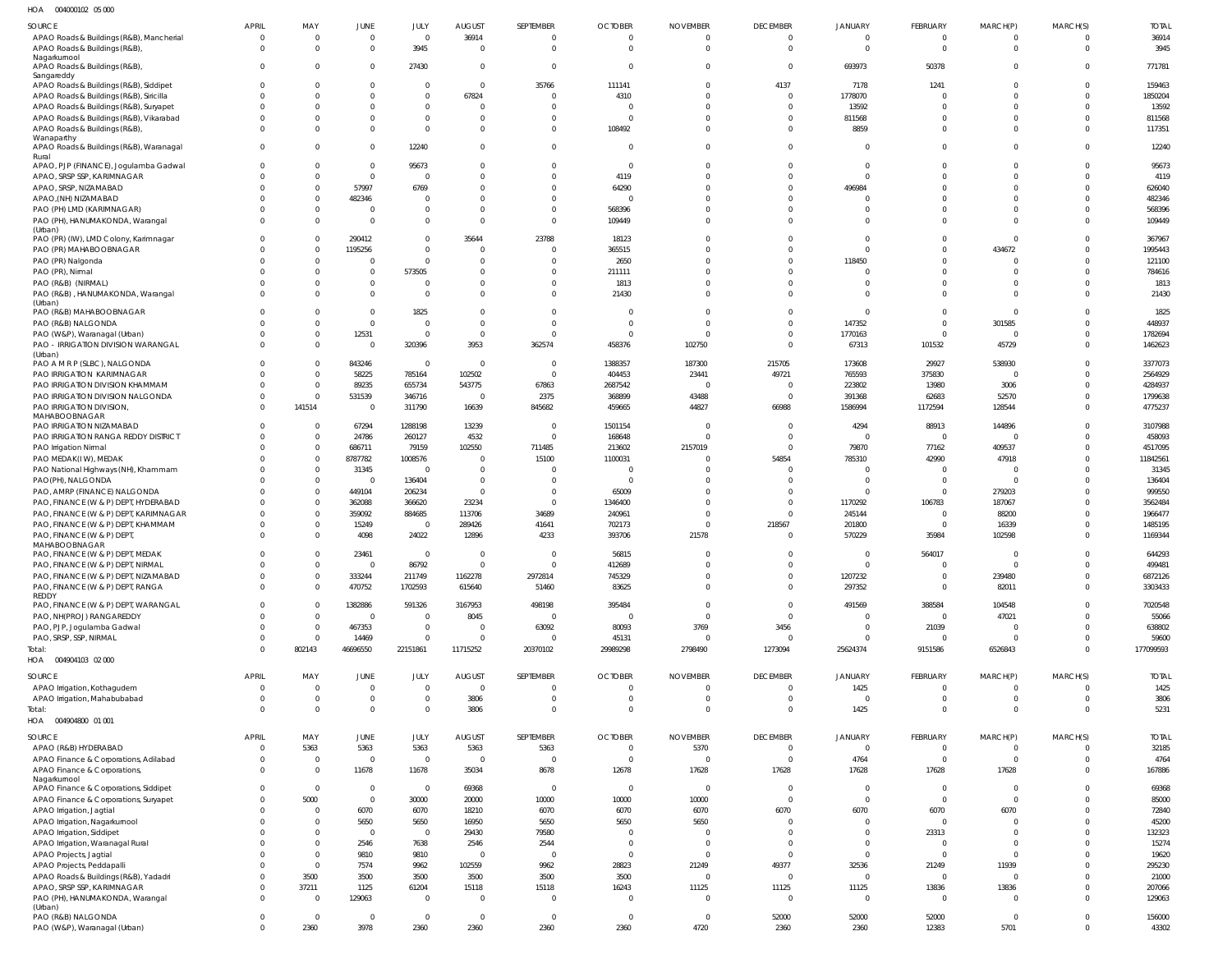004000102 05 000 HOA

| SOURCE                                                                            | <b>APRIL</b>                   | MAY                  | JUNE                          | JULY                       | <b>AUGUST</b>              | SEPTEMBER                   | <b>OCTOBER</b>             | <b>NOVEMBER</b>            | <b>DECEMBER</b>                  | <b>JANUARY</b>               | FEBRUARY                         | MARCH(P)                         | MARCH(S)                 | <b>TOTAL</b>      |
|-----------------------------------------------------------------------------------|--------------------------------|----------------------|-------------------------------|----------------------------|----------------------------|-----------------------------|----------------------------|----------------------------|----------------------------------|------------------------------|----------------------------------|----------------------------------|--------------------------|-------------------|
| APAO Roads & Buildings (R&B), Mancherial                                          | - 0                            | - 0                  | $\mathbf{0}$                  | $\overline{0}$             | 36914                      | $\overline{0}$              | $\mathbf 0$                | $\Omega$                   | $\overline{0}$                   | $\mathbf{0}$                 | $\overline{0}$                   | $\Omega$                         |                          | 36914             |
| APAO Roads & Buildings (R&B)                                                      | $\Omega$                       | $\Omega$             | $\mathbf 0$                   | 3945                       | $\mathbf 0$                | $\overline{0}$              | $\Omega$                   | $\Omega$                   | $\overline{0}$                   | $\mathbf 0$                  | $\mathbf{0}$                     | $\Omega$                         | $\Omega$                 | 3945              |
| Nagarkurnool<br>APAO Roads & Buildings (R&B),                                     | $\Omega$                       |                      | $\mathbf 0$                   | 27430                      | $\mathbf 0$                | $\overline{0}$              | $\Omega$                   |                            | $\mathbf{0}$                     | 693973                       | 50378                            | $\Omega$                         | $\Omega$                 | 771781            |
| Sangareddy                                                                        |                                |                      |                               |                            |                            |                             |                            |                            |                                  |                              |                                  |                                  |                          |                   |
| APAO Roads & Buildings (R&B), Siddipet                                            | $\Omega$                       |                      | $\Omega$                      | $^{\circ}$                 | $\mathbf 0$                | 35766                       | 111141                     | 0                          | 4137                             | 7178                         | 1241                             | $\Omega$                         | $\Omega$                 | 159463            |
| APAO Roads & Buildings (R&B), Siricilla                                           | -0                             |                      | $\mathbf{0}$                  | $\mathbf 0$                | 67824                      | $\Omega$                    | 4310                       |                            | $\mathbf{0}$                     | 1778070                      | $\overline{0}$                   | $\Omega$                         |                          | 1850204           |
| APAO Roads & Buildings (R&B), Suryapet<br>APAO Roads & Buildings (R&B), Vikarabad |                                |                      | $\Omega$<br>0                 | $\mathbf 0$<br>$\mathbf 0$ | $\mathbf 0$<br>$\mathbf 0$ | $\Omega$<br>$\mathbf{0}$    | $\mathbf 0$<br>$\Omega$    |                            | $\overline{0}$<br>$\overline{0}$ | 13592<br>811568              | $\mathbf{0}$<br>$\Omega$         | $\Omega$<br>$\Omega$             | $\Omega$<br>$\Omega$     | 13592<br>811568   |
| APAO Roads & Buildings (R&B),                                                     |                                |                      | $\mathbf 0$                   | $\mathbf 0$                | $\mathbf 0$                | $\mathbf 0$                 | 108492                     |                            | $\overline{0}$                   | 8859                         | $\mathbf 0$                      | $\Omega$                         | $\Omega$                 | 117351            |
| Wanaparthy                                                                        |                                |                      |                               |                            |                            |                             |                            |                            |                                  |                              |                                  |                                  |                          |                   |
| APAO Roads & Buildings (R&B), Waranagal<br>Rural                                  | $\Omega$                       |                      | $\Omega$                      | 12240                      | $\mathbf 0$                | $\mathbf 0$                 | $\Omega$                   | $\Omega$                   | $\overline{0}$                   | $\mathbf{0}$                 | $\mathbf{0}$                     | $\Omega$                         | $\Omega$                 | 12240             |
| APAO, PJP (FINANCE), Jogulamba Gadwal                                             | $\Omega$                       |                      | $\mathbf 0$                   | 95673                      | $\mathbf{0}$               | $\Omega$                    | $\Omega$                   |                            | $\mathbf 0$                      | $\mathbf 0$                  | $\mathbf 0$                      | $\Omega$                         | $\Omega$                 | 95673             |
| APAO, SRSP SSP, KARIMNAGAR                                                        | - 0                            | $\cap$               | $\mathbf{0}$                  | $\Omega$                   | $\mathbf 0$                | $\Omega$                    | 4119                       |                            | $\mathbf 0$                      | $\overline{0}$               | $\Omega$                         | $\Omega$                         | $\Omega$                 | 4119              |
| APAO, SRSP, NIZAMABAD                                                             |                                |                      | 57997                         | 6769                       | $\Omega$                   | $\Omega$                    | 64290                      |                            | $\mathbf 0$                      | 496984                       | $\Omega$                         | $\Omega$                         | $\Omega$                 | 626040            |
| APAO, (NH) NIZAMABAD<br>PAO (PH) LMD (KARIMNAGAR)                                 |                                | $\Omega$             | 482346<br>$\overline{0}$      | $\Omega$<br>$\Omega$       | $\Omega$<br>$\mathbf 0$    | $\Omega$<br>$\Omega$        | $\Omega$<br>568396         |                            | $\mathbf 0$<br>$\mathbf 0$       | 0<br>$\mathbf 0$             | $\Omega$<br>$\mathbf 0$          | $\Omega$<br>$\Omega$             | $\Omega$                 | 482346<br>568396  |
| PAO (PH), HANUMAKONDA, Warangal                                                   |                                | $\Omega$             | $\Omega$                      | $\Omega$                   | $\Omega$                   | $\Omega$                    | 109449                     |                            | $\Omega$                         | $\mathbf{0}$                 | $\mathbf 0$                      | $\Omega$                         | $\Omega$                 | 109449            |
| (Urban)                                                                           |                                |                      |                               |                            |                            |                             |                            |                            |                                  |                              |                                  |                                  |                          |                   |
| PAO (PR) (IW), LMD Colony, Karimnagar                                             | $\Omega$                       |                      | 290412                        | $\mathbf 0$                | 35644                      | 23788                       | 18123                      |                            | $\mathbf 0$                      | $\mathbf 0$                  | $\mathbf 0$                      | $\Omega$                         | $\Omega$                 | 367967            |
| PAO (PR) MAHABOOBNAGAR<br>PAO (PR) Nalgonda                                       | - 0                            |                      | 1195256<br>$\overline{0}$     | $\mathbf 0$<br>$\Omega$    | $\mathbf 0$<br>$\mathbf 0$ | $\Omega$<br>$\Omega$        | 365515<br>2650             |                            | $\mathbf 0$<br>$\mathbf 0$       | $\mathbf{0}$<br>118450       | $\mathbf 0$<br>$\mathbf 0$       | 434672<br>$\Omega$               |                          | 1995443<br>121100 |
| PAO (PR), Nirmal                                                                  |                                | - 0                  | $\overline{0}$                | 573505                     | $\mathbf 0$                | $\overline{0}$              | 211111                     |                            | $\mathbf 0$                      | $\mathbf 0$                  | $\Omega$                         | $\Omega$                         | $\Omega$                 | 784616            |
| PAO (R&B) (NIRMAL)                                                                |                                |                      | $\mathbf 0$                   | -0                         | $\mathbf 0$                | $\overline{0}$              | 1813                       |                            | $\mathbf 0$                      | $\mathbf{0}$                 | $\mathbf 0$                      | $\Omega$                         | $\Omega$                 | 1813              |
| PAO (R&B), HANUMAKONDA, Warangal                                                  |                                | $\cap$               | $\overline{0}$                | $\Omega$                   | $\Omega$                   | $\Omega$                    | 21430                      |                            | $\mathbf 0$                      | $\mathbf{0}$                 | $\Omega$                         | - 0                              | $\Omega$                 | 21430             |
| (Urban)<br>PAO (R&B) MAHABOOBNAGAR                                                | $\Omega$                       |                      | $\mathbf 0$                   | 1825                       | $\Omega$                   | $\Omega$                    | $\Omega$                   | $\Omega$                   | $\mathbf 0$                      | $\mathbf 0$                  | $\mathbf 0$                      | $\Omega$                         | $\Omega$                 | 1825              |
| PAO (R&B) NALGONDA                                                                |                                | $\Omega$             | $\mathbf{0}$                  | $\mathbf 0$                | $\mathbf 0$                | $\Omega$                    | $\Omega$                   | $\Omega$                   | $\mathbf{0}$                     | 147352                       | $\mathbf{0}$                     | 301585                           | $\Omega$                 | 448937            |
| PAO (W&P), Waranagal (Urban)                                                      |                                |                      | 12531                         | $\mathbf 0$                | $\mathbf 0$                | $\Omega$                    | $\Omega$                   |                            | $\mathbf{0}$                     | 1770163                      | $\mathbf{0}$                     | $\Omega$                         | $\Omega$                 | 1782694           |
| PAO - IRRIGATION DIVISION WARANGAL                                                | $\Omega$                       | $\Omega$             | $\Omega$                      | 320396                     | 3953                       | 362574                      | 458376                     | 102750                     | $\mathbf{0}$                     | 67313                        | 101532                           | 45729                            | $\Omega$                 | 1462623           |
| (Urban)<br>PAO A M R P (SLBC), NALGONDA                                           | $\Omega$                       | - 0                  | 843246                        | $\overline{\mathbf{0}}$    | $\mathbf 0$                | $\Omega$                    | 1388357                    | 187300                     | 215705                           | 173608                       | 29927                            | 538930                           | $\Omega$                 | 3377073           |
| PAO IRRIGATION KARIMNAGAR                                                         |                                | $\Omega$             | 58225                         | 785164                     | 102502                     | $\Omega$                    | 404453                     | 23441                      | 49721                            | 765593                       | 375830                           | $\Omega$                         |                          | 2564929           |
| PAO IRRIGATION DIVISION KHAMMAM                                                   |                                | $\Omega$             | 89235                         | 655734                     | 543775                     | 67863                       | 2687542                    | $\Omega$                   | $\overline{0}$                   | 223802                       | 13980                            | 3006                             | $\Omega$                 | 4284937           |
| PAO IRRIGATION DIVISION NALGONDA                                                  | $\Omega$                       | $\Omega$             | 531539                        | 346716                     | $\overline{0}$             | 2375                        | 368899                     | 43488                      | $\mathbf{0}$                     | 391368                       | 62683                            | 52570                            | $\Omega$                 | 1799638           |
| PAO IRRIGATION DIVISION,                                                          | $\Omega$                       | 141514               | $\overline{0}$                | 311790                     | 16639                      | 845682                      | 459665                     | 44827                      | 66988                            | 1586994                      | 1172594                          | 128544                           | $\Omega$                 | 4775237           |
| MAHABOOBNAGAR<br>PAO IRRIGATION NIZAMABAD                                         | $\Omega$                       | $\Omega$             | 67294                         | 1288198                    | 13239                      | $\overline{0}$              | 1501154                    |                            | $\overline{0}$                   | 4294                         | 88913                            | 144896                           | -0                       | 3107988           |
| PAO IRRIGATION RANGA REDDY DISTRICT                                               |                                | $\Omega$             | 24786                         | 260127                     | 4532                       | $\overline{0}$              | 168648                     | $\Omega$                   | $\mathbf{0}$                     | $\mathbf 0$                  | $\mathbf 0$                      | $\Omega$                         | $\Omega$                 | 458093            |
| PAO Irrigation Nirmal                                                             |                                | $\Omega$             | 686711                        | 79159                      | 102550                     | 711485                      | 213602                     | 2157019                    | $\overline{0}$                   | 79870                        | 77162                            | 409537                           | $\Omega$                 | 4517095           |
| PAO MEDAK(IW), MEDAK                                                              |                                | $\Omega$             | 8787782                       | 1008576                    | $\overline{0}$             | 15100                       | 1100031                    | $\Omega$                   | 54854                            | 785310                       | 42990                            | 47918                            |                          | 11842561          |
| PAO National Highways (NH), Khammam                                               |                                | $\Omega$             | 31345                         | $\overline{0}$             | $\mathbf 0$                | 0                           | $\mathbf 0$                |                            | $\mathbf 0$                      | 0                            | $\overline{0}$                   | $\Omega$                         |                          | 31345             |
| PAO(PH), NALGONDA<br>PAO, AMRP (FINANCE) NALGONDA                                 |                                | $\Omega$<br>$\Omega$ | $\overline{0}$<br>449104      | 136404<br>206234           | $\mathbf 0$<br>$\mathbf 0$ | $\Omega$<br>$\overline{0}$  | $\overline{0}$<br>65009    |                            | $\Omega$<br>$\Omega$             | $\mathbf{0}$<br>$\mathbf{0}$ | $\overline{0}$<br>$\overline{0}$ | $\Omega$<br>279203               |                          | 136404<br>999550  |
| PAO, FINANCE (W & P) DEPT, HYDERABAD                                              |                                | $\Omega$             | 362088                        | 366620                     | 23234                      | $\overline{0}$              | 1346400                    |                            | $\overline{0}$                   | 1170292                      | 106783                           | 187067                           |                          | 3562484           |
| PAO, FINANCE (W & P) DEPT, KARIMNAGAR                                             |                                | $\Omega$             | 359092                        | 884685                     | 113706                     | 34689                       | 240961                     | $\Omega$                   | $\Omega$                         | 245144                       | $\overline{0}$                   | 88200                            | $\Omega$                 | 1966477           |
| PAO, FINANCE (W & P) DEPT, KHAMMAM                                                |                                | $\Omega$             | 15249                         | $\overline{0}$             | 289426                     | 41641                       | 702173                     | $\Omega$                   | 218567                           | 201800                       | $\overline{0}$                   | 16339                            | $\Omega$                 | 1485195           |
| PAO, FINANCE (W & P) DEPT,                                                        |                                | $\Omega$             | 4098                          | 24022                      | 12896                      | 4233                        | 393706                     | 21578                      | $\overline{0}$                   | 570229                       | 35984                            | 102598                           | $\Omega$                 | 1169344           |
| MAHABOOBNAGAR<br>PAO, FINANCE (W & P) DEPT, MEDAK                                 | $\Omega$                       | $\Omega$             | 23461                         | $\mathbf 0$                | $\mathbf 0$                | $\mathbf 0$                 | 56815                      | $\Omega$                   | $\mathbf{0}$                     | $\mathbf 0$                  | 564017                           | $\overline{0}$                   | $\Omega$                 | 644293            |
| PAO, FINANCE (W & P) DEPT, NIRMAL                                                 |                                |                      | $\Omega$                      | 86792                      | $\mathbf 0$                | $\Omega$                    | 412689                     |                            | $\mathbf 0$                      | $\Omega$                     | $\mathbf 0$                      | $\Omega$                         |                          | 499481            |
| PAO, FINANCE (W & P) DEPT, NIZAMABAD                                              | $\Omega$                       | $\Omega$             | 333244                        | 211749                     | 1162278                    | 2972814                     | 745329                     | $\mathbf 0$                | $\overline{0}$                   | 1207232                      | $\mathbf 0$                      | 239480                           | $\overline{0}$           | 6872126           |
| PAO, FINANCE (W & P) DEPT, RANGA                                                  | $\Omega$                       | $\Omega$             | 470752                        | 1702593                    | 615640                     | 51460                       | 83625                      | $\Omega$                   | $\overline{0}$                   | 297352                       | $\overline{0}$                   | 82011                            | $\mathbf{0}$             | 3303433           |
| REDDY<br>PAO, FINANCE (W & P) DEPT, WARANGAL                                      | $\Omega$                       | $\Omega$             | 1382886                       | 591326                     | 3167953                    | 498198                      | 395484                     | $\mathbf 0$                | $\overline{0}$                   | 491569                       | 388584                           | 104548                           | $\Omega$                 | 7020548           |
| PAO, NH(PROJ) RANGAREDDY                                                          | $\Omega$                       | $\Omega$             | $\overline{0}$                | $\overline{0}$             | 8045                       | $\overline{0}$              | $\mathbf{0}$               | $\mathbf 0$                | $\overline{0}$                   | $\mathbf{0}$                 | $\mathbf 0$                      | 47021                            |                          | 55066             |
| PAO, PJP, Jogulamba Gadwal                                                        | $\Omega$                       | $\Omega$             | 467353                        | $\mathbf 0$                | $\overline{0}$             | 63092                       | 80093                      | 3769                       | 3456                             | $\mathbf 0$                  | 21039                            | $\overline{0}$                   | $\Omega$                 | 638802            |
| PAO, SRSP, SSP, NIRMAL                                                            | $\Omega$                       | $\Omega$             | 14469                         | $\mathbf 0$                | $\mathbf 0$                | $\overline{0}$              | 45131                      | $\mathbf 0$                | $\mathbf 0$                      | $\overline{0}$               | $\mathbf 0$                      | $\overline{\mathbf{0}}$          | $\Omega$                 | 59600             |
| Total:<br>HOA  004904103  02  000                                                 | $\Omega$                       | 802143               | 46696550                      | 22151861                   | 11715252                   | 20370102                    | 29989298                   | 2798490                    | 1273094                          | 25624374                     | 9151586                          | 6526843                          | $\overline{0}$           | 177099593         |
|                                                                                   |                                |                      |                               |                            |                            |                             |                            |                            |                                  |                              |                                  |                                  |                          |                   |
| SOURCE                                                                            | <b>APRIL</b>                   | MAY                  | JUNE                          | JULY                       | <b>AUGUST</b>              | SEPTEMBER                   | <b>OCTOBER</b>             | <b>NOVEMBER</b>            | <b>DECEMBER</b>                  | JANUARY                      | <b>FEBRUARY</b>                  | MARCH(P)                         | MARCH(S)                 | <b>TOTAL</b>      |
| APAO Irrigation, Kothagudem                                                       | $\overline{0}$<br>$\mathbf{0}$ | $\Omega$<br>$\Omega$ | $\overline{0}$<br>$\mathbf 0$ | $\mathbf 0$<br>$\mathbf 0$ | $\overline{0}$<br>3806     | $\mathbf{0}$<br>$\mathbf 0$ | $\mathbf 0$<br>$\mathbf 0$ | $\mathbf 0$<br>$\mathbf 0$ | $\overline{0}$<br>$\overline{0}$ | 1425<br>$\overline{0}$       | $\overline{0}$<br>$\mathbf{0}$   | $\overline{0}$<br>$\overline{0}$ | $\Omega$<br>$\mathbf{0}$ | 1425<br>3806      |
| APAO Irrigation, Mahabubabad<br>Total:                                            | $\Omega$                       | $\Omega$             | $\mathbf 0$                   | $\overline{0}$             | 3806                       | $\mathbf 0$                 | $\mathbf 0$                | $\mathbf 0$                | $\overline{0}$                   | 1425                         | $\mathbf{0}$                     | $\overline{0}$                   | $\overline{0}$           | 5231              |
| HOA  004904800  01  001                                                           |                                |                      |                               |                            |                            |                             |                            |                            |                                  |                              |                                  |                                  |                          |                   |
| SOURCE                                                                            | <b>APRIL</b>                   | MAY                  | <b>JUNE</b>                   | JULY                       | <b>AUGUST</b>              | SEPTEMBER                   | <b>OCTOBER</b>             | <b>NOVEMBER</b>            | <b>DECEMBER</b>                  | JANUARY                      | <b>FEBRUARY</b>                  | MARCH(P)                         | MARCH(S)                 | <b>TOTAL</b>      |
| APAO (R&B) HYDERABAD                                                              | $\overline{0}$                 | 5363                 | 5363                          | 5363                       | 5363                       | 5363                        | $\mathbf 0$                | 5370                       | $\mathbf 0$                      | $\overline{0}$               | $\mathbf 0$                      | $\overline{0}$                   | $\Omega$                 | 32185             |
| APAO Finance & Corporations, Adilabad                                             | $\overline{0}$                 | $\overline{0}$       | $\overline{0}$                | $\overline{0}$             | $\mathbf 0$                | $\overline{0}$              | $\mathbf 0$                | $\mathbf 0$                | $\mathbf 0$                      | 4764                         | $\mathbf 0$                      | $\overline{0}$                   | $\mathbf 0$              | 4764              |
| APAO Finance & Corporations,                                                      | $\Omega$                       | $\Omega$             | 11678                         | 11678                      | 35034                      | 8678                        | 12678                      | 17628                      | 17628                            | 17628                        | 17628                            | 17628                            | $\Omega$                 | 167886            |
| Nagarkurnool<br>APAO Finance & Corporations, Siddipet                             | $\Omega$                       | $\Omega$             | $\overline{0}$                | $\overline{0}$             | 69368                      | $\overline{0}$              | $\overline{0}$             | $\mathbf 0$                | $\mathbf 0$                      | $\overline{0}$               | $\mathbf 0$                      | $\overline{\mathbf{0}}$          | $\Omega$                 | 69368             |
| APAO Finance & Corporations, Suryapet                                             | $\Omega$                       | 5000                 | $\overline{0}$                | 30000                      | 20000                      | 10000                       | 10000                      | 10000                      | $\overline{0}$                   | $\mathbf 0$                  | $\overline{0}$                   | $\overline{0}$                   | $\Omega$                 | 85000             |
| APAO Irrigation, Jagtial                                                          | - 0                            | $\Omega$             | 6070                          | 6070                       | 18210                      | 6070                        | 6070                       | 6070                       | 6070                             | 6070                         | 6070                             | 6070                             | $\Omega$                 | 72840             |
| APAO Irrigation, Nagarkurnool                                                     | $\Omega$                       | $\Omega$             | 5650                          | 5650                       | 16950                      | 5650                        | 5650                       | 5650                       | $\overline{0}$                   | $\mathbf 0$                  | $\mathbf{0}$                     | $\overline{0}$                   | $\Omega$                 | 45200             |
| APAO Irrigation, Siddipet                                                         |                                | $\Omega$             | $\overline{0}$                | $\overline{0}$             | 29430                      | 79580                       | $\mathbf 0$                | $\mathbf 0$                | $\mathbf 0$                      | $\overline{0}$               | 23313                            | $\overline{0}$                   | $\Omega$                 | 132323            |
| APAO Irrigation, Waranagal Rural                                                  | $\Omega$                       | $\Omega$             | 2546                          | 7638                       | 2546                       | 2544                        | $\overline{0}$             | $\mathbf 0$                | $\mathbf 0$                      | $\overline{0}$               | $\mathbf 0$                      | $\overline{0}$                   | $\Omega$                 | 15274             |
| APAO Projects, Jagtial                                                            | $\Omega$<br>$\Omega$           | $\Omega$<br>$\Omega$ | 9810                          | 9810                       | $\mathbf 0$<br>102559      | $\overline{0}$<br>9962      | $\mathbf 0$                | $\overline{0}$<br>21249    | $\mathbf{0}$<br>49377            | $\mathbf 0$                  | $\mathbf{0}$<br>21249            | $\overline{0}$<br>11939          | $\Omega$<br>$\Omega$     | 19620             |
| APAO Projects, Peddapalli<br>APAO Roads & Buildings (R&B), Yadadri                | $\Omega$                       | 3500                 | 7574<br>3500                  | 9962<br>3500               | 3500                       | 3500                        | 28823<br>3500              | $\mathbf 0$                | $\mathbf 0$                      | 32536<br>$\mathbf 0$         | $\mathbf 0$                      | $\overline{0}$                   | $\Omega$                 | 295230<br>21000   |
| APAO, SRSP SSP, KARIMNAGAR                                                        | $\mathbf 0$                    | 37211                | 1125                          | 61204                      | 15118                      | 15118                       | 16243                      | 11125                      | 11125                            | 11125                        | 13836                            | 13836                            | $\Omega$                 | 207066            |
| PAO (PH), HANUMAKONDA, Warangal                                                   | $\Omega$                       | $\Omega$             | 129063                        | $\overline{\mathbf{0}}$    | $\overline{0}$             | $\overline{0}$              | $\mathbf 0$                | $\mathbf 0$                | $\mathbf 0$                      | $\overline{0}$               | $\mathbf 0$                      | $\overline{0}$                   | $\mathbf{0}$             | 129063            |
| (Urban)<br>PAO (R&B) NALGONDA                                                     | $\mathbf 0$                    | $\overline{0}$       | $\overline{0}$                | $\overline{0}$             | $\overline{0}$             | $\overline{0}$              | $\overline{0}$             | $\mathbf 0$                | 52000                            | 52000                        | 52000                            | $\overline{0}$                   | $\overline{0}$           | 156000            |
| PAO (W&P), Waranagal (Urban)                                                      | $\mathbf 0$                    | 2360                 | 3978                          | 2360                       | 2360                       | 2360                        | 2360                       | 4720                       | 2360                             | 2360                         | 12383                            | 5701                             | $\mathbf 0$              | 43302             |
|                                                                                   |                                |                      |                               |                            |                            |                             |                            |                            |                                  |                              |                                  |                                  |                          |                   |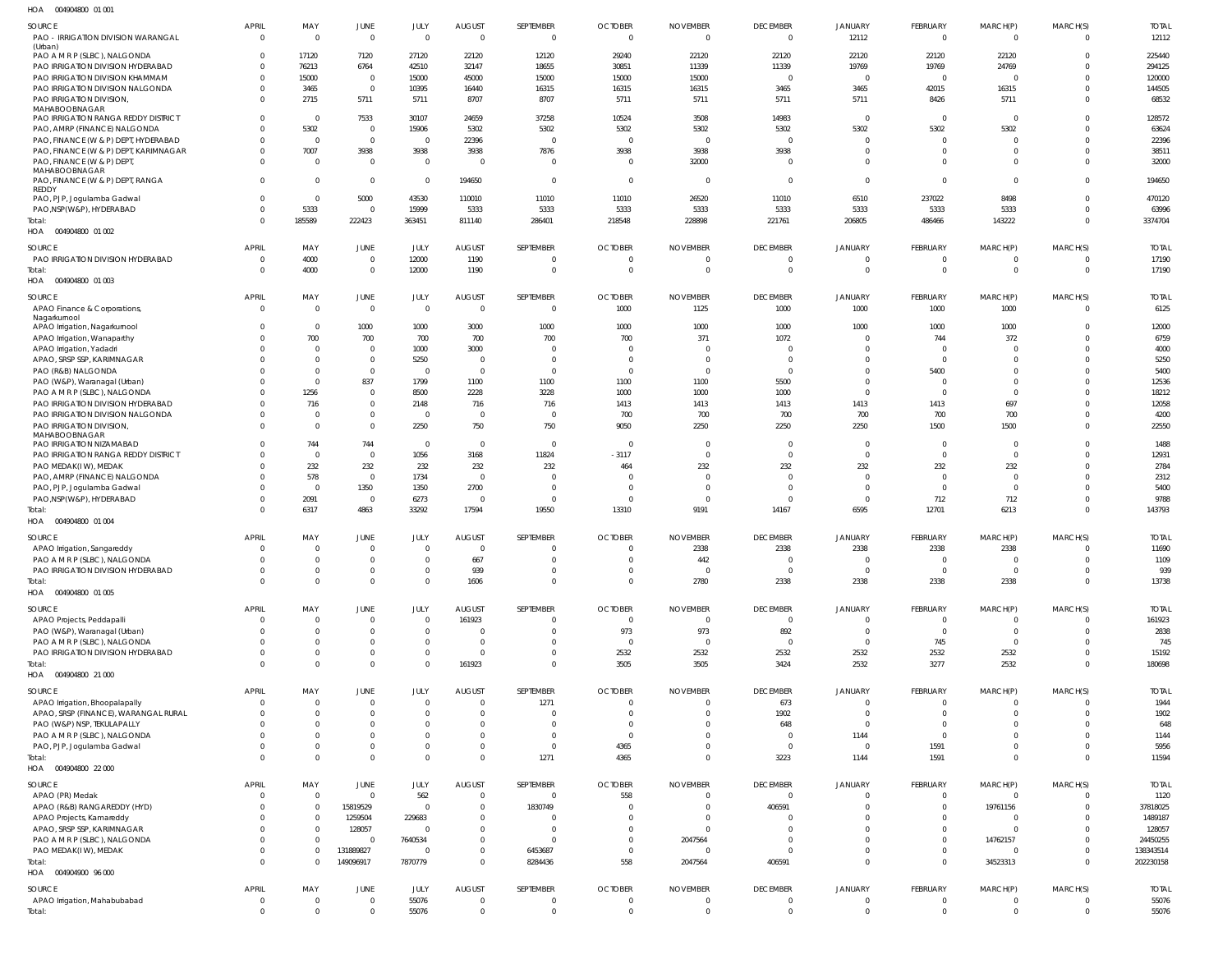004904800 01 001 HOA

| 11071<br>OUT/UTUUU UI UU                                          |                                |                            |                                  |                            |                                 |                       |                                  |                                   |                                           |                         |                                  |                      |                      |                       |
|-------------------------------------------------------------------|--------------------------------|----------------------------|----------------------------------|----------------------------|---------------------------------|-----------------------|----------------------------------|-----------------------------------|-------------------------------------------|-------------------------|----------------------------------|----------------------|----------------------|-----------------------|
| SOURCE<br>PAO - IRRIGATION DIVISION WARANGAL                      | <b>APRIL</b><br>$\overline{0}$ | MAY<br>$\overline{0}$      | <b>JUNE</b><br>$\overline{0}$    | JULY<br>$\overline{0}$     | <b>AUGUST</b><br>$\overline{0}$ | SEPTEMBER<br>$\Omega$ | <b>OCTOBER</b><br>$\overline{0}$ | <b>NOVEMBER</b><br>$\overline{0}$ | <b>DECEMBER</b><br>$\Omega$               | <b>JANUARY</b><br>12112 | FEBRUARY<br>$\Omega$             | MARCH(P)<br>$\Omega$ | MARCH(S)<br>$\Omega$ | <b>TOTAL</b><br>12112 |
| (Urban)                                                           |                                |                            |                                  |                            |                                 |                       |                                  |                                   |                                           |                         |                                  |                      |                      |                       |
| PAO A M R P (SLBC), NALGONDA                                      | $\Omega$                       | 17120                      | 7120                             | 27120                      | 22120                           | 12120                 | 29240                            | 22120                             | 22120                                     | 22120                   | 22120                            | 22120                | $\Omega$             | 225440                |
| PAO IRRIGATION DIVISION HYDERABAD                                 | $\Omega$                       | 76213                      | 6764                             | 42510                      | 32147                           | 18655                 | 30851                            | 11339                             | 11339                                     | 19769                   | 19769                            | 24769                | $\Omega$             | 294125                |
| PAO IRRIGATION DIVISION KHAMMAM                                   | $\Omega$                       | 15000                      | $\overline{0}$                   | 15000                      | 45000                           | 15000                 | 15000                            | 15000                             | $\Omega$                                  | $\overline{0}$          | $\Omega$                         | $\Omega$             | $\Omega$             | 120000                |
| PAO IRRIGATION DIVISION NALGONDA                                  | $\Omega$                       | 3465                       | $\overline{0}$                   | 10395                      | 16440                           | 16315                 | 16315                            | 16315                             | 3465                                      | 3465                    | 42015                            | 16315                | <sup>0</sup>         | 144505                |
| PAO IRRIGATION DIVISION,<br>MAHABOOBNAGAR                         | $\Omega$                       | 2715                       | 5711                             | 5711                       | 8707                            | 8707                  | 5711                             | 5711                              | 5711                                      | 5711                    | 8426                             | 5711                 | $\Omega$             | 68532                 |
| PAO IRRIGATION RANGA REDDY DISTRICT                               | $\Omega$                       | $\Omega$                   | 7533                             | 30107                      | 24659                           | 37258                 | 10524                            | 3508                              | 14983                                     | $\overline{0}$          | $\Omega$                         | $\Omega$             | $\Omega$             | 128572                |
| PAO, AMRP (FINANCE) NALGONDA                                      | <sup>0</sup>                   | 5302                       | $\overline{0}$                   | 15906                      | 5302                            | 5302                  | 5302                             | 5302                              | 5302                                      | 5302                    | 5302                             | 5302                 | $\Omega$             | 63624                 |
| PAO, FINANCE (W & P) DEPT, HYDERABAD                              | <sup>0</sup>                   | $\Omega$                   | $\overline{0}$                   | $\Omega$                   | 22396                           | $\Omega$              | $\overline{0}$                   | $\overline{0}$                    | $\Omega$                                  | $\Omega$                | $\Omega$                         | $\Omega$             | $\Omega$             | 22396                 |
| PAO, FINANCE (W & P) DEPT, KARIMNAGAR                             | $\Omega$                       | 7007                       | 3938                             | 3938                       | 3938                            | 7876                  | 3938                             | 3938                              | 3938                                      | $\overline{0}$          | $\Omega$                         | $\Omega$             | $\Omega$             | 38511                 |
| PAO, FINANCE (W & P) DEPT,                                        | $\Omega$                       | $\Omega$                   | $\overline{0}$                   | $\Omega$                   | - 0                             | $\Omega$              | $\Omega$                         | 32000                             | $\Omega$                                  | $\Omega$                | $\Omega$                         | $\Omega$             | $\Omega$             | 32000                 |
| MAHABOOBNAGAR                                                     |                                |                            |                                  |                            |                                 |                       |                                  |                                   |                                           |                         |                                  |                      |                      |                       |
| PAO, FINANCE (W & P) DEPT, RANGA                                  | $\Omega$                       | $\Omega$                   | $\overline{0}$                   | $\overline{0}$             | 194650                          | $\overline{0}$        | $\overline{0}$                   | $\overline{0}$                    | $\Omega$                                  | $\overline{0}$          | $\Omega$                         | $\overline{0}$       | $\Omega$             | 194650                |
| REDDY                                                             | $\Omega$                       |                            |                                  |                            |                                 |                       |                                  |                                   |                                           |                         |                                  |                      | $\Omega$             |                       |
| PAO, PJP, Jogulamba Gadwal<br>PAO, NSP(W&P), HYDERABAD            | $\Omega$                       | $\mathbf 0$<br>5333        | 5000<br>$\overline{0}$           | 43530<br>15999             | 110010<br>5333                  | 11010<br>5333         | 11010<br>5333                    | 26520<br>5333                     | 11010<br>5333                             | 6510<br>5333            | 237022<br>5333                   | 8498<br>5333         | $\Omega$             | 470120<br>63996       |
| Total:                                                            | $\Omega$                       | 185589                     | 222423                           | 363451                     | 811140                          | 286401                | 218548                           | 228898                            | 221761                                    | 206805                  | 486466                           | 143222               | $\Omega$             | 3374704               |
| 004904800 01 002<br>HOA                                           |                                |                            |                                  |                            |                                 |                       |                                  |                                   |                                           |                         |                                  |                      |                      |                       |
|                                                                   |                                |                            |                                  |                            |                                 |                       |                                  |                                   |                                           |                         |                                  |                      |                      |                       |
| SOURCE                                                            | <b>APRIL</b>                   | MAY                        | JUNE                             | JULY                       | <b>AUGUST</b>                   | SEPTEMBER             | <b>OCTOBER</b>                   | <b>NOVEMBER</b>                   | <b>DECEMBER</b>                           | <b>JANUARY</b>          | FEBRUARY                         | MARCH(P)             | MARCH(S)             | <b>TOTAL</b>          |
| PAO IRRIGATION DIVISION HYDERABAD                                 | $\overline{0}$                 | 4000                       | $\overline{0}$                   | 12000                      | 1190                            | - 0                   | $\overline{0}$                   | 0                                 | $\overline{0}$                            | $\overline{0}$          | $\overline{0}$                   | $\overline{0}$       | $\Omega$             | 17190                 |
| Total:                                                            | $\Omega$                       | 4000                       | $\overline{0}$                   | 12000                      | 1190                            | $\circ$               | $\overline{0}$                   | $\overline{0}$                    | $\overline{0}$                            | $\overline{0}$          | $\Omega$                         | $\overline{0}$       | $\overline{0}$       | 17190                 |
| HOA<br>004904800 01 003                                           |                                |                            |                                  |                            |                                 |                       |                                  |                                   |                                           |                         |                                  |                      |                      |                       |
| SOURCE                                                            | <b>APRIL</b>                   | MAY                        | <b>JUNE</b>                      | JULY                       | <b>AUGUST</b>                   | SEPTEMBER             | <b>OCTOBER</b>                   | <b>NOVEMBER</b>                   | <b>DECEMBER</b>                           | <b>JANUARY</b>          | FEBRUARY                         | MARCH(P)             | MARCH(S)             | <b>TOTAL</b>          |
| APAO Finance & Corporations,                                      | $\overline{0}$                 | $\overline{0}$             | $\overline{0}$                   | $\overline{0}$             | $\overline{0}$                  | $\circ$               | 1000                             | 1125                              | 1000                                      | 1000                    | 1000                             | 1000                 | $\Omega$             | 6125                  |
| Nagarkurnool                                                      |                                |                            |                                  |                            |                                 |                       |                                  |                                   |                                           |                         |                                  |                      |                      |                       |
| APAO Irrigation, Nagarkurnool                                     | <sup>0</sup>                   | $\mathbf 0$                | 1000                             | 1000                       | 3000                            | 1000                  | 1000                             | 1000                              | 1000                                      | 1000                    | 1000                             | 1000                 | <sup>0</sup>         | 12000                 |
| APAO Irrigation, Wanaparthy                                       | <sup>0</sup>                   | 700                        | 700                              | 700                        | 700                             | 700                   | 700                              | 371                               | 1072                                      | $\Omega$                | 744                              | 372                  | $\Omega$             | 6759                  |
| APAO Irrigation, Yadadri                                          |                                | $\Omega$                   | $\overline{0}$                   | 1000                       | 3000                            | $\overline{0}$        | $\Omega$                         | $\overline{0}$                    | $\Omega$                                  | $\overline{0}$          | $\Omega$                         | $\Omega$             | $\Omega$             | 4000                  |
| APAO, SRSP SSP, KARIMNAGAR                                        |                                | $\Omega$                   | $\overline{0}$                   | 5250                       | $\overline{0}$                  | $\mathbf{0}$          | $\overline{0}$                   | $\overline{0}$                    | $\Omega$                                  | $\Omega$                | $\Omega$                         | $\Omega$             | <sup>0</sup>         | 5250                  |
| PAO (R&B) NALGONDA                                                |                                | $\Omega$                   | $\overline{0}$                   | $\Omega$                   | $\overline{0}$                  | $\overline{0}$        | $\overline{0}$                   | $\overline{0}$                    | $\Omega$                                  | $\Omega$                | 5400                             | $\Omega$             | <sup>0</sup>         | 5400                  |
| PAO (W&P), Waranagal (Urban)                                      |                                | $\Omega$                   | 837                              | 1799                       | 1100                            | 1100                  | 1100                             | 1100                              | 5500                                      | $\Omega$                | $\Omega$                         | $\Omega$             | <sup>0</sup>         | 12536                 |
| PAO A M R P (SLBC), NALGONDA                                      |                                | 1256                       | $\overline{0}$                   | 8500                       | 2228                            | 3228                  | 1000                             | 1000                              | 1000                                      | $\Omega$                | $\Omega$                         | $\overline{0}$       | <sup>0</sup>         | 18212                 |
| PAO IRRIGATION DIVISION HYDERABAD                                 |                                | 716                        | $\overline{0}$                   | 2148                       | 716                             | 716                   | 1413                             | 1413                              | 1413                                      | 1413                    | 1413                             | 697                  | $\Omega$             | 12058                 |
| PAO IRRIGATION DIVISION NALGONDA                                  | $\Omega$                       | $\Omega$                   | $\overline{0}$                   | $\Omega$                   | $\overline{0}$                  | $\overline{0}$        | 700                              | 700                               | 700                                       | 700                     | 700                              | 700                  | $\Omega$             | 4200                  |
| PAO IRRIGATION DIVISION,<br>MAHABOOBNAGAR                         | $\Omega$                       | $\Omega$                   | $\overline{0}$                   | 2250                       | 750                             | 750                   | 9050                             | 2250                              | 2250                                      | 2250                    | 1500                             | 1500                 | $\Omega$             | 22550                 |
| PAO IRRIGATION NIZAMABAD                                          |                                | 744                        | 744                              | $\Omega$                   | $\overline{\mathbf{0}}$         | $\overline{0}$        | $\circ$                          | $\overline{0}$                    | $\overline{0}$                            | $\overline{0}$          | $\Omega$                         | $\overline{0}$       | <sup>0</sup>         | 1488                  |
| PAO IRRIGATION RANGA REDDY DISTRICT                               | <sup>0</sup>                   | $\Omega$                   | $\overline{0}$                   | 1056                       | 3168                            | 11824                 | $-3117$                          | $\overline{0}$                    | $\Omega$                                  | $\Omega$                | $\Omega$                         | $\overline{0}$       | $\Omega$             | 12931                 |
| PAO MEDAK(IW), MEDAK                                              |                                | 232                        | 232                              | 232                        | 232                             | 232                   | 464                              | 232                               | 232                                       | 232                     | 232                              | 232                  | $\Omega$             | 2784                  |
| PAO, AMRP (FINANCE) NALGONDA                                      | <sup>0</sup>                   | 578                        | $\overline{0}$                   | 1734                       | $\overline{0}$                  | $\Omega$              | $\Omega$                         | $\Omega$                          | $\Omega$                                  | $\Omega$                | $\Omega$                         | $\Omega$             | <sup>0</sup>         | 2312                  |
| PAO, PJP, Jogulamba Gadwal                                        | <sup>0</sup>                   | $\Omega$                   | 1350                             | 1350                       | 2700                            | $^{\circ}$            | $\Omega$                         | $\overline{0}$                    | $\Omega$                                  | $\Omega$                | $\Omega$                         | $\mathbf{0}$         | <sup>0</sup>         | 5400                  |
| PAO, NSP (W&P), HYDERABAD                                         | <sup>0</sup>                   | 2091                       | $\overline{0}$                   | 6273                       | $\overline{\mathbf{0}}$         | $\overline{0}$        | $\Omega$                         | $\overline{0}$                    | $\Omega$                                  | $\Omega$                | 712                              | 712                  | $\Omega$             | 9788                  |
| Total:                                                            | $\Omega$                       | 6317                       | 4863                             | 33292                      | 17594                           | 19550                 | 13310                            | 9191                              | 14167                                     | 6595                    | 12701                            | 6213                 | $\Omega$             | 143793                |
| HOA  004904800  01 004                                            |                                |                            |                                  |                            |                                 |                       |                                  |                                   |                                           |                         |                                  |                      |                      |                       |
|                                                                   |                                |                            |                                  |                            |                                 |                       |                                  |                                   |                                           |                         |                                  |                      |                      |                       |
| SOURCE                                                            | <b>APRIL</b>                   | MAY                        | <b>JUNE</b>                      | JULY                       | <b>AUGUST</b>                   | SEPTEMBER             | <b>OCTOBER</b>                   | <b>NOVEMBER</b>                   | <b>DECEMBER</b>                           | <b>JANUARY</b>          | FEBRUARY                         | MARCH(P)             | MARCH(S)             | <b>TOTAL</b>          |
| APAO Irrigation, Sangareddy                                       | $\overline{0}$<br>$\cap$       | $\overline{0}$<br>$\Omega$ | $\overline{0}$<br>$\cap$         | $\overline{0}$<br>$\Omega$ | $\overline{0}$<br>667           | $\Omega$              | $\overline{0}$<br>$\Omega$       | 2338<br>442                       | 2338<br>$\Omega$                          | 2338<br>$\Omega$        | 2338<br>$\Omega$                 | 2338                 | $\Omega$<br>$\cap$   | 11690                 |
| PAO A M R P (SLBC), NALGONDA<br>PAO IRRIGATION DIVISION HYDERABAD | 0                              | $\mathbf 0$                | $\overline{0}$                   | $\Omega$                   | 939                             |                       | $\Omega$                         | $\overline{0}$                    | $\overline{0}$                            | $\overline{0}$          | $\overline{0}$                   | $\overline{0}$       | $\Omega$             | 1109<br>939           |
| Total:                                                            | $\mathbf 0$                    | $\mathbf 0$                | $\overline{0}$                   | $\Omega$                   | 1606                            | $^{\circ}$            | $\mathbf 0$                      | 2780                              | 2338                                      | 2338                    | 2338                             | 2338                 | $\overline{0}$       | 13738                 |
| HOA  004904800  01  005                                           |                                |                            |                                  |                            |                                 |                       |                                  |                                   |                                           |                         |                                  |                      |                      |                       |
|                                                                   |                                |                            |                                  |                            |                                 |                       |                                  |                                   |                                           |                         |                                  |                      |                      |                       |
| SOURCE                                                            | <b>APRIL</b>                   | MAY                        | <b>JUNE</b>                      | JULY                       | <b>AUGUST</b>                   | SEPTEMBER             | <b>OCTOBER</b>                   | <b>NOVEMBER</b>                   | <b>DECEMBER</b>                           | <b>JANUARY</b>          | FEBRUARY                         | MARCH(P)             | MARCH(S)             | <b>TOTAL</b>          |
| APAO Projects, Peddapalli                                         | $\Omega$                       | $\Omega$                   | $\overline{0}$                   | $\Omega$                   | 161923                          | $\Omega$              | $\overline{0}$                   | $\overline{0}$                    | $\overline{0}$                            | $\Omega$                | $\overline{0}$                   | $\overline{0}$       | <sup>0</sup>         | 161923                |
| PAO (W&P), Waranagal (Urban)                                      | $\Omega$                       | $\Omega$                   | $\overline{0}$                   | $\Omega$                   | $\overline{0}$                  | $\Omega$              | 973                              | 973                               | 892                                       | $\overline{0}$          | $\Omega$                         | $\overline{0}$       | $\Omega$             | 2838                  |
| PAO A M R P (SLBC), NALGONDA                                      |                                | $\Omega$                   | $\overline{0}$                   | $\Omega$                   | $\overline{0}$                  | $\Omega$              | $\overline{0}$                   | $\overline{0}$                    | $\overline{0}$                            | - 0                     | 745                              | $\mathbf{0}$         |                      | 745                   |
| PAO IRRIGATION DIVISION HYDERABAD                                 | $\Omega$                       | $\Omega$                   | $\overline{0}$                   | $\overline{0}$             | $\Omega$                        | $\Omega$              | 2532                             | 2532                              | 2532                                      | 2532                    | 2532                             | 2532                 | <sup>0</sup>         | 15192                 |
| Total:                                                            | $\Omega$                       | $\Omega$                   | $\overline{0}$                   | $\Omega$                   | 161923                          | $\mathbf 0$           | 3505                             | 3505                              | 3424                                      | 2532                    | 3277                             | 2532                 | $\Omega$             | 180698                |
| HOA  004904800  21 000                                            |                                |                            |                                  |                            |                                 |                       |                                  |                                   |                                           |                         |                                  |                      |                      |                       |
| SOURCE                                                            | <b>APRIL</b>                   | MAY                        | JUNE                             | JULY                       | <b>AUGUST</b>                   | SEPTEMBER             | <b>OCTOBER</b>                   | <b>NOVEMBER</b>                   | <b>DECEMBER</b>                           | <b>JANUARY</b>          | FEBRUARY                         | MARCH(P)             | MARCH(S)             | <b>TOTAL</b>          |
| APAO Irrigation, Bhoopalapally                                    | $\overline{0}$                 | $\mathbf 0$                | $\overline{0}$                   | $\overline{0}$             | $\overline{0}$                  | 1271                  | $\overline{0}$                   | $\mathbf 0$                       | 673                                       | $\overline{0}$          | $\Omega$                         | 0                    | $\Omega$             | 1944                  |
| APAO, SRSP (FINANCE), WARANGAL RURAL                              | $\Omega$                       | $\Omega$                   | $\overline{0}$                   | $\Omega$                   | $\overline{0}$                  |                       | - 0                              | $\mathbf 0$                       | 1902                                      | $\overline{0}$          | $\Omega$                         | 0                    | $\Omega$             | 1902                  |
| PAO (W&P) NSP, TEKULAPALLY                                        | $\Omega$                       | $\Omega$                   | $\overline{0}$                   | $\Omega$                   | $\overline{0}$                  |                       | - 0                              | $\mathbf 0$                       | 648                                       | $\overline{0}$          | $\Omega$                         | $\Omega$             | <sup>0</sup>         | 648                   |
| PAO A M R P (SLBC), NALGONDA                                      | <sup>0</sup>                   | $\Omega$                   | $\overline{0}$                   | $\Omega$                   | $\overline{0}$                  | $^{\circ}$            | $^{\circ}$                       | $\Omega$                          | $\Omega$                                  | 1144                    | $\Omega$                         | $\Omega$             | $\Omega$             | 1144                  |
| PAO, PJP, Jogulamba Gadwal                                        | $\Omega$                       | $\Omega$                   | $\overline{0}$                   | $\overline{0}$             | $\overline{0}$                  | $\mathbf 0$           | 4365                             | 0                                 | $\overline{0}$                            | $\overline{0}$          | 1591                             | $\overline{0}$       | $\Omega$             | 5956                  |
| Total:                                                            | $\Omega$                       | $\Omega$                   | $\overline{0}$                   | $\Omega$                   | $\overline{0}$                  | 1271                  | 4365                             | $\mathbf 0$                       | 3223                                      | 1144                    | 1591                             | $\Omega$             | $\Omega$             | 11594                 |
| HOA  004904800  22 000                                            |                                |                            |                                  |                            |                                 |                       |                                  |                                   |                                           |                         |                                  |                      |                      |                       |
| SOURCE                                                            | <b>APRIL</b>                   | MAY                        | JUNE                             | <b>JULY</b>                | <b>AUGUST</b>                   | SEPTEMBER             | <b>OCTOBER</b>                   | <b>NOVEMBER</b>                   | <b>DECEMBER</b>                           | <b>JANUARY</b>          | FEBRUARY                         | MARCH(P)             | MARCH(S)             | <b>TOTAL</b>          |
| APAO (PR) Medak                                                   | $\Omega$                       | $\mathbf 0$                | $\overline{0}$                   | 562                        | $\overline{0}$                  | $\circ$               | 558                              | $\mathbf 0$                       | $\overline{0}$                            | $\Omega$                | $\Omega$                         | $\overline{0}$       | <sup>0</sup>         | 1120                  |
| APAO (R&B) RANGAREDDY (HYD)                                       | $\Omega$                       | $\mathbf 0$                | 15819529                         | $\overline{0}$             | $\overline{0}$                  | 1830749               | $\overline{0}$                   | $\mathbf 0$                       | 406591                                    | $\Omega$                | $\Omega$                         | 19761156             | $\Omega$             | 37818025              |
| APAO Projects, Kamareddy                                          |                                | $\mathbf 0$                | 1259504                          | 229683                     | $^{\circ}$                      |                       | $\Omega$                         | $\mathbf 0$                       | $\Omega$                                  | $\Omega$                |                                  | $\overline{0}$       |                      | 1489187               |
| APAO, SRSP SSP, KARIMNAGAR                                        | <sup>0</sup>                   | 0                          | 128057                           | $\Omega$                   | $\Omega$                        |                       | - 0                              | $\Omega$                          | $\Omega$                                  | $\Omega$                | $\Omega$                         | $\Omega$             |                      | 128057                |
| PAO A M R P (SLBC), NALGONDA                                      | $\Omega$                       | $\mathbf 0$                | $\overline{0}$                   | 7640534                    | $\mathbf{0}$                    |                       | $\Omega$                         | 2047564                           | $\Omega$                                  | $\Omega$                | $\Omega$                         | 14762157             | $\Omega$             | 24450255              |
| PAO MEDAK(IW), MEDAK                                              | $\Omega$                       | $\mathbf 0$                | 131889827                        | $\Omega$                   | $\overline{0}$                  | 6453687               | $^{\circ}$                       | $\Omega$                          | $\Omega$                                  | $\Omega$                | $\Omega$                         | 0                    | $\Omega$             | 138343514             |
| Total:                                                            | $\Omega$                       | $\mathbf 0$                | 149096917                        | 7870779                    | $\overline{0}$                  | 8284436               | 558                              | 2047564                           | 406591                                    | $\Omega$                | $\Omega$                         | 34523313             | $\Omega$             | 202230158             |
| HOA  004904900  96  000                                           |                                |                            |                                  |                            |                                 |                       |                                  |                                   |                                           |                         |                                  |                      |                      |                       |
|                                                                   |                                |                            |                                  |                            |                                 |                       |                                  |                                   |                                           |                         |                                  |                      |                      |                       |
|                                                                   |                                |                            |                                  |                            |                                 |                       |                                  |                                   |                                           |                         |                                  |                      |                      |                       |
| SOURCE                                                            | <b>APRIL</b>                   | MAY                        | <b>JUNE</b>                      | JULY                       | <b>AUGUST</b>                   | SEPTEMBER             | <b>OCTOBER</b>                   | <b>NOVEMBER</b>                   | <b>DECEMBER</b>                           | <b>JANUARY</b>          | FEBRUARY                         | MARCH(P)             | MARCH(S)             | <b>TOTAL</b>          |
| APAO Irrigation, Mahabubabad<br>Total:                            | 0<br>$\mathbf{0}$              | $\mathbf 0$<br>$\mathbf 0$ | $\overline{0}$<br>$\overline{0}$ | 55076<br>55076             | $\overline{0}$<br>$\mathbf 0$   | - 0<br>$\overline{0}$ | - 0<br>$\overline{0}$            | $\overline{0}$<br>$\mathbf 0$     | $\overline{\mathbf{0}}$<br>$\overline{0}$ | 0<br>$\overline{0}$     | $\overline{0}$<br>$\overline{0}$ | 0<br>$\overline{0}$  | $\overline{0}$       | 55076<br>55076        |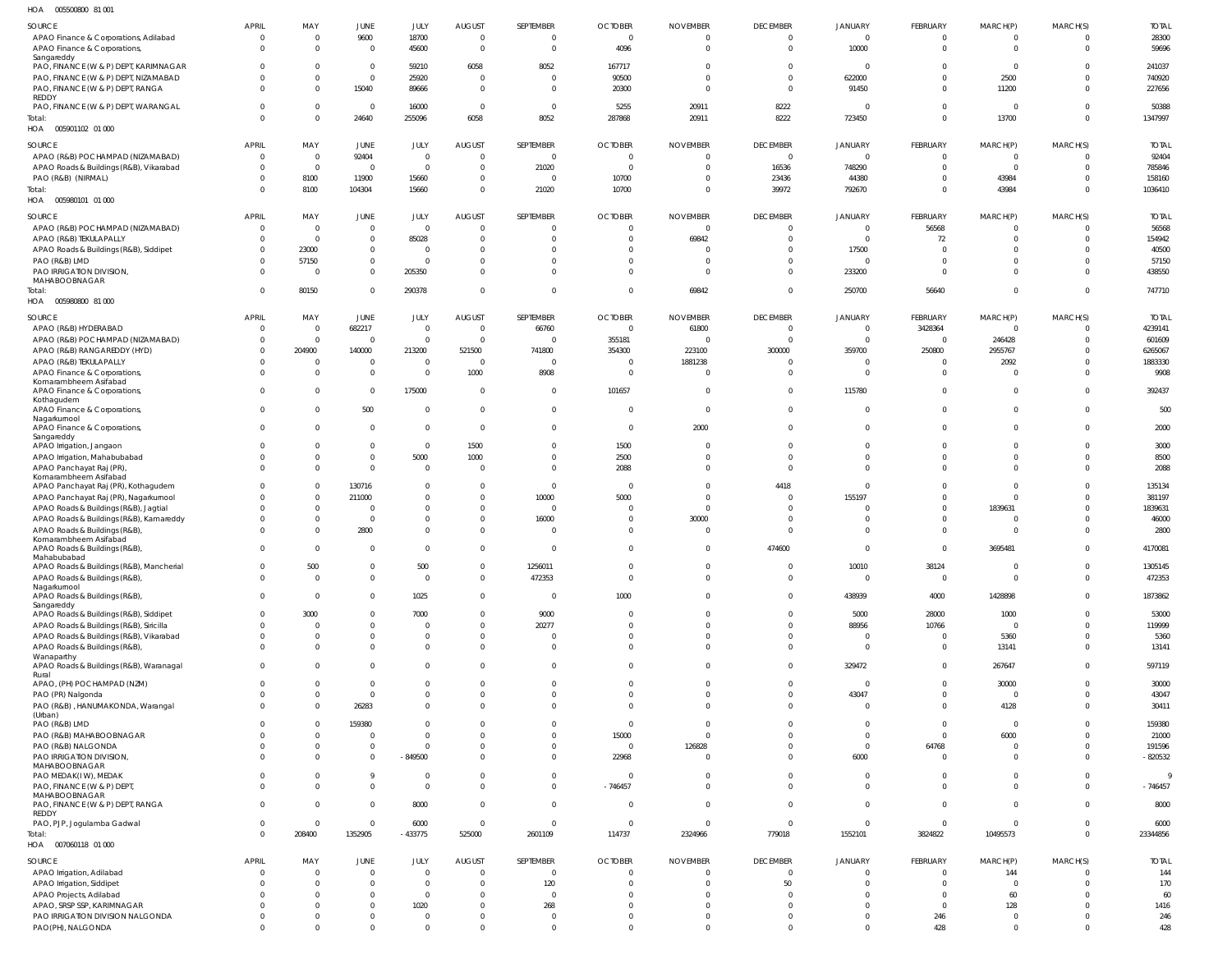| HOA<br>005500800 81 001                                 |                |                |                |                |                |                |                |                 |                 |                |                |                |                |              |
|---------------------------------------------------------|----------------|----------------|----------------|----------------|----------------|----------------|----------------|-----------------|-----------------|----------------|----------------|----------------|----------------|--------------|
| <b>SOURCE</b>                                           | <b>APRIL</b>   | MAY            | <b>JUNE</b>    | JULY           | <b>AUGUST</b>  | SEPTEMBER      | <b>OCTOBER</b> | <b>NOVEMBER</b> | <b>DECEMBER</b> | <b>JANUARY</b> | FEBRUARY       | MARCH(P)       | MARCH(S)       | <b>TOTAL</b> |
| APAO Finance & Corporations, Adilabad                   | $\overline{0}$ | $\mathbf 0$    | 9600           | 18700          | $\overline{0}$ | $\overline{0}$ | $\overline{0}$ | $\overline{0}$  | $\Omega$        | $\mathbf{0}$   | $\overline{0}$ | $\mathbf{0}$   | 0              | 28300        |
| APAO Finance & Corporations,                            | $\Omega$       | $\mathbf 0$    | $\mathbf 0$    | 45600          | $\overline{0}$ | $\overline{0}$ | 4096           | $\overline{0}$  | $\Omega$        | 10000          | $\mathbf 0$    | $\mathbf 0$    | $\overline{0}$ | 59696        |
| Sangareddy                                              |                |                |                |                |                |                |                |                 |                 |                |                |                |                |              |
| PAO, FINANCE (W & P) DEPT, KARIMNAGAR                   | $\Omega$       | $\Omega$       | $\mathbf{0}$   | 59210          | 6058           | 8052           | 167717         | $\overline{0}$  | $\Omega$        | $\overline{0}$ | $\Omega$       | $\mathbf{0}$   | 0              | 241037       |
| PAO, FINANCE (W & P) DEPT, NIZAMABAD                    | $\Omega$       | $\Omega$       | $\mathbf 0$    | 25920          | $\overline{0}$ | $\overline{0}$ | 90500          | $\Omega$        | $\Omega$        | 622000         | $\Omega$       | 2500           | $\mathbf 0$    | 740920       |
| PAO, FINANCE (W & P) DEPT, RANGA                        | $\Omega$       | $\mathbf 0$    | 15040          | 89666          | $\overline{0}$ | $\mathbf 0$    | 20300          | $\overline{0}$  | $\Omega$        | 91450          | $^{\circ}$     | 11200          | $^{\circ}$     | 227656       |
| REDDY                                                   |                |                |                |                |                |                |                |                 |                 |                |                |                |                |              |
| PAO, FINANCE (W & P) DEPT, WARANGAL                     | $\Omega$       | $\mathbf 0$    | $\mathbf 0$    | 16000          | $\overline{0}$ | $\mathbf{0}$   | 5255           | 20911           | 8222            | - 0            | $\mathbf{0}$   | $\Omega$       | 0              | 50388        |
| Total:                                                  | $\Omega$       | $\mathbf 0$    | 24640          | 255096         | 6058           | 8052           | 287868         | 20911           | 8222            | 723450         | $\mathbf 0$    | 13700          | $\mathbf{0}$   | 1347997      |
| HOA  005901102  01  000                                 |                |                |                |                |                |                |                |                 |                 |                |                |                |                |              |
| <b>SOURCE</b>                                           | <b>APRIL</b>   | MAY            | JUNE           | JULY           | <b>AUGUST</b>  | SEPTEMBER      | <b>OCTOBER</b> | <b>NOVEMBER</b> | <b>DECEMBER</b> | JANUARY        | FEBRUARY       | MARCH(P)       | MARCH(S)       | <b>TOTAL</b> |
| APAO (R&B) POCHAMPAD (NIZAMABAD)                        | $\overline{0}$ | $\overline{0}$ | 92404          | $\mathbf{0}$   | $\overline{0}$ | 0              | $\overline{0}$ | $\overline{0}$  | $\overline{0}$  | $\mathbf 0$    | $\overline{0}$ | $\mathbf{0}$   | -0             | 92404        |
| APAO Roads & Buildings (R&B), Vikarabad                 | $\mathbf 0$    | $\overline{0}$ | $\mathbf 0$    | $\overline{0}$ | $\overline{0}$ | 21020          | $\overline{0}$ | $\overline{0}$  | 16536           | 748290         | $\mathbf 0$    | $\Omega$       | $\Omega$       | 785846       |
| PAO (R&B) (NIRMAL)                                      | $\Omega$       | 8100           | 11900          | 15660          | $\overline{0}$ | 0              | 10700          | $\overline{0}$  | 23436           | 44380          | $\overline{0}$ | 43984          | -0             | 158160       |
| Total:                                                  | $\Omega$       | 8100           | 104304         | 15660          | $\overline{0}$ | 21020          | 10700          | $\overline{0}$  | 39972           | 792670         | $\mathbf{0}$   | 43984          | $\mathbf 0$    | 1036410      |
| HOA<br>005980101 01 000                                 |                |                |                |                |                |                |                |                 |                 |                |                |                |                |              |
|                                                         |                |                |                |                |                |                |                |                 |                 |                |                |                |                |              |
| <b>SOURCE</b>                                           | <b>APRIL</b>   | MAY            | JUNE           | JULY           | <b>AUGUST</b>  | SEPTEMBER      | <b>OCTOBER</b> | <b>NOVEMBER</b> | <b>DECEMBER</b> | <b>JANUARY</b> | FEBRUARY       | MARCH(P)       | MARCH(S)       | <b>TOTAL</b> |
| APAO (R&B) POCHAMPAD (NIZAMABAD)                        | $\overline{0}$ | $\mathbf 0$    | $\mathbf{0}$   | $\Omega$       | $\overline{0}$ | 0              | $\overline{0}$ | $\overline{0}$  | $^{\circ}$      | 0              | 56568          | $\Omega$       | 0              | 56568        |
| APAO (R&B) TEKULAPALLY                                  | $\Omega$       | $\overline{0}$ | $\mathbf{0}$   | 85028          | $\overline{0}$ | $\overline{0}$ | $\overline{0}$ | 69842           | $\Omega$        | $\mathbf{0}$   | 72             | $\Omega$       | $\Omega$       | 154942       |
| APAO Roads & Buildings (R&B), Siddipet                  | 0              | 23000          | $\overline{0}$ | $\Omega$       | $\overline{0}$ | $\mathbf{0}$   | $\mathbf{0}$   | - 0             | $\Omega$        | 17500          | $\mathbf 0$    | $\Omega$       | 0              | 40500        |
| PAO (R&B) LMD                                           | $\Omega$       | 57150          | $\mathbf{0}$   | $\Omega$       | $\mathbf{0}$   | $^{\circ}$     | $\overline{0}$ | $\Omega$        | $\Omega$        | - 0            | $\mathbf 0$    | $\Omega$       | $\Omega$       | 57150        |
| PAO IRRIGATION DIVISION,                                | $\Omega$       | $\Omega$       | $\overline{0}$ | 205350         | $\overline{0}$ | $\overline{0}$ | $\Omega$       | $\Omega$        | $\Omega$        | 233200         | $\overline{0}$ | $\Omega$       | $\Omega$       | 438550       |
| MAHABOOBNAGAR                                           |                |                |                |                |                |                |                |                 |                 |                |                |                |                |              |
| Total:                                                  | $\Omega$       | 80150          | $\overline{0}$ | 290378         | $\overline{0}$ | $\mathbf{0}$   | $\mathbf{0}$   | 69842           | $\Omega$        | 250700         | 56640          | $\Omega$       | $\mathbf 0$    | 747710       |
| HOA  005980800  81  000                                 |                |                |                |                |                |                |                |                 |                 |                |                |                |                |              |
| <b>SOURCE</b>                                           | <b>APRIL</b>   | MAY            | JUNE           | JULY           | <b>AUGUST</b>  | SEPTEMBER      | <b>OCTOBER</b> | <b>NOVEMBER</b> | <b>DECEMBER</b> | <b>JANUARY</b> | FEBRUARY       | MARCH(P)       | MARCH(S)       | <b>TOTAL</b> |
| APAO (R&B) HYDERABAD                                    | $\overline{0}$ | $\mathbf 0$    | 682217         | $\Omega$       | $\overline{0}$ | 66760          | $\mathbf 0$    | 61800           | $\Omega$        | $\mathbf{0}$   | 3428364        | $\overline{0}$ | 0              | 4239141      |
| APAO (R&B) POCHAMPAD (NIZAMABAD)                        | $\mathbf 0$    | $\mathbf 0$    | $\mathbf 0$    | $\overline{0}$ | $\overline{0}$ | 0              | 355181         | $\overline{0}$  | $\overline{0}$  | $\overline{0}$ | $\overline{0}$ | 246428         | -0             | 601609       |
| APAO (R&B) RANGAREDDY (HYD)                             | $\mathbf 0$    | 204900         | 140000         | 213200         | 521500         | 741800         | 354300         | 223100          | 300000          | 359700         | 250800         | 2955767        | -0             | 6265067      |
|                                                         | $\Omega$       | $\mathbf 0$    | $\mathbf 0$    | $\Omega$       | $\overline{0}$ | $\overline{0}$ | 0              | 1881238         | $\Omega$        | $\overline{0}$ | $\overline{0}$ | 2092           | -0             | 1883330      |
| APAO (R&B) TEKULAPALLY                                  | $\Omega$       | $\mathbf 0$    | $\mathbf{0}$   | $\mathbf 0$    |                |                |                | $\overline{0}$  | $\Omega$        | $\mathbf{0}$   | $\mathbf 0$    | $\Omega$       | $\Omega$       | 9908         |
| APAO Finance & Corporations,<br>Komarambheem Asifabad   |                |                |                |                | 1000           | 8908           | 0              |                 |                 |                |                |                |                |              |
| APAO Finance & Corporations,                            | $\mathbf 0$    | $\mathbf 0$    | $\mathbf 0$    | 175000         | $\overline{0}$ | $\overline{0}$ | 101657         | $\overline{0}$  | $\Omega$        | 115780         | $\mathbf 0$    | $\Omega$       | $\Omega$       | 392437       |
| Kothagudem                                              |                |                |                |                |                |                |                |                 |                 |                |                |                |                |              |
| APAO Finance & Corporations,                            | $\Omega$       | $\mathbf 0$    | 500            | $\Omega$       | $\overline{0}$ | $\overline{0}$ | $\overline{0}$ | $\overline{0}$  | $\Omega$        | $\mathbf{0}$   | $\mathbf 0$    | $\mathbf 0$    | $\mathbf 0$    | 500          |
| Nagarkurnool                                            |                |                |                |                |                |                |                |                 |                 |                |                |                |                |              |
| APAO Finance & Corporations,                            | $\mathbf 0$    | $\mathbf 0$    | $\mathbf{0}$   | $\Omega$       | $\overline{0}$ | $\mathbf{0}$   | $\overline{0}$ | 2000            | $\mathbf 0$     | $\mathbf{0}$   | $\mathbf 0$    | $\Omega$       | $\Omega$       | 2000         |
| Sangareddy<br>APAO Irrigation, Jangaon                  | $\Omega$       | $\mathbf 0$    | $\mathbf{0}$   | $\mathbf 0$    | 1500           | $\overline{0}$ | 1500           | $\Omega$        | $\Omega$        | $\Omega$       | $\mathbf{0}$   | $\Omega$       | $\Omega$       | 3000         |
| APAO Irrigation, Mahabubabad                            | $\Omega$       | $\mathbf 0$    | $\mathbf 0$    | 5000           | 1000           | $\overline{0}$ | 2500           | $\overline{0}$  | $\Omega$        | $\Omega$       | $\mathbf 0$    | $\mathbf{0}$   | $\Omega$       | 8500         |
| APAO Panchayat Raj (PR)                                 | $\Omega$       | $\mathbf 0$    | $\mathbf{0}$   | $\Omega$       | $\overline{0}$ | $\overline{0}$ | 2088           | $\overline{0}$  | $\Omega$        | $\mathbf 0$    | $\mathbf 0$    | $\Omega$       | $\mathbf 0$    | 2088         |
| Komarambheem Asifabad                                   |                |                |                |                |                |                |                |                 |                 |                |                |                |                |              |
| APAO Panchayat Raj (PR), Kothagudem                     | $\Omega$       | $\mathbf 0$    | 130716         | $\Omega$       | $\overline{0}$ | $\overline{0}$ | $\overline{0}$ | $\overline{0}$  | 4418            | $\mathbf{0}$   | $\mathbf 0$    | $\mathbf{0}$   | $\Omega$       | 135134       |
| APAO Panchayat Raj (PR), Nagarkurnool                   | $\Omega$       | $\mathbf 0$    | 211000         | $\Omega$       | $\overline{0}$ | 10000          | 5000           | $\overline{0}$  | $\Omega$        | 155197         | $\Omega$       | $\Omega$       | $\Omega$       | 381197       |
| APAO Roads & Buildings (R&B), Jagtial                   | $\Omega$       | $\mathbf 0$    | $\overline{0}$ | $\Omega$       | $\overline{0}$ | $\overline{0}$ | 0              | $\overline{0}$  | $\Omega$        | $\Omega$       | $\mathbf 0$    | 1839631        | -0             | 1839631      |
| APAO Roads & Buildings (R&B), Kamareddy                 |                | $\mathbf 0$    | $\mathbf 0$    | $\Omega$       | $\mathbf{0}$   | 16000          | 0              | 30000           | $\Omega$        | $\Omega$       | $\mathbf 0$    |                | $\Omega$       | 46000        |
| APAO Roads & Buildings (R&B),                           | $\Omega$       | $\mathbf 0$    | 2800           | $\Omega$       | $\overline{0}$ | $\overline{0}$ | $\Omega$       | $\overline{0}$  | $\Omega$        | $\Omega$       | $\mathbf{0}$   | $\Omega$       | $\cup$         | 2800         |
| Komarambheem Asifabad                                   |                |                |                |                |                |                |                |                 |                 |                |                |                |                |              |
| APAO Roads & Buildings (R&B),                           | $\Omega$       | $\mathbf 0$    | $\mathbf 0$    | $\Omega$       | $\Omega$       | $\overline{0}$ | $\Omega$       | $\overline{0}$  | 474600          | $\Omega$       | $\Omega$       | 3695481        | $\Omega$       | 4170081      |
| Mahabubabad<br>APAO Roads & Buildings (R&B), Mancherial | $\mathbf 0$    | 500            | $\mathbf 0$    | 500            | $\overline{0}$ | 1256011        | $\overline{0}$ | $\overline{0}$  | $\mathbf{0}$    | 10010          | 38124          | $\mathbf{0}$   | 0              | 1305145      |
| APAO Roads & Buildings (R&B),                           | $\mathbf 0$    | $\mathbf 0$    | $\mathbf 0$    | $\Omega$       | $\overline{0}$ | 472353         | $\overline{0}$ | $\overline{0}$  | $\Omega$        | $\mathbf 0$    | $\overline{0}$ | $\mathbf 0$    | $\mathbf 0$    | 472353       |
| Nagarkurnool                                            |                |                |                |                |                |                |                |                 |                 |                |                |                |                |              |
| APAO Roads & Buildings (R&B),                           | $\overline{0}$ | $\mathbf 0$    | $\overline{0}$ | 1025           | $\overline{0}$ | 0              | 1000           | $\overline{0}$  | $\Omega$        | 438939         | 4000           | 1428898        | $\Omega$       | 1873862      |
| Sangareddy                                              |                |                |                |                |                |                |                |                 |                 |                |                |                |                |              |
| APAO Roads & Buildings (R&B), Siddipet                  | $\Omega$       | 3000           | $\overline{0}$ | 7000           | $\overline{0}$ | 9000           | $\Omega$       | $\Omega$        | $\Omega$        | 5000           | 28000          | 1000           | $\Omega$       | 53000        |
| APAO Roads & Buildings (R&B), Siricilla                 | $\Omega$       | $\mathbf 0$    | $\mathbf 0$    | $\Omega$       | $\overline{0}$ | 20277          | $\Omega$       | $\overline{0}$  | $\Omega$        | 88956          | 10766          | $\overline{0}$ | $\Omega$       | 119999       |
| APAO Roads & Buildings (R&B), Vikarabad                 | $\Omega$       | $\mathbf 0$    | $\mathbf 0$    | $\Omega$       | $\overline{0}$ | 0              | $\Omega$       | $\overline{0}$  | $\Omega$        | $\overline{0}$ | $\overline{0}$ | 5360           | $\Omega$       | 5360         |
| APAO Roads & Buildings (R&B),                           | $\Omega$       | $\Omega$       | $\mathbf{0}$   | $\Omega$       | $\overline{0}$ | $\overline{0}$ | $\Omega$       | $\mathbf 0$     | $\Omega$        | $\overline{0}$ | $\mathbf 0$    | 13141          | $\Omega$       | 13141        |
| Wanaparthy                                              |                |                |                |                |                |                |                |                 |                 |                |                |                |                |              |
| APAO Roads & Buildings (R&B), Waranagal<br>Rural        | $\Omega$       | $\mathbf 0$    | $\overline{0}$ | $\Omega$       | $\overline{0}$ | $\overline{0}$ | $\overline{0}$ | $\mathbf 0$     | $\Omega$        | 329472         | $\overline{0}$ | 267647         | $\mathbf 0$    | 597119       |
| APAO, (PH) POCHAMPAD (NZM)                              | $\mathbf 0$    | $\mathbf 0$    | $\overline{0}$ | $\Omega$       | $\overline{0}$ | $\overline{0}$ | $\overline{0}$ | $\overline{0}$  | $\Omega$        | $\overline{0}$ | $\overline{0}$ | 30000          | $\Omega$       | 30000        |
| PAO (PR) Nalgonda                                       | $\Omega$       | $\mathbf 0$    | $\mathbf 0$    | $\Omega$       | $\overline{0}$ | $\overline{0}$ | $\overline{0}$ | $\overline{0}$  | $\Omega$        | 43047          | $\mathbf 0$    | $\bf 0$        | $\Omega$       | 43047        |
| PAO (R&B), HANUMAKONDA, Warangal                        | $\Omega$       | $\mathbf 0$    | 26283          | $\Omega$       | $\overline{0}$ | $\overline{0}$ | $\Omega$       | $\Omega$        | $\Omega$        | $\overline{0}$ | $\mathbf 0$    | 4128           | $\Omega$       | 30411        |
| (Urban)                                                 |                |                |                |                |                |                |                |                 |                 |                |                |                |                |              |
| PAO (R&B) LMD                                           | $\Omega$       | $\Omega$       | 159380         | $\Omega$       | $\mathbf{0}$   | $\overline{0}$ | $\overline{0}$ | $\overline{0}$  | $\Omega$        | $\Omega$       | $\mathbf 0$    | $\mathbf 0$    | $\Omega$       | 159380       |
| PAO (R&B) MAHABOOBNAGAR                                 | $\Omega$       | $\mathbf 0$    | $\overline{0}$ | $\Omega$       | $\overline{0}$ | $\overline{0}$ | 15000          | $\overline{0}$  | $\Omega$        | $\mathbf{0}$   | $\mathbf 0$    | 6000           | $\Omega$       | 21000        |
| PAO (R&B) NALGONDA                                      | $\Omega$       | $\mathbf 0$    | $\mathbf 0$    | $\Omega$       | $\mathbf 0$    | $\overline{0}$ | $\overline{0}$ | 126828          | $\Omega$        | $\mathbf 0$    | 64768          | $\mathbf 0$    | $\Omega$       | 191596       |
| PAO IRRIGATION DIVISION,                                | $\Omega$       | $\Omega$       | $\mathbf 0$    | $-849500$      | $\overline{0}$ | $\overline{0}$ | 22968          | $\overline{0}$  | $\Omega$        | 6000           | $\mathbf 0$    | $\Omega$       | $\Omega$       | $-820532$    |
| MAHABOOBNAGAR                                           |                |                |                |                |                |                |                |                 |                 |                |                |                |                |              |
| PAO MEDAK(IW), MEDAK                                    | $\Omega$       | $\mathbf 0$    | 9              | $\Omega$       | $\overline{0}$ | $\overline{0}$ | $\overline{0}$ | $\overline{0}$  | $\Omega$        | $\mathbf{0}$   | $\mathbf 0$    | $\mathbf 0$    | $\Omega$       | - 9          |
| PAO, FINANCE (W & P) DEPT,                              | $\Omega$       | $\Omega$       | $\mathbf 0$    | $\Omega$       | $\overline{0}$ | $\overline{0}$ | $-746457$      | $\overline{0}$  | $\Omega$        | $\mathbf 0$    | $\mathbf 0$    | $\mathbf 0$    | $\Omega$       | $-746457$    |
| MAHABOOBNAGAR                                           |                |                |                |                |                |                |                |                 |                 |                |                |                |                |              |
| PAO, FINANCE (W & P) DEPT, RANGA<br>REDDY               | $\overline{0}$ | $\mathbf 0$    | $\mathbf 0$    | 8000           | $\overline{0}$ | $\mathbf 0$    | $\overline{0}$ | $\overline{0}$  | $\Omega$        | $\mathbf 0$    | $\mathbf 0$    | $\mathbf 0$    | $\Omega$       | 8000         |
| PAO, PJP, Jogulamba Gadwal                              | $\overline{0}$ | $\mathbf 0$    | $\mathbf 0$    | 6000           | $\overline{0}$ | $\overline{0}$ | $\overline{0}$ | $\overline{0}$  | $\overline{0}$  | $\mathbf{0}$   | $\overline{0}$ | $\mathbf 0$    | $\Omega$       | 6000         |
| Total:                                                  | $\Omega$       | 208400         | 1352905        | $-433775$      | 525000         | 2601109        | 114737         | 2324966         | 779018          | 1552101        | 3824822        | 10495573       | $\mathbf 0$    | 23344856     |
| HOA  007060118  01  000                                 |                |                |                |                |                |                |                |                 |                 |                |                |                |                |              |
|                                                         |                |                |                |                |                |                |                |                 |                 |                |                |                |                |              |
| <b>SOURCE</b>                                           | <b>APRIL</b>   | MAY            | <b>JUNE</b>    | JULY           | <b>AUGUST</b>  | SEPTEMBER      | <b>OCTOBER</b> | <b>NOVEMBER</b> | <b>DECEMBER</b> | <b>JANUARY</b> | FEBRUARY       | MARCH(P)       | MARCH(S)       | <b>TOTAL</b> |
| APAO Irrigation, Adilabad                               | $\overline{0}$ | $\Omega$       | $\mathbf{0}$   | $\Omega$       | $\Omega$       | $\mathbf 0$    | $\overline{0}$ | $\overline{0}$  | $\Omega$        | $\Omega$       | $\mathbf 0$    | 144            | $\Omega$       | 144          |
| APAO Irrigation, Siddipet                               | $\Omega$       | $\Omega$       | $\mathbf{0}$   | $\Omega$       | $\overline{0}$ | 120            | $\Omega$       | $\overline{0}$  | 50              |                | $\mathbf 0$    | $\Omega$       | $\Omega$       | 170          |
| APAO Projects, Adilabad                                 | $\Omega$       | $\Omega$       | $\mathbf{0}$   | $\Omega$       | $\Omega$       | $\overline{0}$ | $\Omega$       | $\Omega$        | $\Omega$        |                | $\Omega$       | 60             | $\cup$         | 60           |
| APAO, SRSP SSP, KARIMNAGAR                              |                | $\Omega$       | $\mathbf{0}$   | 1020           | $\Omega$       | 268            | $\Omega$       | $\Omega$        | $\Omega$        |                | $\overline{0}$ | 128            | -0             | 1416         |
| PAO IRRIGATION DIVISION NALGONDA                        |                | $\Omega$       | $\mathbf 0$    | $\Omega$       | $\mathbf{0}$   | $\overline{0}$ | $\overline{0}$ | $\overline{0}$  | $\mathbf{0}$    | $\overline{0}$ | 246            | $\mathbf 0$    | 0              | 246          |
| PAO(PH), NALGONDA                                       | $\Omega$       | $\Omega$       | $\mathbf 0$    | $\Omega$       | $\Omega$       | $\mathbf{0}$   | $\Omega$       | $\overline{0}$  | $\Omega$        | $\Omega$       | 428            | $\mathbf 0$    | $\Omega$       | 428          |
|                                                         |                |                |                |                |                |                |                |                 |                 |                |                |                |                |              |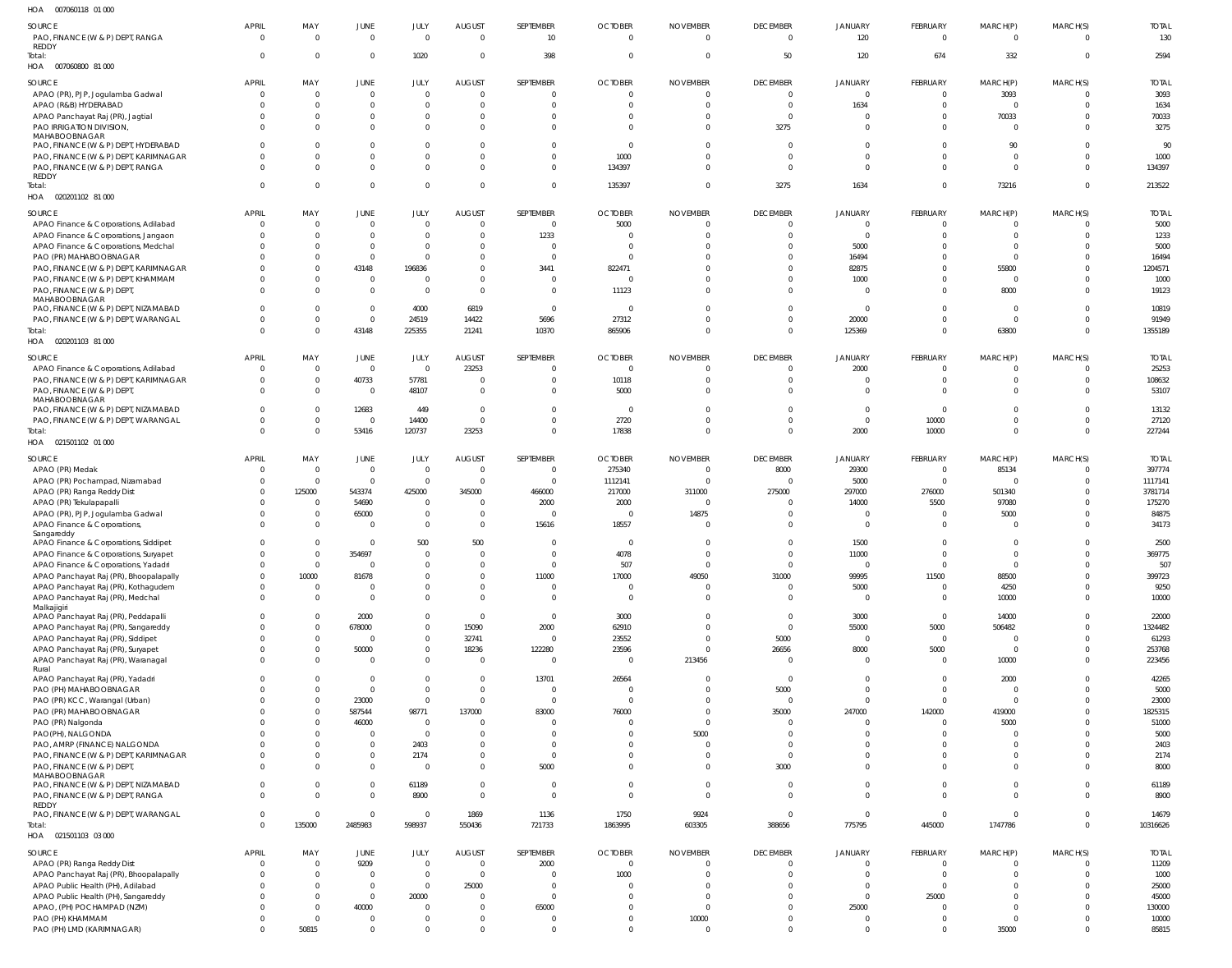007060118 01 000 HOA

| $\cdots$<br><b>POTODOTIO</b> OF OOD                   |                |                |                |              |                |                      |                         |                            |                 |                |                 |                |                |              |
|-------------------------------------------------------|----------------|----------------|----------------|--------------|----------------|----------------------|-------------------------|----------------------------|-----------------|----------------|-----------------|----------------|----------------|--------------|
| SOURCE                                                | APRIL          | MAY            | JUNE           | JULY         | <b>AUGUST</b>  | SEPTEMBER            | <b>OCTOBER</b>          | <b>NOVEMBER</b>            | <b>DECEMBER</b> | JANUARY        | FEBRUARY        | MARCH(P)       | MARCH(S)       | <b>TOTAL</b> |
| PAO, FINANCE (W & P) DEPT, RANGA<br><b>REDDY</b>      | $\Omega$       | $\Omega$       | $\overline{0}$ | $\Omega$     | $\mathbf{0}$   | 10 <sup>10</sup>     | $\overline{0}$          | $\Omega$                   | $\Omega$        | 120            | $\Omega$        | $\Omega$       | $\Omega$       | 130          |
| Total:<br>HOA  007060800  81  000                     | $\Omega$       | $\Omega$       | $\overline{0}$ | 1020         | $\overline{0}$ | 398                  | $\overline{0}$          | $\overline{0}$             | 50              | 120            | 674             | 332            | $\overline{0}$ | 2594         |
| SOURCE                                                | <b>APRIL</b>   | MAY            | JUNE           | JULY         | <b>AUGUST</b>  | SEPTEMBER            | <b>OCTOBER</b>          | <b>NOVEMBER</b>            | <b>DECEMBER</b> | JANUARY        | <b>FEBRUARY</b> | MARCH(P)       | MARCH(S)       | <b>TOTAL</b> |
| APAO (PR), PJP, Jogulamba Gadwal                      | $\Omega$       | - 0            | $\overline{0}$ | $\mathbf{0}$ | $\mathbf{0}$   | $\overline{0}$       | $\overline{0}$          | $\mathbf 0$                | $\overline{0}$  | $\mathbf 0$    | $\overline{0}$  | 3093           | $\Omega$       | 3093         |
| APAO (R&B) HYDERABAD                                  | $\Omega$       | $\Omega$       | $\overline{0}$ | $\mathbf{0}$ | $\overline{0}$ | $\Omega$             | $\Omega$                | $\Omega$                   | $\overline{0}$  | 1634           | $\overline{0}$  | $\Omega$       | $\overline{0}$ | 1634         |
| APAO Panchayat Raj (PR), Jagtial                      | $\Omega$       | $\Omega$       | $\overline{0}$ | $\mathbf{0}$ | $\overline{0}$ | $\overline{0}$       | $\Omega$                | $\overline{0}$             | $\overline{0}$  | $\overline{0}$ | $\overline{0}$  | 70033          | $\overline{0}$ | 70033        |
| PAO IRRIGATION DIVISION<br>MAHABOOBNAGAR              | $\Omega$       |                | $\overline{0}$ | $\mathbf{0}$ | $\overline{0}$ | $\Omega$             | $\Omega$                | $\Omega$                   | 3275            | $\overline{0}$ | $\overline{0}$  | $\overline{0}$ | $\Omega$       | 3275         |
| PAO, FINANCE (W & P) DEPT, HYDERABAD                  | $\Omega$       |                | $\mathbf{0}$   | $\Omega$     | $\overline{0}$ | $\Omega$             | $\overline{\mathbf{0}}$ | $\Omega$                   | $\overline{0}$  | $\overline{0}$ | $\mathbf{0}$    | 90             | $\Omega$       | 90           |
| PAO, FINANCE (W & P) DEPT, KARIMNAGAR                 | $\Omega$       |                | $\mathbf 0$    | $\mathbf{0}$ | $\overline{0}$ | $\Omega$             | 1000                    | $\Omega$                   | $\overline{0}$  | $\mathbf{0}$   | $\mathbf{0}$    | $\overline{0}$ | $\overline{0}$ | 1000         |
| PAO, FINANCE (W & P) DEPT, RANGA                      | $\Omega$       |                | $\overline{0}$ | $\Omega$     | $\overline{0}$ | $\Omega$             | 134397                  | $\Omega$                   | $\Omega$        | $\overline{0}$ | $\Omega$        | $\Omega$       | $\Omega$       | 134397       |
| REDDY<br>Total:                                       | $\Omega$       | $\Omega$       | $\mathbf 0$    | $\mathbf{0}$ | $\overline{0}$ | $\overline{0}$       | 135397                  | $\overline{0}$             | 3275            | 1634           | $\mathbf{0}$    | 73216          | $\overline{0}$ | 213522       |
| HOA 020201102 81 000                                  |                |                |                |              |                |                      |                         |                            |                 |                |                 |                |                |              |
| SOURCE                                                | <b>APRIL</b>   | MAY            | JUNE           | JULY         | <b>AUGUST</b>  | SEPTEMBER            | <b>OCTOBER</b>          | <b>NOVEMBER</b>            | <b>DECEMBER</b> | JANUARY        | FEBRUARY        | MARCH(P)       | MARCH(S)       | <b>TOTAL</b> |
| APAO Finance & Corporations, Adilabad                 | $\Omega$       | $\Omega$       | $\Omega$       | $\Omega$     | $\mathbf{0}$   | $\overline{0}$       | 5000                    | $\Omega$                   | $\Omega$        | $\Omega$       | $\Omega$        | $\Omega$       | $\Omega$       | 5000         |
| APAO Finance & Corporations, Jangaon                  | $\Omega$       | $\Omega$       | $\Omega$       | $\Omega$     | $\Omega$       | 1233                 | $\Omega$                | $\Omega$                   | $\Omega$        | $\Omega$       | $\Omega$        | $\Omega$       | $\Omega$       | 1233         |
| APAO Finance & Corporations, Medchal                  |                |                | $\Omega$       | $\Omega$     | $\Omega$       | $\Omega$             | $\Omega$                | $\Omega$                   | $\Omega$        | 5000           | $\Omega$        | $\Omega$       | $\Omega$       | 5000         |
| PAO (PR) MAHABOOBNAGAR                                |                |                | $\Omega$       | $\Omega$     | $\Omega$       | $\Omega$             | $\Omega$                |                            | $\Omega$        | 16494          | $\Omega$        | $\Omega$       | $\Omega$       | 16494        |
| PAO, FINANCE (W & P) DEPT, KARIMNAGAR                 |                |                | 43148          | 196836       | $\Omega$       | 3441                 | 822471                  | $\Omega$                   | $\Omega$        | 82875          | $\Omega$        | 55800          | $\Omega$       | 1204571      |
| PAO, FINANCE (W & P) DEPT, KHAMMAM                    | $\Omega$       |                | $\overline{0}$ | $\Omega$     | $\Omega$       | $\Omega$             | $\Omega$                | $\Omega$                   | $\Omega$        | 1000           | $\Omega$        | $\Omega$       | $\Omega$       | 1000         |
| PAO, FINANCE (W & P) DEPT,                            | $\Omega$       |                | $\overline{0}$ | $\Omega$     | $\Omega$       | $\Omega$             | 11123                   | $\Omega$                   | $\Omega$        | $\overline{0}$ | $\Omega$        | 8000           | $\Omega$       | 19123        |
| MAHABOOBNAGAR                                         |                |                |                |              |                |                      |                         |                            |                 |                |                 |                |                |              |
| PAO, FINANCE (W & P) DEPT, NIZAMABAD                  | $\Omega$       | $\Omega$       | $\overline{0}$ | 4000         | 6819           | $\overline{0}$       | $\Omega$                | $\Omega$                   | $\Omega$        | $\overline{0}$ | $\Omega$        | $\overline{0}$ | $\Omega$       | 10819        |
| PAO, FINANCE (W & P) DEPT, WARANGAL                   | $\Omega$       | $\Omega$       | $\overline{0}$ | 24519        | 14422          | 5696                 | 27312                   | $\Omega$                   | $\Omega$        | 20000          | $\Omega$        | $\overline{0}$ | $\Omega$       | 91949        |
| Total:                                                | $\Omega$       | $\Omega$       | 43148          | 225355       | 21241          | 10370                | 865906                  | $\Omega$                   | $\Omega$        | 125369         | $\Omega$        | 63800          | $\Omega$       | 1355189      |
| HOA  020201103  81  000                               |                |                |                |              |                |                      |                         |                            |                 |                |                 |                |                |              |
|                                                       |                |                |                |              |                |                      |                         |                            |                 |                |                 |                |                |              |
| SOURCE                                                | <b>APRIL</b>   | MAY            | JUNE           | JULY         | <b>AUGUST</b>  | SEPTEMBER            | <b>OCTOBER</b>          | <b>NOVEMBER</b>            | <b>DECEMBER</b> | JANUARY        | FEBRUARY        | MARCH(P)       | MARCH(S)       | <b>TOTAL</b> |
| APAO Finance & Corporations, Adilabad                 | $\overline{0}$ | $\overline{0}$ | $\overline{0}$ | $\mathbf 0$  | 23253          | $\overline{0}$       | $\overline{\mathbf{0}}$ | $\overline{0}$             | $\overline{0}$  | 2000           | $\overline{0}$  | $\Omega$       | $\overline{0}$ | 25253        |
| PAO, FINANCE (W & P) DEPT, KARIMNAGAR                 | $\Omega$       | $\mathbf{0}$   | 40733          | 57781        | $\overline{0}$ | $\overline{0}$       | 10118                   | $\overline{0}$             | $\overline{0}$  | $\overline{0}$ | $\overline{0}$  | $\overline{0}$ | - 0            | 108632       |
| PAO, FINANCE (W & P) DEPT,                            | $\Omega$       | $\mathbf{0}$   | $\overline{0}$ | 48107        | $\mathbf{0}$   | $\overline{0}$       | 5000                    | $\Omega$                   | $\overline{0}$  | $\mathbf 0$    | $\overline{0}$  | $\Omega$       | $\overline{0}$ | 53107        |
| MAHABOOBNAGAR<br>PAO, FINANCE (W & P) DEPT, NIZAMABAD | $\Omega$       | $\Omega$       | 12683          | 449          | $\mathbf 0$    | $\overline{0}$       | $\overline{\mathbf{0}}$ | $\Omega$                   | $\mathbf{0}$    | $\mathbf 0$    | $\overline{0}$  | $\Omega$       | - 0            | 13132        |
| PAO, FINANCE (W & P) DEPT, WARANGAL                   | $\Omega$       | $\mathbf{0}$   | $\overline{0}$ | 14400        | $\mathbf 0$    | $\overline{0}$       | 2720                    | $\Omega$                   | $\mathbf{0}$    | $\mathbf 0$    | 10000           | $\Omega$       | $\overline{0}$ | 27120        |
| Total:                                                | $\Omega$       | $\Omega$       | 53416          | 120737       | 23253          | $\overline{0}$       | 17838                   | $\Omega$                   | $\Omega$        | 2000           | 10000           | $\Omega$       | $\Omega$       | 227244       |
| HOA  021501102  01  000                               |                |                |                |              |                |                      |                         |                            |                 |                |                 |                |                |              |
|                                                       |                |                |                |              |                |                      |                         |                            |                 |                |                 |                |                |              |
| SOURCE                                                | <b>APRIL</b>   | MAY            | JUNE           | JULY         | <b>AUGUST</b>  | SEPTEMBER            | <b>OCTOBER</b>          | <b>NOVEMBER</b>            | <b>DECEMBER</b> | JANUARY        | FEBRUARY        | MARCH(P)       | MARCH(S)       | <b>TOTAL</b> |
| APAO (PR) Medak                                       | $\Omega$       | $\overline{0}$ | $\overline{0}$ | $\mathbf{0}$ | $\overline{0}$ | $\Omega$             | 275340                  | $\Omega$                   | 8000            | 29300          | 0               | 85134          | $\Omega$       | 397774       |
| APAO (PR) Pochampad, Nizamabad                        | $\Omega$       | $\overline{0}$ | $\overline{0}$ | $\mathbf{0}$ | $\overline{0}$ | $\Omega$             | 1112141                 | $\Omega$                   | 0               | 5000           | $\Omega$        | $\Omega$       | $\Omega$       | 1117141      |
| APAO (PR) Ranga Reddy Dist                            | $\Omega$       | 125000         | 543374         | 425000       | 345000         | 466000               | 217000                  | 311000                     | 275000          | 297000         | 276000          | 501340         | $\Omega$       | 3781714      |
| APAO (PR) Tekulapapalli                               | $\Omega$       | 0              | 54690          | $\Omega$     | 0              | 2000                 | 2000                    | $\overline{0}$             | $\Omega$        | 14000          | 5500            | 97080          | $\Omega$       | 175270       |
| APAO (PR), PJP, Jogulamba Gadwal                      | $\Omega$       | 0              | 65000          | $\mathbf{0}$ | $\overline{0}$ | $\Omega$             | $\Omega$                | 14875                      | $\Omega$        | $\Omega$       | $\Omega$        | 5000           | - 0            | 84875        |
| APAO Finance & Corporations,                          | $\Omega$       | $\Omega$       | $\Omega$       | $\Omega$     | $\mathbf 0$    | 15616                | 18557                   | $\Omega$                   | $\Omega$        | $\overline{0}$ | $\Omega$        | $\Omega$       |                | 34173        |
| Sangareddy                                            |                |                |                |              |                |                      |                         |                            |                 |                |                 |                |                |              |
| APAO Finance & Corporations, Siddipet                 | $\Omega$       |                | $\Omega$       | 500          | 500            | $\Omega$             | $\Omega$                | $\Omega$                   | $\Omega$        | 1500           | $\Omega$        | $\overline{0}$ | $\Omega$       | 2500         |
| APAO Finance & Corporations, Suryapet                 | $\Omega$       | $\Omega$       | 354697         | $\Omega$     | $\Omega$       | $\Omega$             | 4078                    | $\Omega$                   | $\Omega$        | 11000          | $\Omega$        | $\overline{0}$ | $\Omega$       | 369775       |
| APAO Finance & Corporations, Yadadri                  | $\overline{0}$ |                | $\Omega$       | $\Omega$     | $\mathbf 0$    | $\overline{0}$       | 507                     | $\overline{0}$             | $\overline{0}$  | $\overline{0}$ | $\overline{0}$  | $\overline{0}$ | $\Omega$       | 507          |
| APAO Panchayat Raj (PR), Bhoopalapally                | $\Omega$       | 10000          | 81678          | $\Omega$     | $\overline{0}$ | 11000                | 17000                   | 49050                      | 31000           | 99995          | 11500           | 88500          | $\overline{0}$ | 399723       |
| APAO Panchayat Raj (PR), Kothagudem                   | $\Omega$       | 0              | $\Omega$       | $\Omega$     | $\overline{0}$ | $\Omega$             | $\overline{0}$          | $\mathbf 0$                | $\overline{0}$  | 5000           | $\overline{0}$  | 4250           | $\Omega$       | 9250         |
| APAO Panchayat Raj (PR), Medchal<br>Malkajigiri       | $\Omega$       | $\Omega$       | $\Omega$       | $\Omega$     | $\Omega$       | $\Omega$             | $\overline{\mathbf{0}}$ | $\Omega$                   | $\Omega$        | $\overline{0}$ | $\overline{0}$  | 10000          | $\overline{0}$ | 10000        |
| APAO Panchayat Raj (PR), Peddapalli                   | $\Omega$       |                | 2000           | $\Omega$     | $\overline{0}$ | $\overline{0}$       | 3000                    | $\overline{0}$             | $\Omega$        | 3000           | $\overline{0}$  | 14000          | $\Omega$       | 22000        |
| APAO Panchayat Raj (PR), Sangareddy                   | $\Omega$       |                | 678000         | $\mathbf 0$  | 15090          | 2000                 | 62910                   | $\overline{0}$             | $\overline{0}$  | 55000          | 5000            | 506482         | $\Omega$       | 1324482      |
| APAO Panchayat Raj (PR), Siddipet                     | $\Omega$       | $\Omega$       | $\Omega$       | $\mathbf{0}$ | 32741          | $\Omega$             | 23552                   | $\overline{0}$             | 5000            | $\overline{0}$ | $\overline{0}$  | $\Omega$       | $\Omega$       | 61293        |
| APAO Panchayat Raj (PR), Suryapet                     | $\Omega$       |                | 50000          | $\mathbf 0$  | 18236          | 122280               | 23596                   | $\Omega$                   | 26656           | 8000           | 5000            | $\overline{0}$ | $\overline{0}$ | 253768       |
| APAO Panchayat Raj (PR), Waranagal                    | $\Omega$       | $\Omega$       | $\Omega$       | $\mathbf{0}$ | $\overline{0}$ | $\Omega$             | $\overline{0}$          | 213456                     | $\Omega$        | $\overline{0}$ | $\overline{0}$  | 10000          | $\Omega$       | 223456       |
| Rural                                                 |                |                |                |              |                |                      |                         |                            |                 |                |                 |                |                |              |
| APAO Panchayat Raj (PR), Yadadri                      |                |                | $\Omega$       | $\Omega$     | $\Omega$       | 13701                | 26564                   | $\Omega$                   | $\overline{0}$  | $\Omega$       | $\Omega$        | 2000           | $\Omega$       | 42265        |
| PAO (PH) MAHABOOBNAGAR                                |                |                | $\Omega$       | $\Omega$     | $\Omega$       | $\Omega$             | $\Omega$                | $\Omega$                   | 5000            | $\Omega$       | $\Omega$        | $\Omega$       | $\Omega$       | 5000         |
| PAO (PR) KCC, Warangal (Urban)                        |                |                | 23000          | $\mathbf{0}$ | $\overline{0}$ | $\overline{0}$       | $\overline{\mathbf{0}}$ | $\Omega$                   | 0               | $\overline{0}$ | $\overline{0}$  | $\Omega$       | $\Omega$       | 23000        |
| PAO (PR) MAHABOOBNAGAR                                |                |                | 587544         | 98771        | 137000         | 83000                | 76000                   | $\overline{0}$             | 35000           | 247000         | 142000          | 419000         | $\Omega$       | 1825315      |
| PAO (PR) Nalgonda                                     |                |                | 46000          | $\Omega$     | $\Omega$       | $\Omega$             | $\Omega$                | $\Omega$                   | $\Omega$        | $\Omega$       | $\Omega$        | 5000           | $\Omega$       | 51000        |
| PAO(PH), NALGONDA                                     |                |                | $\Omega$       | $\Omega$     | $\Omega$       | $\Omega$             | $\Omega$                | 5000                       | $\Omega$        | $\Omega$       | $\Omega$        | $\Omega$       | $\Omega$       | 5000         |
| PAO, AMRP (FINANCE) NALGONDA                          |                |                | $\Omega$       | 2403         | $\Omega$       | $\Omega$             | $\Omega$                | $\Omega$                   | $\Omega$        | $\Omega$       | $\Omega$        | $\Omega$       | $\Omega$       | 2403         |
| PAO, FINANCE (W & P) DEPT, KARIMNAGAR                 | $\Omega$       |                | $\mathbf 0$    | 2174         | $\mathbf 0$    | $\Omega$             | $\Omega$                | $\Omega$                   | $\Omega$        | $\Omega$       | $\Omega$        | $\overline{0}$ | $\Omega$       | 2174         |
| PAO, FINANCE (W & P) DEPT,                            | $\Omega$       |                | $\mathbf{0}$   | $\Omega$     | $\Omega$       | 5000                 | $\Omega$                | $\Omega$                   | 3000            | $\Omega$       | $\Omega$        | $\Omega$       | $\Omega$       | 8000         |
| MAHABOOBNAGAR                                         |                |                |                |              |                |                      |                         |                            |                 |                |                 |                |                |              |
| PAO, FINANCE (W & P) DEPT, NIZAMABAD                  | $\Omega$       |                | $\overline{0}$ | 61189        | $\overline{0}$ | $\Omega$<br>$\Omega$ | $\Omega$                | $\overline{0}$<br>$\Omega$ | $\Omega$        | $\Omega$       | $\Omega$        | $\overline{0}$ | $\Omega$       | 61189        |
| PAO, FINANCE (W & P) DEPT, RANGA<br>REDDY             | $\Omega$       |                | $\overline{0}$ | 8900         | $\mathbf{0}$   |                      | $\overline{0}$          |                            | $\Omega$        | $\overline{0}$ | $\Omega$        | $\Omega$       | $\Omega$       | 8900         |
| PAO, FINANCE (W & P) DEPT, WARANGAL                   | $\Omega$       | - 0            | $\Omega$       | $\Omega$     | 1869           | 1136                 | 1750                    | 9924                       | $\overline{0}$  | $\overline{0}$ | $\Omega$        | $\overline{0}$ | $\Omega$       | 14679        |
| Total:                                                | $\Omega$       | 135000         | 2485983        | 598937       | 550436         | 721733               | 1863995                 | 603305                     | 388656          | 775795         | 445000          | 1747786        | $\overline{0}$ | 10316626     |
| HOA  021501103  03  000                               |                |                |                |              |                |                      |                         |                            |                 |                |                 |                |                |              |
| SOURCE                                                | <b>APRIL</b>   | MAY            | JUNE           | JULY         | <b>AUGUST</b>  | SEPTEMBER            | <b>OCTOBER</b>          | <b>NOVEMBER</b>            | <b>DECEMBER</b> | JANUARY        | FEBRUARY        | MARCH(P)       | MARCH(S)       | <b>TOTAL</b> |
| APAO (PR) Ranga Reddy Dist                            | $\Omega$       | $\mathsf{C}$   | 9209           | $\mathbf{0}$ | $\mathbf{0}$   | 2000                 | $\overline{0}$          | $\mathbf 0$                | $\overline{0}$  | $\overline{0}$ | $\overline{0}$  | $\mathbf{0}$   | $\Omega$       | 11209        |
| APAO Panchayat Raj (PR), Bhoopalapally                | $\Omega$       | $\Omega$       | $\overline{0}$ | $\mathbf{0}$ | $\mathbf 0$    | $\overline{0}$       | 1000                    | $\overline{0}$             | $\overline{0}$  | $\overline{0}$ | $\overline{0}$  | $\overline{0}$ | $\overline{0}$ | 1000         |
| APAO Public Health (PH), Adilabad                     | $\Omega$       | $\Omega$       | $\mathbf{0}$   | $\mathbf 0$  | 25000          | $\overline{0}$       | $\Omega$                | $\Omega$                   | $\Omega$        | $\overline{0}$ | $\overline{0}$  | $\Omega$       | $\Omega$       | 25000        |
| APAO Public Health (PH), Sangareddy                   |                | - 0            | $\overline{0}$ | 20000        | $\overline{0}$ | $\Omega$             | $\Omega$                | $\Omega$                   | $\Omega$        | $\overline{0}$ | 25000           | $\Omega$       | $\Omega$       | 45000        |
| APAO, (PH) POCHAMPAD (NZM)                            | $\Omega$       | $\Omega$       | 40000          | $\mathbf{0}$ | $\overline{0}$ | 65000                | $\Omega$                | $\overline{0}$             | $\mathbf 0$     | 25000          | $\overline{0}$  | $\overline{0}$ | $\Omega$       | 130000       |
| PAO (PH) KHAMMAM                                      | $\Omega$       | $\Omega$       | $\mathbf 0$    | $\mathbf{0}$ | $\mathbf{0}$   | $\overline{0}$       | $\overline{0}$          | 10000                      | $\mathbf 0$     | $\mathbf 0$    | $\mathbf{0}$    | $\overline{0}$ | $^{\circ}$     | 10000        |
| PAO (PH) LMD (KARIMNAGAR)                             | $\Omega$       | 50815          | $\overline{0}$ | $\mathbf 0$  | $\mathbf 0$    | $\overline{0}$       | $\overline{0}$          | $\overline{0}$             | $\mathbf 0$     | $\mathbb O$    | $\mathbf 0$     | 35000          | $\overline{0}$ | 85815        |
|                                                       |                |                |                |              |                |                      |                         |                            |                 |                |                 |                |                |              |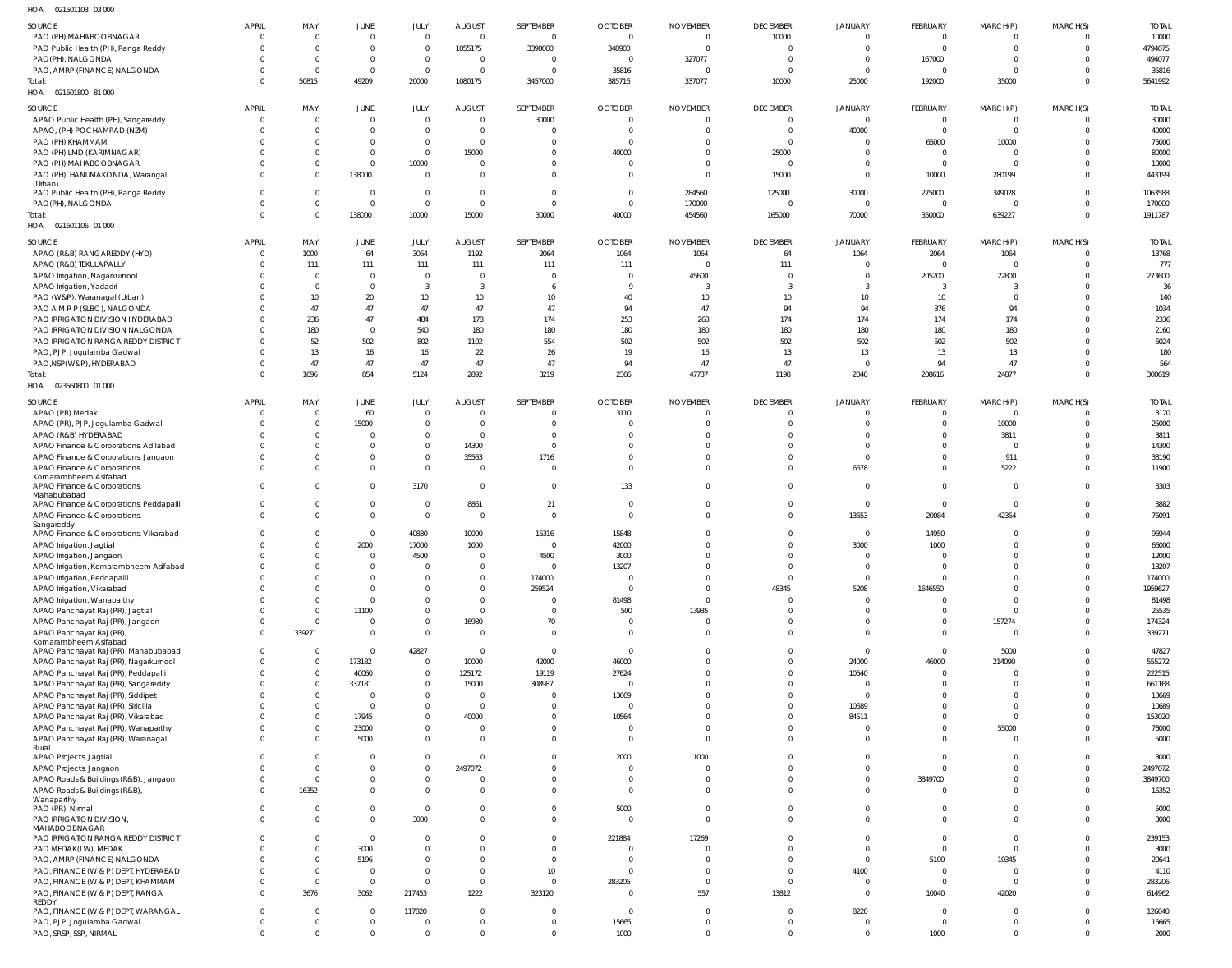| HOA<br>021501103 03 000                               |                      |                            |                            |                            |                            |                         |                |                                  |                            |                                  |                        |                                  |                      |               |
|-------------------------------------------------------|----------------------|----------------------------|----------------------------|----------------------------|----------------------------|-------------------------|----------------|----------------------------------|----------------------------|----------------------------------|------------------------|----------------------------------|----------------------|---------------|
| SOURCE                                                | <b>APRIL</b>         | MAY                        | JUNE                       | JULY                       | <b>AUGUST</b>              | SEPTEMBER               | <b>OCTOBER</b> | <b>NOVEMBER</b>                  | <b>DECEMBER</b>            | <b>JANUARY</b>                   | <b>FEBRUARY</b>        | MARCH(P)                         | MARCH(S)             | <b>TOTAL</b>  |
| PAO (PH) MAHABOOBNAGAR                                | 0                    | $\overline{0}$             | $\overline{0}$             | $\overline{0}$             | $\overline{0}$             | $\Omega$                | $\overline{0}$ | $\overline{0}$                   | 10000                      | $\Omega$                         | $\Omega$               | $\overline{0}$                   | $\Omega$             | 10000         |
| PAO Public Health (PH), Ranga Reddy                   | $\Omega$             | $\overline{0}$             | $\mathbf{0}$               | $\Omega$                   | 1055175                    | 3390000                 | 348900         | $\overline{0}$                   | $\Omega$                   | $\overline{0}$                   | $\Omega$               | $\overline{0}$                   | $\Omega$             | 4794075       |
| PAO(PH), NALGONDA                                     |                      | $\mathbf{0}$               | $\overline{0}$             | $\overline{0}$             | $\overline{0}$             | $\Omega$                | $\overline{0}$ | 327077                           | $\Omega$                   | $\overline{0}$                   | 167000                 | $\overline{0}$                   | $\Omega$             | 494077        |
| PAO, AMRP (FINANCE) NALGONDA                          |                      | $\overline{0}$             | $\mathbf 0$                | $\Omega$                   | $\overline{0}$             |                         | 35816          | $\Omega$                         | $\Omega$                   | $\Omega$                         | - 0                    | $\overline{0}$                   | $\Omega$             | 35816         |
| Total:                                                |                      | 50815                      | 49209                      | 20000                      | 1080175                    | 3457000                 | 385716         | 337077                           | 10000                      | 25000                            | 192000                 | 35000                            | $\Omega$             | 5641992       |
| HOA  021501800  81 000                                |                      |                            |                            |                            |                            |                         |                |                                  |                            |                                  |                        |                                  |                      |               |
|                                                       |                      |                            |                            |                            |                            |                         |                |                                  |                            |                                  |                        |                                  |                      |               |
| SOURCE                                                | <b>APRIL</b>         | MAY                        | JUNE                       | JULY                       | <b>AUGUST</b>              | SEPTEMBER               | <b>OCTOBER</b> | <b>NOVEMBER</b>                  | <b>DECEMBER</b>            | <b>JANUARY</b>                   | FEBRUARY               | MARCH(P)                         | MARCH(S)             | <b>TOTAL</b>  |
| APAO Public Health (PH), Sangareddy                   | 0                    | $\overline{0}$             | $\overline{0}$             | $\overline{0}$             | $\overline{0}$             | 30000                   | $\circ$        | $\overline{0}$                   | $\Omega$                   | $\overline{0}$                   | $\overline{0}$         | $\overline{0}$                   |                      | 30000         |
| APAO, (PH) POCHAMPAD (NZM)                            |                      | $\mathbf 0$                | $\mathbf{0}$               | $\Omega$                   | $\overline{0}$             |                         | $\overline{0}$ | $\overline{0}$                   | $\Omega$                   | 40000                            | $\overline{0}$         | $\overline{0}$                   | $\Omega$             | 40000         |
| PAO (PH) KHAMMAM                                      |                      | $\mathbf 0$                | $\mathbf 0$                | $\overline{0}$             | $\overline{0}$             |                         | $\circ$        | $\mathbf{0}$                     | $\Omega$                   | $\overline{0}$                   | 65000                  | 10000                            |                      | 75000         |
| PAO (PH) LMD (KARIMNAGAR)                             |                      | $\mathbf 0$                | $\mathbf 0$                | $\overline{0}$             | 15000                      | $\Omega$                | 40000          | $\overline{0}$                   | 25000                      | $\overline{0}$                   | $\overline{0}$         | $\overline{0}$                   |                      | 80000         |
| PAO (PH) MAHABOOBNAGAR                                |                      | $\mathbf 0$                | $\mathbf 0$                | 10000                      | $\overline{0}$             | $\Omega$                | $\circ$        | $\overline{0}$                   | $\Omega$                   | $\Omega$                         | $\overline{0}$         | $\overline{0}$                   |                      | 10000         |
| PAO (PH), HANUMAKONDA, Warangal                       |                      | $\mathbf 0$                | 138000                     | $\Omega$                   | $\overline{0}$             | $\Omega$                | - 0            | $\overline{0}$                   | 15000                      | $\overline{0}$                   | 10000                  | 280199                           | $\Omega$             | 443199        |
| (Urban)<br>PAO Public Health (PH), Ranga Reddy        | 0                    | $\mathbf 0$                | $\overline{0}$             | $\overline{0}$             | $\overline{0}$             | $\overline{0}$          | $\overline{0}$ | 284560                           | 125000                     | 30000                            | 275000                 | 349028                           | $\Omega$             | 1063588       |
| PAO(PH), NALGONDA                                     | 0                    | $\mathbf 0$                | $\mathbf 0$                | $\overline{0}$             | $\overline{0}$             | $\mathsf{C}$            | $\overline{0}$ | 170000                           | $\Omega$                   | $\overline{0}$                   | $\overline{0}$         | $\overline{0}$                   | $\Omega$             | 170000        |
| Total:                                                | $\Omega$             | $\mathbf 0$                | 138000                     | 10000                      | 15000                      | 30000                   | 40000          | 454560                           | 165000                     | 70000                            | 350000                 | 639227                           | $\Omega$             | 1911787       |
| HOA 021601106 01 000                                  |                      |                            |                            |                            |                            |                         |                |                                  |                            |                                  |                        |                                  |                      |               |
|                                                       |                      |                            |                            |                            |                            |                         |                |                                  |                            |                                  |                        |                                  |                      |               |
| SOURCE                                                | <b>APRIL</b>         | MAY                        | <b>JUNE</b>                | JULY                       | <b>AUGUST</b>              | SEPTEMBER               | <b>OCTOBER</b> | <b>NOVEMBER</b>                  | <b>DECEMBER</b>            | <b>JANUARY</b>                   | FEBRUARY               | MARCH(P)                         | MARCH(S)             | <b>TOTAL</b>  |
| APAO (R&B) RANGAREDDY (HYD)                           | 0                    | 1000                       | 64                         | 3064                       | 1192                       | 2064                    | 1064           | 1064                             | 64                         | 1064                             | 2064                   | 1064                             | $\Omega$             | 13768         |
| APAO (R&B) TEKULAPALLY                                |                      | 111                        | 111                        | 111                        | 111                        | 111                     | 111            | $\overline{0}$                   | 111                        | $\overline{0}$                   | $\Omega$               | $\overline{0}$                   | $\Omega$             | 777           |
| APAO Irrigation, Nagarkurnool                         |                      | $\overline{0}$             | $\mathbf 0$                | $\Omega$                   | $\overline{0}$             | - 0                     | $\Omega$       | 45600                            | $\Omega$                   | $\Omega$                         | 205200                 | 22800                            |                      | 273600        |
| APAO Irrigation, Yadadri                              |                      | $\Omega$                   | $\mathbf{0}$               | 3                          | - 3                        |                         | <b>q</b>       | 3                                | $\cdot$ 3                  | 3                                | -3                     | -3                               |                      | 36            |
| PAO (W&P), Waranagal (Urban)                          |                      | 10                         | 20                         | 10 <sup>°</sup>            | 10 <sup>°</sup>            | 10                      | 40             | 10                               | 10 <sup>°</sup>            | 10                               | 10                     | $\overline{0}$                   |                      | 140           |
| PAO A M R P (SLBC), NALGONDA                          |                      | 47                         | 47                         | 47                         | 47                         | 47                      | 94             | 47                               | 94                         | 94                               | 376                    | 94                               |                      | 1034          |
| PAO IRRIGATION DIVISION HYDERABAD                     |                      | 236                        | 47                         | 484                        | 178                        | 174                     | 253            | 268                              | 174                        | 174                              | 174                    | 174                              |                      | 2336          |
| PAO IRRIGATION DIVISION NALGONDA                      |                      | 180                        | $\mathbf 0$                | 540                        | 180                        | 180                     | 180            | 180                              | 180                        | 180                              | 180                    | 180                              |                      | 2160          |
| PAO IRRIGATION RANGA REDDY DISTRICT                   |                      | 52                         | 502                        | 802                        | 1102                       | 554                     | 502            | 502                              | 502                        | 502                              | 502                    | 502                              |                      | 6024          |
| PAO, PJP, Jogulamba Gadwal                            |                      | 13                         | 16                         | 16                         | 22                         | 26                      | 19             | 16                               | 13                         | 13                               | 13                     | 13                               |                      | 180           |
| PAO,NSP(W&P), HYDERABAD                               |                      | 47                         | 47                         | 47                         | 47                         | 47                      | 94             | 47                               | 47                         | $\overline{0}$                   | 94                     | 47                               |                      | 564           |
| Total:                                                |                      | 1696                       | 854                        | 5124                       | 2892                       | 3219                    | 2366           | 47737                            | 1198                       | 2040                             | 208616                 | 24877                            | $\Omega$             | 300619        |
| HOA  023560800  01  000                               |                      |                            |                            |                            |                            |                         |                |                                  |                            |                                  |                        |                                  |                      |               |
| SOURCE                                                | <b>APRIL</b>         | MAY                        | JUNE                       | JULY                       | <b>AUGUST</b>              | SEPTEMBER               | <b>OCTOBER</b> | <b>NOVEMBER</b>                  | <b>DECEMBER</b>            | <b>JANUARY</b>                   | FEBRUARY               | MARCH(P)                         | MARCH(S)             | <b>TOTAL</b>  |
| APAO (PR) Medak                                       |                      | $\overline{0}$             | 60                         | $\overline{0}$             | $\overline{0}$             | - 0                     | 3110           | $\overline{0}$                   | $\Omega$                   | $\Omega$                         | $\Omega$               | $\overline{0}$                   |                      | 3170          |
| APAO (PR), PJP, Jogulamba Gadwal                      |                      | $\mathbf 0$                | 15000                      | $\overline{0}$             | $\overline{0}$             | - 0                     | $\overline{0}$ | $\overline{0}$                   | $\Omega$                   | $\Omega$                         | $\Omega$               | 10000                            | $\Omega$             | 25000         |
| APAO (R&B) HYDERABAD                                  |                      | $\mathbf 0$                | $\overline{0}$             | $\overline{0}$             | $\overline{0}$             | - 0                     | $\Omega$       | 0                                | $\Omega$                   | $\Omega$                         | $\Omega$               | 3811                             |                      | 3811          |
| APAO Finance & Corporations, Adilabad                 |                      | $\mathbf 0$                | $\mathbf 0$                | $\overline{0}$             | 14300                      | - 0                     | $\Omega$       | 0                                | $\Omega$                   | $\Omega$                         | $\Omega$               | $\overline{0}$                   | $\Omega$             | 14300         |
|                                                       |                      |                            |                            |                            |                            |                         | $\overline{0}$ | $\mathbf{0}$                     | $\Omega$                   | $\overline{0}$                   | $\Omega$               | 911                              |                      | 38190         |
|                                                       |                      |                            |                            |                            |                            |                         |                |                                  |                            |                                  |                        |                                  |                      |               |
| APAO Finance & Corporations, Jangaon                  |                      | $\mathbf 0$                | $\mathbf{0}$               | $\mathbf 0$                | 35563                      | 1716                    |                |                                  |                            |                                  |                        |                                  |                      |               |
| APAO Finance & Corporations,                          | $\Omega$             | $\mathbf 0$                | $\mathbf 0$                | $\Omega$                   | $\overline{0}$             | C                       | $\overline{0}$ | $\overline{0}$                   | $\Omega$                   | 6678                             | $\Omega$               | 5222                             | $\Omega$             | 11900         |
| Komarambheem Asifabad<br>APAO Finance & Corporations, | $\Omega$             | $\Omega$                   | $\mathbf{0}$               | 3170                       | $\overline{0}$             | $\mathbf 0$             | 133            | $\overline{0}$                   | $\Omega$                   | $\overline{0}$                   | $\overline{0}$         | $\overline{0}$                   | $\Omega$             | 3303          |
| Mahabubabad                                           |                      |                            |                            |                            |                            |                         |                |                                  |                            |                                  |                        |                                  |                      |               |
| APAO Finance & Corporations, Peddapalli               | 0                    | $\mathbf 0$                | $\mathbf{0}$               | $\Omega$                   | 8861                       | 21                      | $\overline{0}$ | $\overline{0}$                   | $\Omega$                   | $\overline{0}$                   | $\Omega$               | $\overline{0}$                   | $\Omega$             | 8882          |
| APAO Finance & Corporations,                          | $\Omega$             | $\Omega$                   | $\mathbf 0$                | $\overline{0}$             | $\overline{0}$             | $\overline{0}$          | $\overline{0}$ | $\Omega$                         | $\Omega$                   | 13653                            | 20084                  | 42354                            | $\Omega$             | 76091         |
| Sangareddy                                            | U                    |                            |                            |                            |                            |                         |                | $\Omega$                         |                            |                                  |                        |                                  | $\Omega$             |               |
| APAO Finance & Corporations, Vikarabad                |                      | $\Omega$                   | $\Omega$                   | 40830                      | 10000                      | 15316                   | 15848          |                                  | $\Omega$                   | $\overline{0}$                   | 14950                  | $\Omega$                         | $\Omega$             | 96944         |
| APAO Irrigation, Jagtial                              | $\Omega$             | $\mathbf 0$<br>$\Omega$    | 2000                       | 17000<br>4500              | 1000<br>$\Omega$           | - 0                     | 42000          | $\Omega$                         | $\Omega$<br>$\Omega$       | 3000<br>$\Omega$                 | 1000<br>$\cap$         | $\overline{0}$<br>$\cap$         | $\cap$               | 66000         |
| APAO Irrigation, Jangaon                              |                      |                            |                            | $\Omega$                   |                            | 4500                    | 3000           | $\Omega$                         |                            |                                  |                        | $\Omega$                         |                      | 12000         |
| APAO Irrigation, Komarambheem Asifabad                |                      | $\Omega$                   | $\Omega$                   |                            | $\Omega$                   | $\mathsf{C}$            | 13207          |                                  | $\Omega$                   | $\Omega$                         | $\Omega$               |                                  | $\Omega$             | 13207         |
| APAO Irrigation, Peddapalli                           |                      | $\Omega$                   | $\Omega$                   | $\Omega$                   | $\Omega$                   | 174000                  | $\overline{0}$ | $\Omega$                         | $\overline{0}$             | $\overline{0}$                   | $\Omega$               | $\Omega$                         | $\Omega$             | 174000        |
| APAO Irrigation, Vikarabad                            |                      | $\Omega$                   | $\mathbf{0}$               | $\Omega$                   | $\overline{0}$             | 259524                  | $\overline{0}$ | $\overline{0}$                   | 48345                      | 5208                             | 1646550                | $\Omega$                         | $\Omega$             | 1959627       |
| APAO Irrigation, Wanaparthy                           |                      | $\Omega$                   | $\mathbf 0$                | $\Omega$                   | $\Omega$                   | $\mathsf{C}$            | 81498          | $\overline{0}$                   | $\Omega$<br>$\Omega$       | $\overline{0}$                   | $\Omega$               | $\Omega$                         | $\Omega$             | 81498         |
| APAO Panchayat Raj (PR), Jagtial                      |                      | $\mathbf{0}$               | 11100                      | $\overline{0}$             | $\overline{0}$             | - 0                     | 500            | 13935                            |                            | $\overline{0}$                   | $\Omega$               | $\overline{0}$                   |                      | 25535         |
| APAO Panchayat Raj (PR), Jangaon                      |                      | $\mathbf{0}$               | $\mathbf 0$                | $\Omega$                   | 16980                      | 70                      | $\overline{0}$ | $\overline{0}$                   | $\Omega$<br>$\Omega$       | $\overline{0}$                   | $\Omega$<br>$\Omega$   | 157274                           | $\Omega$<br>$\Omega$ | 174324        |
| APAO Panchayat Raj (PR),<br>Komarambheem Asifabad     | $\Omega$             | 339271                     | $\mathbf 0$                | $\Omega$                   | $\Omega$                   | $\mathbf 0$             | $\Omega$       | $\Omega$                         |                            | $\overline{0}$                   |                        | $\Omega$                         |                      | 339271        |
| APAO Panchayat Raj (PR), Mahabubabad                  | $\Omega$             | $\mathbf 0$                | $\Omega$                   | 42827                      | $\overline{0}$             | $\overline{0}$          | $\overline{0}$ | $\Omega$                         | $\Omega$                   | $\overline{0}$                   | $\overline{0}$         | 5000                             | $\Omega$             | 47827         |
| APAO Panchayat Raj (PR), Nagarkurnool                 |                      | $\mathbf{0}$               | 173182                     | $\Omega$                   | 10000                      | 42000                   | 46000          | $\Omega$                         | $\Omega$                   | 24000                            | 46000                  | 214090                           |                      | 555272        |
| APAO Panchayat Raj (PR), Peddapalli                   |                      | $\mathbf{0}$               | 40060                      | $\overline{0}$             | 125172                     | 19119                   | 27624          | $\Omega$                         | $\Omega$                   | 10540                            | $\overline{0}$         | $\overline{0}$                   | $\Omega$             | 222515        |
| APAO Panchayat Raj (PR), Sangareddy                   |                      | $\mathbf 0$                | 337181                     | $\mathbf 0$                | 15000                      | 308987                  | $\overline{0}$ | $\Omega$                         | $\Omega$                   | $\overline{0}$                   | $\Omega$               | $\overline{0}$                   | $\cap$               | 661168        |
| APAO Panchayat Raj (PR), Siddipet                     |                      | $\mathbf 0$                | $\mathbf 0$                | $\mathbf 0$                | $\overline{0}$             | - 0                     | 13669          | $\Omega$                         | $\Omega$                   | $\overline{0}$                   | $\Omega$               | $\overline{0}$                   | $\Omega$             | 13669         |
| APAO Panchayat Raj (PR), Siricilla                    |                      | $\mathbf 0$                | $\mathbf 0$                | $\mathbf 0$                | $\overline{0}$             |                         | $\overline{0}$ | $\Omega$                         | $\Omega$                   | 10689                            | $\Omega$               | $\overline{0}$                   | $\Omega$             | 10689         |
| APAO Panchayat Raj (PR), Vikarabad                    |                      | $\mathbf 0$                | 17945                      | $\mathbf 0$                | 40000                      | $\Omega$                | 10564          | $\Omega$                         | $\Omega$                   | 84511                            | $\Omega$               | $\overline{0}$                   | $\Omega$             | 153020        |
| APAO Panchayat Raj (PR), Wanaparthy                   |                      | $\mathbf 0$                | 23000                      | $\mathbf 0$                | $\overline{0}$             | $\Omega$                | $\overline{0}$ | $\overline{0}$                   | $\Omega$                   | $\overline{0}$                   | $\Omega$               | 55000                            | $\Omega$             | 78000         |
| APAO Panchayat Raj (PR), Waranagal                    | <sup>0</sup>         | $\mathbf 0$                | 5000                       | $\overline{0}$             | $\overline{0}$             | $\Omega$                | $\overline{0}$ | $\overline{0}$                   | $\Omega$                   | $\overline{0}$                   | $\Omega$               | $\overline{0}$                   | $\Omega$             | 5000          |
| Rural                                                 |                      |                            |                            |                            |                            |                         |                |                                  |                            |                                  |                        |                                  |                      |               |
| APAO Projects, Jagtial                                | U                    | $\mathbf 0$                | $\mathbf 0$                | $\mathbf{0}$               | $\overline{0}$             | $\Omega$                | 2000           | 1000                             | $\Omega$                   | $\overline{0}$                   | $\Omega$               | $\overline{0}$                   | $\Omega$             | 3000          |
| APAO Projects, Jangaon                                |                      | $\overline{0}$             | $\Omega$                   | $\Omega$                   | 2497072                    | $\Omega$                | $\overline{0}$ | $\overline{0}$                   | $\Omega$                   | $\Omega$                         | $\Omega$               | $\overline{0}$                   | $\Omega$             | 2497072       |
| APAO Roads & Buildings (R&B), Jangaon                 | U                    | $\mathbf 0$                | $\mathbf{0}$               | $\overline{0}$             | $\mathbf 0$                | $\Omega$                | $\circ$        | $\overline{0}$                   | $\Omega$                   | $\overline{0}$                   | 3849700                | $\overline{0}$                   | $\Omega$             | 3849700       |
| APAO Roads & Buildings (R&B),                         | $\Omega$             | 16352                      | $\mathbf 0$                | $\Omega$                   | $\Omega$                   | $\Omega$                | $\overline{0}$ | $\overline{0}$                   | $\Omega$                   | $\overline{0}$                   | $\Omega$               | $\overline{0}$                   | $\Omega$             | 16352         |
| Wanaparthy                                            |                      |                            |                            |                            |                            |                         |                |                                  |                            |                                  |                        |                                  |                      |               |
| PAO (PR), Nirmal                                      | 0                    | $\overline{0}$             | $\mathbf 0$                | $\Omega$                   | $\mathbf 0$                | $\Omega$                | 5000           | $\overline{0}$                   | $\Omega$                   | $\overline{0}$                   | $\Omega$               | $\overline{0}$                   | $\Omega$             | 5000          |
| PAO IRRIGATION DIVISION,                              | $\Omega$             | $\mathbf 0$                | $\mathbf 0$                | 3000                       | $\Omega$                   | $\Omega$                | $\overline{0}$ | $\mathbf{0}$                     | $\Omega$                   | $\Omega$                         | $\Omega$               | $\overline{0}$                   | $\Omega$             | 3000          |
| MAHABOOBNAGAR<br>PAO IRRIGATION RANGA REDDY DISTRICT  |                      | $\Omega$                   | $\mathbf 0$                | $\Omega$                   | $\Omega$                   | $\Omega$                | 221884         | 17269                            | $\Omega$                   | $\Omega$                         | $\Omega$               | $\overline{0}$                   | $\Omega$             | 239153        |
| PAO MEDAK(IW), MEDAK                                  |                      | $\mathbf 0$                | 3000                       | $\Omega$                   | $\Omega$                   | $\Omega$                | $\overline{0}$ | $\Omega$                         | $\Omega$                   | $\Omega$                         | $\overline{0}$         | $\overline{0}$                   | $\Omega$             | 3000          |
| PAO, AMRP (FINANCE) NALGONDA                          |                      | $\mathbf 0$                | 5196                       | $\overline{0}$             | $\overline{0}$             | $\mathbf 0$             | $\overline{0}$ | $\Omega$                         | $\Omega$                   | $\overline{0}$                   | 5100                   | 10345                            | $\Omega$             | 20641         |
| PAO, FINANCE (W & P) DEPT, HYDERABAD                  |                      | $\mathbf 0$                | $\overline{0}$             | $\Omega$                   | $\overline{0}$             | 10                      | $\overline{0}$ | $\overline{0}$                   | $\Omega$                   | 4100                             | $\overline{0}$         | $\overline{0}$                   | $\Omega$             | 4110          |
| PAO, FINANCE (W & P) DEPT, KHAMMAM                    | U                    | $\mathbf 0$                | $\mathbf 0$                | $\Omega$                   | $\overline{0}$             | $\mathbf 0$             | 283206         | $\mathbf 0$                      | $\Omega$                   | $\overline{0}$                   | $\overline{0}$         | $\overline{0}$                   | $\Omega$             | 283206        |
| PAO, FINANCE (W & P) DEPT, RANGA                      | $\Omega$             | 3676                       | 3062                       | 217453                     | 1222                       | 323120                  | $\overline{0}$ | 557                              | 13812                      | $\overline{0}$                   | 10040                  | 42020                            | $\Omega$             | 614962        |
| REDDY                                                 |                      |                            |                            |                            |                            |                         |                |                                  |                            |                                  |                        |                                  |                      |               |
| PAO, FINANCE (W & P) DEPT, WARANGAL                   | 0                    | $\mathbf 0$                | $\overline{0}$             | 117820                     | $\overline{0}$             | -C                      | $\overline{0}$ | $\overline{0}$                   | $\Omega$                   | 8220                             | $\overline{0}$         | $\overline{0}$                   | $\Omega$             | 126040        |
| PAO, PJP, Jogulamba Gadwal<br>PAO, SRSP, SSP, NIRMAL  | $\Omega$<br>$\Omega$ | $\mathbf 0$<br>$\mathbf 0$ | $\mathbf 0$<br>$\mathbf 0$ | $\Omega$<br>$\overline{0}$ | $\mathbf 0$<br>$\mathbf 0$ | $\Omega$<br>$\mathbf 0$ | 15665<br>1000  | $\overline{0}$<br>$\overline{0}$ | $\overline{0}$<br>$\Omega$ | $\overline{0}$<br>$\overline{0}$ | $\overline{0}$<br>1000 | $\overline{0}$<br>$\overline{0}$ | $\Omega$<br>$\Omega$ | 15665<br>2000 |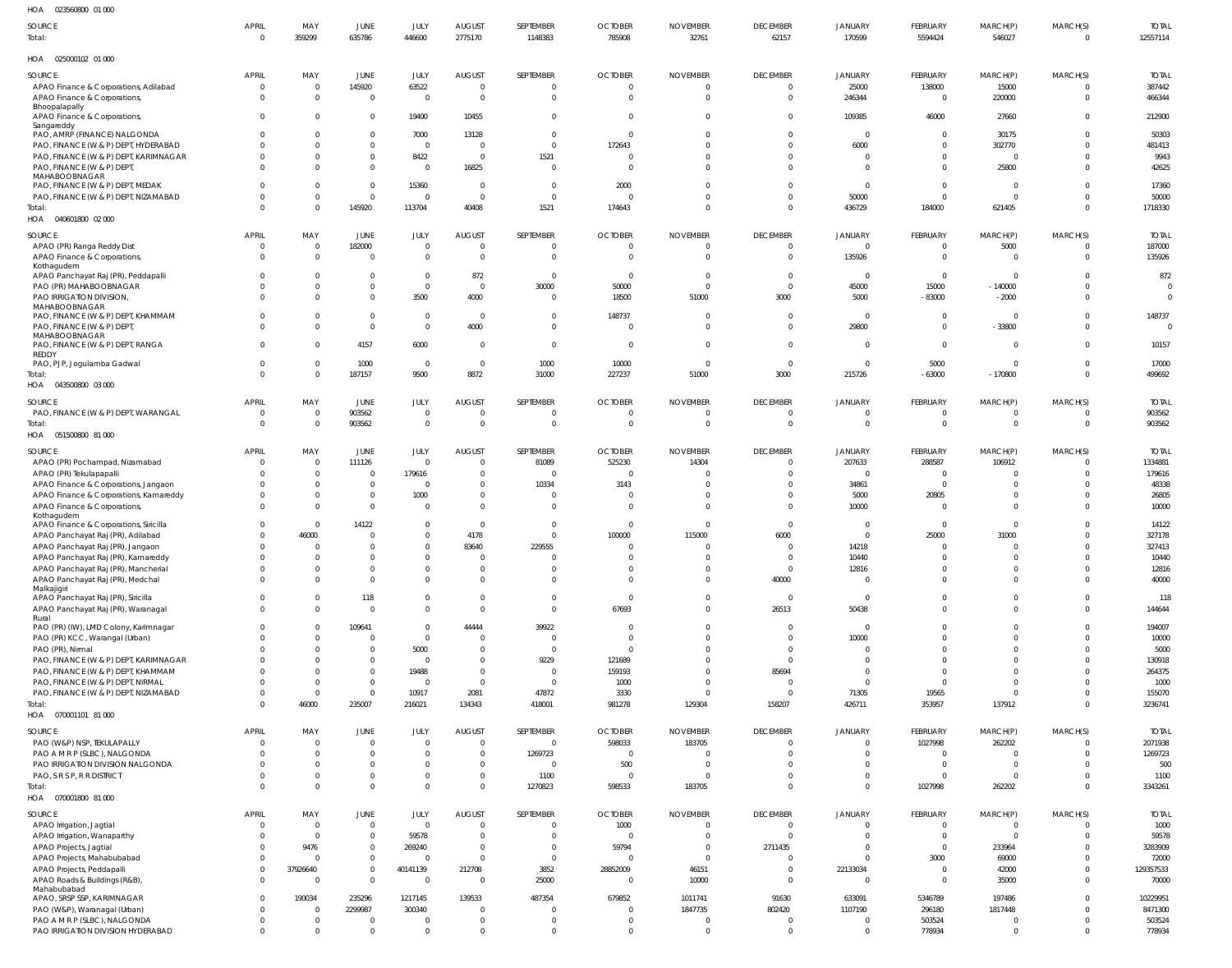| HOA<br>023560800 01 000                                                  |                                |                                  |                                  |                            |                                  |                                  |                                |                             |                                |                               |                                |                                           |                      |                          |
|--------------------------------------------------------------------------|--------------------------------|----------------------------------|----------------------------------|----------------------------|----------------------------------|----------------------------------|--------------------------------|-----------------------------|--------------------------------|-------------------------------|--------------------------------|-------------------------------------------|----------------------|--------------------------|
| SOURCE                                                                   | APRIL                          | MAY                              | JUNE                             | JULY                       | <b>AUGUST</b>                    | SEPTEMBER                        | <b>OCTOBER</b>                 | <b>NOVEMBER</b>             | <b>DECEMBER</b>                | <b>JANUARY</b>                | FEBRUARY                       | MARCH(P)                                  | MARCH(S)             | <b>TOTAL</b>             |
| Total:                                                                   | $\overline{0}$                 | 359299                           | 635786                           | 446600                     | 2775170                          | 1148383                          | 785908                         | 32761                       | 62157                          | 170599                        | 5594424                        | 546027                                    | $\Omega$             | 12557114                 |
| HOA  025000102  01 000                                                   |                                |                                  |                                  |                            |                                  |                                  |                                |                             |                                |                               |                                |                                           |                      |                          |
| SOURCE                                                                   | <b>APRIL</b>                   | MAY                              | JUNE                             | JULY                       | <b>AUGUST</b>                    | SEPTEMBER                        | <b>OCTOBER</b>                 | <b>NOVEMBER</b>             | <b>DECEMBER</b>                | JANUARY                       | FEBRUARY                       | MARCH(P)                                  | MARCH(S)             | <b>TOTAL</b>             |
| APAO Finance & Corporations, Adilabad                                    | $\overline{0}$                 | $\overline{0}$                   | 145920                           | 63522                      | $\mathbf{0}$                     | $\overline{0}$                   | $\mathbf 0$                    | $\mathbf 0$                 | $\overline{0}$                 | 25000                         | 138000                         | 15000                                     |                      | 387442                   |
| APAO Finance & Corporations,<br>Bhoopalapally                            | $\Omega$                       | $\overline{0}$                   | $\overline{0}$                   | $\overline{0}$             | $\overline{0}$                   | $\overline{0}$                   | $\Omega$                       | $\Omega$                    | $\mathbf 0$                    | 246344                        | $\Omega$                       | 220000                                    | $\Omega$             | 466344                   |
| APAO Finance & Corporations,                                             | $\Omega$                       | $\overline{0}$                   | $\overline{0}$                   | 19400                      | 10455                            | $\mathbf 0$                      | $\Omega$                       | $\Omega$                    | $\mathbf 0$                    | 109385                        | 46000                          | 27660                                     | $\Omega$             | 212900                   |
| Sangareddy                                                               |                                |                                  |                                  |                            |                                  |                                  |                                |                             |                                |                               |                                |                                           |                      |                          |
| PAO, AMRP (FINANCE) NALGONDA<br>PAO, FINANCE (W & P) DEPT, HYDERABAD     | $\Omega$<br>$\Omega$           | - 0<br>$\overline{0}$            | $\overline{0}$<br>$\mathbf 0$    | 7000<br>$\mathbf 0$        | 13128<br>$\overline{0}$          | $\overline{0}$<br>$\overline{0}$ | $\overline{0}$<br>172643       | $\Omega$                    | $\mathbf 0$<br>$\mathbf 0$     | $\mathbf 0$<br>6000           | $\overline{0}$<br>$\Omega$     | 30175<br>302770                           |                      | 50303<br>481413          |
| PAO, FINANCE (W & P) DEPT, KARIMNAGAR                                    | $\Omega$                       | $^{\circ}$                       | $\overline{0}$                   | 8422                       | $\overline{0}$                   | 1521                             | 0                              | $\Omega$                    | $\mathbf 0$                    | $\mathbf{0}$                  | $\Omega$                       | $\overline{0}$                            |                      | 9943                     |
| PAO, FINANCE (W & P) DEPT,                                               | $\Omega$                       | - 0                              | $\overline{0}$                   | $\mathbf 0$                | 16825                            | $\overline{0}$                   | $\Omega$                       | $\Omega$                    | $\mathbf 0$                    | $\mathbf 0$                   | $\Omega$                       | 25800                                     |                      | 42625                    |
| MAHABOOBNAGAR                                                            |                                |                                  |                                  |                            |                                  |                                  |                                |                             |                                |                               |                                |                                           |                      |                          |
| PAO, FINANCE (W & P) DEPT, MEDAK<br>PAO, FINANCE (W & P) DEPT, NIZAMABAD | $\Omega$<br>$\Omega$           | - 0<br>$\overline{0}$            | $\overline{0}$<br>$\overline{0}$ | 15360<br>$\mathbf 0$       | $\overline{0}$<br>$\overline{0}$ | $\overline{0}$<br>$\overline{0}$ | 2000<br>$\Omega$               | $\Omega$<br>$\Omega$        | $\mathbf 0$<br>$\mathbf 0$     | $\mathbf 0$<br>50000          | $\overline{0}$<br>$\mathbf{0}$ | $\overline{\mathbf{0}}$<br>$\overline{0}$ | $\Omega$             | 17360<br>50000           |
| Total:                                                                   | $\Omega$                       | $\overline{0}$                   | 145920                           | 113704                     | 40408                            | 1521                             | 174643                         | $\mathbf 0$                 | $\Omega$                       | 436729                        | 184000                         | 621405                                    | $\Omega$             | 1718330                  |
| HOA   040601800   02   000                                               |                                |                                  |                                  |                            |                                  |                                  |                                |                             |                                |                               |                                |                                           |                      |                          |
| SOURCE                                                                   | APRIL                          | MAY                              | JUNE                             | JULY                       | <b>AUGUST</b>                    | SEPTEMBER                        | <b>OCTOBER</b>                 | <b>NOVEMBER</b>             | <b>DECEMBER</b>                | <b>JANUARY</b>                | FEBRUARY                       | MARCH(P)                                  | MARCH(S)             | <b>TOTAL</b>             |
| APAO (PR) Ranga Reddy Dist                                               | $\mathbf{0}$                   | $\overline{0}$                   | 182000                           | $\mathbf 0$                | $\overline{0}$                   | $\mathbf 0$                      | 0                              | 0                           | $^{\circ}$                     | 0                             | $\Omega$                       | 5000                                      | $\Omega$             | 187000                   |
| APAO Finance & Corporations,                                             | $\Omega$                       | $\overline{0}$                   | $\Omega$                         | $\Omega$                   | $\mathbf{0}$                     | $\Omega$                         | $\Omega$                       |                             | $\mathbf 0$                    | 135926                        | $\overline{0}$                 | $\overline{0}$                            | $\Omega$             | 135926                   |
| Kothagudem                                                               |                                |                                  |                                  |                            |                                  |                                  |                                |                             |                                |                               |                                |                                           |                      |                          |
| APAO Panchayat Raj (PR), Peddapalli<br>PAO (PR) MAHABOOBNAGAR            | $\Omega$<br>$\Omega$           | $\overline{0}$<br>$\overline{0}$ | $\overline{0}$<br>$\overline{0}$ | $\mathbf 0$<br>$\mathbf 0$ | 872<br>$\overline{0}$            | $\overline{0}$<br>30000          | $\overline{0}$<br>50000        | $\Omega$<br>$\Omega$        | $\overline{0}$<br>$\mathbf 0$  | 0<br>45000                    | $\Omega$<br>15000              | $\overline{0}$<br>$-140000$               | $\Omega$<br>$\Omega$ | 872<br>$\Omega$          |
| PAO IRRIGATION DIVISION                                                  | $\Omega$                       | $\Omega$                         | $\overline{0}$                   | 3500                       | 4000                             | $\Omega$                         | 18500                          | 51000                       | 3000                           | 5000                          | $-83000$                       | $-2000$                                   | $\Omega$             | $\Omega$                 |
| MAHABOOBNAGAR                                                            |                                |                                  |                                  |                            |                                  |                                  |                                |                             |                                |                               |                                |                                           |                      |                          |
| PAO, FINANCE (W & P) DEPT, KHAMMAM                                       | $\Omega$                       | - 0                              | $\overline{0}$                   | 0                          | $\overline{0}$                   | $\Omega$                         | 148737                         | $\Omega$                    | $^{\circ}$                     | 0                             | - 0                            | $\mathbf 0$                               | $\Omega$             | 148737                   |
| PAO, FINANCE (W & P) DEPT,<br>MAHABOOBNAGAR                              | $\Omega$                       | $\overline{0}$                   | $\overline{0}$                   | $\mathbf 0$                | 4000                             | $\overline{0}$                   | $\Omega$                       | $\Omega$                    | $\mathbf 0$                    | 29800                         | $\Omega$                       | $-33800$                                  | $\Omega$             | $\overline{\phantom{0}}$ |
| PAO, FINANCE (W & P) DEPT, RANGA                                         | $\Omega$                       | $^{\circ}$                       | 4157                             | 6000                       | $\overline{0}$                   | $\overline{0}$                   | $\overline{0}$                 | $\Omega$                    | $\mathbf 0$                    | $\mathbf 0$                   | $\overline{0}$                 | $\overline{\mathbf{0}}$                   |                      | 10157                    |
| REDDY                                                                    |                                |                                  |                                  | $\overline{0}$             |                                  |                                  |                                | $\mathbf 0$                 |                                |                               |                                |                                           |                      |                          |
| PAO, PJP, Jogulamba Gadwal<br>Total:                                     | $\mathbf{0}$<br>$\Omega$       | $\overline{0}$<br>$\overline{0}$ | 1000<br>187157                   | 9500                       | $\overline{0}$<br>8872           | 1000<br>31000                    | 10000<br>227237                | 51000                       | $\overline{0}$<br>3000         | $\mathbf 0$<br>215726         | 5000<br>$-63000$               | $\overline{0}$<br>$-170800$               | $\Omega$<br>$\Omega$ | 17000<br>499692          |
| HOA  043500800  03  000                                                  |                                |                                  |                                  |                            |                                  |                                  |                                |                             |                                |                               |                                |                                           |                      |                          |
|                                                                          |                                |                                  |                                  |                            |                                  |                                  |                                |                             |                                |                               |                                |                                           |                      |                          |
| SOURCE<br>PAO, FINANCE (W & P) DEPT, WARANGAL                            | <b>APRIL</b><br>$\overline{0}$ | MAY<br>$\overline{0}$            | JUNE<br>903562                   | JULY<br>$\mathbf 0$        | <b>AUGUST</b><br>$\overline{0}$  | SEPTEMBER<br>$\Omega$            | <b>OCTOBER</b><br>$\mathbf{0}$ | <b>NOVEMBER</b><br>$\Omega$ | <b>DECEMBER</b><br>$\mathbf 0$ | <b>JANUARY</b><br>$\mathbf 0$ | FEBRUARY<br>$\Omega$           | MARCH(P)<br>0                             | MARCH(S)             | <b>TOTAL</b><br>903562   |
| Total:                                                                   | $\overline{0}$                 | $\overline{0}$                   | 903562                           | $\mathbf 0$                | $\overline{0}$                   | $\overline{0}$                   | $\overline{0}$                 | $\mathbf 0$                 | $\mathbf 0$                    | $\mathbf 0$                   | $\mathbf{0}$                   | $\overline{0}$                            | $\overline{0}$       | 903562                   |
| HOA  051500800  81 000                                                   |                                |                                  |                                  |                            |                                  |                                  |                                |                             |                                |                               |                                |                                           |                      |                          |
| SOURCE                                                                   | APRIL                          | MAY                              | JUNE                             | JULY                       | <b>AUGUST</b>                    | SEPTEMBER                        | <b>OCTOBER</b>                 | <b>NOVEMBER</b>             | <b>DECEMBER</b>                | <b>JANUARY</b>                | FEBRUARY                       | MARCH(P)                                  | MARCH(S)             | <b>TOTAL</b>             |
| APAO (PR) Pochampad, Nizamabad                                           | $\mathbf 0$                    | $\overline{0}$                   | 111126                           | $\mathbf 0$                | $\mathbf{0}$                     | 81089                            | 525230                         | 14304                       | $^{\circ}$                     | 207633                        | 288587                         | 106912                                    | $\Omega$             | 1334881                  |
| APAO (PR) Tekulapapalli                                                  | $\Omega$                       | $\overline{0}$                   | $\Omega$                         | 179616                     | $\mathbf 0$                      |                                  | $\Omega$                       |                             | $\Omega$                       | $\Omega$                      | - 0                            | $\Omega$                                  |                      | 179616                   |
| APAO Finance & Corporations, Jangaon                                     | -0                             | $\overline{0}$                   | $\overline{0}$                   | 0                          | $^{\circ}$                       | 10334                            | 3143                           |                             | $^{\circ}$                     | 34861                         | $\overline{0}$                 | 0                                         |                      | 48338                    |
| APAO Finance & Corporations, Kamareddy                                   | $\Omega$                       | $\overline{0}$                   | $\mathbf{0}$                     | 1000                       | $\mathbf 0$                      |                                  |                                |                             | $\mathbf 0$                    | 5000                          | 20805                          | $\mathbf 0$                               |                      | 26805                    |
| APAO Finance & Corporations,                                             | $\Omega$                       | $\overline{0}$                   | $\Omega$                         | $\Omega$                   | $\overline{0}$                   | $\Omega$                         | $\Omega$                       |                             | $\mathbf 0$                    | 10000                         | - 0                            | $\overline{0}$                            |                      | 10000                    |
| Kothagudem<br>APAO Finance & Corporations, Siricilla                     | $\Omega$                       | $\overline{0}$                   | 14122                            | 0                          | $\overline{0}$                   | $\Omega$                         | $\Omega$                       |                             | $\mathbf 0$                    | 0                             | - 0                            | $\mathbf 0$                               |                      | 14122                    |
| APAO Panchayat Raj (PR), Adilabad                                        | $\Omega$                       | 46000                            |                                  |                            | 4178                             | $\Omega$                         | 100000                         | 115000                      | 6000                           | 0                             | 25000                          | 31000                                     |                      | 327178                   |
| APAO Panchayat Raj (PR), Jangaon                                         | $\Omega$                       | $\Omega$                         | $\Omega$                         | $\Omega$                   | 83640                            | 229555                           | $\Omega$                       | $\Omega$                    | $\Omega$                       | 14218                         | $\Omega$                       | $\Omega$                                  | $\Omega$             | 327413                   |
| APAO Panchayat Raj (PR), Kamareddy                                       |                                |                                  |                                  |                            |                                  |                                  |                                |                             |                                | 10440                         |                                |                                           |                      | 10440                    |
| APAO Panchayat Raj (PR), Mancherial                                      | $\Omega$                       | $\Omega$                         | $\Omega$                         |                            | $\Omega$                         |                                  |                                |                             | $\overline{0}$                 | 12816                         |                                | $\Omega$                                  |                      | 12816                    |
| APAO Panchayat Raj (PR), Medchal<br>Malkajigiri                          | $\Omega$                       | $\Omega$                         | $\Omega$                         | $\Omega$                   | $\Omega$                         | $\Omega$                         | $\Omega$                       | $\Omega$                    | 40000                          | 0                             | $\Omega$                       | $\Omega$                                  | $\Omega$             | 40000                    |
| APAO Panchayat Raj (PR), Siricilla                                       | $\Omega$                       | $\Omega$                         | 118                              | 0                          | $\mathbf 0$                      | $\mathbf{0}$                     | $\mathbf 0$                    | $\Omega$                    | $\overline{0}$                 | $\overline{0}$                | $\Omega$                       | $\mathbf 0$                               |                      | 118                      |
| APAO Panchayat Raj (PR), Waranagal                                       | $\Omega$                       | $\Omega$                         | $\Omega$                         | $\Omega$                   | $\Omega$                         | $\overline{0}$                   | 67693                          | $\mathbf 0$                 | 26513                          | 50438                         | $\Omega$                       | $\Omega$                                  | $\Omega$             | 144644                   |
| Rural<br>PAO (PR) (IW), LMD Colony, Karimnagar                           | $\Omega$                       | - 0                              | 109641                           | $\mathbf 0$                | 44444                            | 39922                            | $\Omega$                       | $\Omega$                    | $\mathbf 0$                    | $\overline{0}$                |                                | $\Omega$                                  |                      | 194007                   |
| PAO (PR) KCC, Warangal (Urban)                                           |                                | $\Omega$                         | $\Omega$                         | $\mathbf 0$                | $\mathbf{0}$                     | $\Omega$                         | $\Omega$                       | $\Omega$                    | $\Omega$                       | 10000                         |                                | $\Omega$                                  |                      | 10000                    |
| PAO (PR), Nirmal                                                         |                                | $\Omega$                         |                                  | 5000                       | $\Omega$                         | $\Omega$                         | $\Omega$                       | $\Omega$                    | $\Omega$                       | 0                             |                                | $\Omega$                                  |                      | 5000                     |
| PAO, FINANCE (W & P) DEPT, KARIMNAGAR                                    |                                | $\Omega$                         | $\Omega$                         | $\Omega$                   | $\Omega$                         | 9229                             | 121689                         |                             | $\mathbf 0$                    | $\Omega$                      |                                | $\Omega$                                  |                      | 130918                   |
| PAO, FINANCE (W & P) DEPT, KHAMMAM                                       | $\Omega$                       | $\Omega$                         | $\Omega$                         | 19488                      | $\Omega$                         | $\overline{0}$                   | 159193                         | U                           | 85694                          | $\Omega$                      |                                | $\Omega$                                  |                      | 264375                   |
| PAO, FINANCE (W & P) DEPT, NIRMAL                                        | $\Omega$                       | $\Omega$                         | $\overline{0}$                   | $\mathbf 0$                | $\mathbf 0$                      | $\Omega$                         | 1000                           | $\Omega$                    | $^{\circ}$                     | $\mathbf 0$                   | $\Omega$                       | $\Omega$                                  |                      | 1000                     |
| PAO, FINANCE (W & P) DEPT, NIZAMABAD<br>Total:                           | $\Omega$<br>$\Omega$           | $\overline{0}$<br>46000          | $\Omega$<br>235007               | 10917<br>216021            | 2081<br>134343                   | 47872<br>418001                  | 3330<br>981278                 | $\Omega$<br>129304          | $\Omega$<br>158207             | 71305<br>426711               | 19565<br>353957                | $\Omega$<br>137912                        | $\Omega$             | 155070<br>3236741        |
| HOA   070001101   81 000                                                 |                                |                                  |                                  |                            |                                  |                                  |                                |                             |                                |                               |                                |                                           |                      |                          |
|                                                                          |                                |                                  |                                  |                            |                                  |                                  |                                |                             |                                |                               |                                |                                           |                      |                          |
| SOURCE<br>PAO (W&P) NSP, TEKULAPALLY                                     | <b>APRIL</b><br>$\overline{0}$ | MAY<br>$\overline{0}$            | <b>JUNE</b><br>$\overline{0}$    | JULY<br>$\mathbf 0$        | <b>AUGUST</b><br>$\mathbf 0$     | SEPTEMBER<br>$\overline{0}$      | <b>OCTOBER</b><br>598033       | <b>NOVEMBER</b><br>183705   | <b>DECEMBER</b><br>$\mathbf 0$ | JANUARY<br>$\mathbf 0$        | FEBRUARY<br>1027998            | MARCH(P)<br>262202                        | MARCH(S)             | <b>TOTAL</b><br>2071938  |
| PAO A M R P (SLBC), NALGONDA                                             | $\Omega$                       | $\overline{0}$                   | - 0                              | 0                          | $\overline{0}$                   | 1269723                          | $\overline{0}$                 | $\Omega$                    | $\overline{0}$                 | $\mathbf{0}$                  | $\Omega$                       | $\overline{0}$                            |                      | 1269723                  |
| PAO IRRIGATION DIVISION NALGONDA                                         | $\Omega$                       | $\overline{0}$                   | $\Omega$                         | $\Omega$                   | $\mathbf 0$                      | $\overline{0}$                   | 500                            | $\Omega$                    | $\mathbf 0$                    | $\mathbf{0}$                  | $\Omega$                       | $\overline{0}$                            |                      | 500                      |
| PAO, S R S P, R R DISTRICT                                               | $\Omega$                       | $\circ$                          | $\Omega$                         | 0                          | $\overline{0}$                   | 1100                             | $\overline{0}$                 | $\Omega$                    | $\mathbf{0}$                   | $\mathbf{0}$                  | $\Omega$                       | $\overline{0}$                            |                      | 1100                     |
| Total:                                                                   | $\Omega$                       | $\overline{0}$                   | $\mathbf 0$                      | $\Omega$                   | $\mathbf{0}$                     | 1270823                          | 598533                         | 183705                      | $\Omega$                       | $\mathbf 0$                   | 1027998                        | 262202                                    | $\Omega$             | 3343261                  |
| HOA   070001800   81 000                                                 |                                |                                  |                                  |                            |                                  |                                  |                                |                             |                                |                               |                                |                                           |                      |                          |
| SOURCE                                                                   | <b>APRIL</b>                   | MAY                              | JUNE                             | JULY                       | <b>AUGUST</b>                    | SEPTEMBER                        | <b>OCTOBER</b>                 | <b>NOVEMBER</b>             | <b>DECEMBER</b>                | <b>JANUARY</b>                | FEBRUARY                       | MARCH(P)                                  | MARCH(S)             | <b>TOTAL</b>             |
| APAO Irrigation, Jagtial                                                 | $\mathbf{0}$                   | $\overline{0}$                   | $\Omega$                         | $\mathbf 0$                | $\overline{0}$                   | $\Omega$                         | 1000                           | 0                           | $\mathbf 0$                    |                               | - 0                            | $\mathbf 0$                               |                      | 1000                     |
| APAO Irrigation, Wanaparthy                                              | $\Omega$                       | $\overline{0}$                   | $\overline{0}$                   | 59578                      | $\Omega$                         | $\Omega$                         | $\mathbf 0$                    | $\Omega$                    | $^{\circ}$                     |                               | $\Omega$                       | $\Omega$                                  |                      | 59578                    |
| APAO Projects, Jagtial                                                   |                                | 9476                             | $\overline{0}$                   | 269240                     | $\mathbf 0$                      | $\overline{0}$                   | 59794                          | $\mathbf 0$                 | 2711435                        | $\Omega$                      | $\Omega$                       | 233964                                    |                      | 3283909                  |
| APAO Projects, Mahabubabad<br>APAO Projects, Peddapalli                  | $\Omega$<br>$\mathbf{0}$       | $\overline{0}$<br>37926640       | $\overline{0}$<br>$\Omega$       | $\mathbf 0$<br>40141139    | $\mathbf{0}$<br>212708           | $\overline{0}$<br>3852           | $\mathbf 0$<br>28852009        | $\Omega$<br>46151           | $^{\circ}$<br>$\mathbf 0$      | $\Omega$<br>22133034          | 3000<br>$\Omega$               | 69000<br>42000                            |                      | 72000<br>129357533       |
| APAO Roads & Buildings (R&B),                                            | $\Omega$                       | $\Omega$                         | $\Omega$                         | $\Omega$                   | $\overline{0}$                   | 25000                            | $\overline{0}$                 | 10000                       | $\mathbf 0$                    | $\Omega$                      | $\overline{0}$                 | 35000                                     |                      | 70000                    |
| Mahabubabad                                                              |                                |                                  |                                  |                            |                                  |                                  |                                |                             |                                |                               |                                |                                           |                      |                          |
| APAO, SRSP SSP, KARIMNAGAR                                               | $\Omega$                       | 190034                           | 235296                           | 1217145                    | 139533                           | 487354                           | 679852                         | 1011741                     | 91630                          | 633091                        | 5346789                        | 197486                                    |                      | 10229951                 |
| PAO (W&P), Waranagal (Urban)                                             | $\mathbf{0}$                   | - 0                              | 2299987<br>$\Omega$              | 300340                     | $\mathbf{0}$                     | $\Omega$                         | 0                              | 1847735                     | 802420                         | 1107190                       | 296180                         | 1817448                                   |                      | 8471300                  |
| PAO A M R P (SLBC), NALGONDA<br>PAO IRRIGATION DIVISION HYDERABAD        | $\mathbf{0}$<br>$\overline{0}$ | $\overline{0}$<br>$\Omega$       | $\Omega$                         | $\mathbf 0$<br>$\Omega$    | $\mathbf{0}$<br>$\Omega$         | $\Omega$<br>$\Omega$             | $\Omega$<br>$\Omega$           | $\Omega$<br>$\Omega$        | $\mathbf 0$<br>$\Omega$        | 0<br>$\Omega$                 | 503524<br>778934               | $\mathbf 0$<br>$\overline{0}$             | $\mathbf{0}$         | 503524<br>778934         |
|                                                                          |                                |                                  |                                  |                            |                                  |                                  |                                |                             |                                |                               |                                |                                           |                      |                          |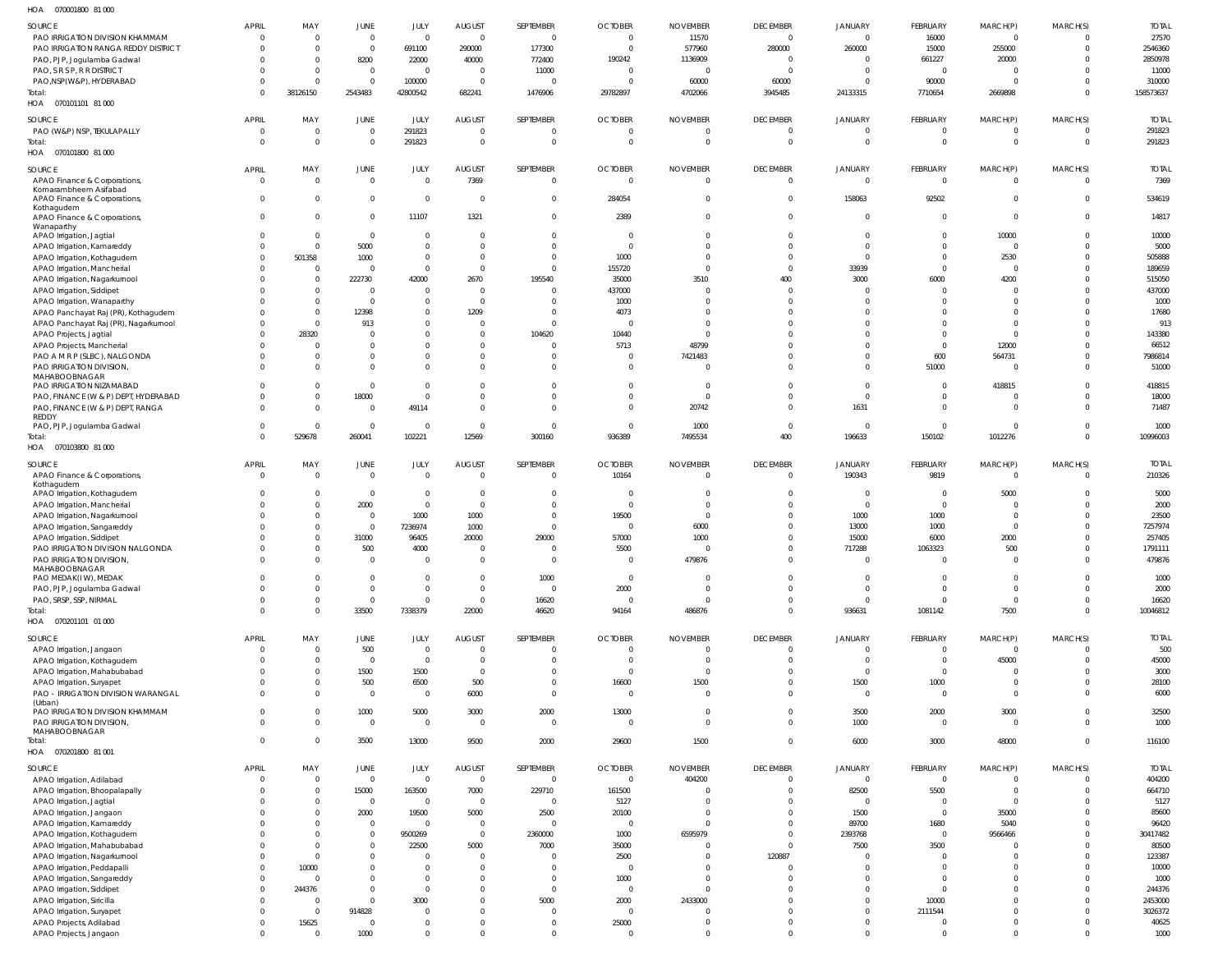070001800 81 000 HOA

| SOURCE                                | <b>APRIL</b>   | MAY            | JUNE           | JULY           | <b>AUGUST</b>  | SEPTEMBER      | <b>OCTOBER</b> | <b>NOVEMBER</b> | <b>DECEMBER</b> | JANUARY        | FEBRUARY        | MARCH(P)       | MARCH(S) | <b>TOTAL</b> |
|---------------------------------------|----------------|----------------|----------------|----------------|----------------|----------------|----------------|-----------------|-----------------|----------------|-----------------|----------------|----------|--------------|
| PAO IRRIGATION DIVISION KHAMMAM       | $\Omega$       | $\overline{0}$ | $\overline{0}$ | $\overline{0}$ | $\overline{0}$ | $\Omega$       | $\Omega$       | 11570           | $\Omega$        | $\Omega$       | 16000           | $\mathbf 0$    |          | 27570        |
| PAO IRRIGATION RANGA REDDY DISTRICT   | $\Omega$       | $\Omega$       | $\overline{0}$ |                |                | 177300         | $\Omega$       | 577960          |                 | 260000         |                 | 255000         |          | 2546360      |
|                                       |                |                |                | 691100         | 290000         |                |                |                 | 280000          |                | 15000           |                |          |              |
| PAO, PJP, Jogulamba Gadwal            |                | $\overline{0}$ | 8200           | 22000          | 40000          | 772400         | 190242         | 1136909         | $\Omega$        | $\Omega$       | 661227          | 20000          |          | 2850978      |
| PAO, S R S P, R R DISTRICT            |                | $\Omega$       | $\overline{0}$ | $\overline{0}$ | $\overline{0}$ | 11000          | $\Omega$       | 0               | $\Omega$        | $\Omega$       | $\Omega$        | $\Omega$       |          | 11000        |
| PAO, NSP(W&P), HYDERABAD              | $\Omega$       | $\Omega$       | $\overline{0}$ | 100000         | $\overline{0}$ |                |                | 60000           | 60000           | $\Omega$       | 90000           | $\Omega$       |          | 310000       |
| Total:                                | $\Omega$       | 38126150       | 2543483        | 42800542       | 682241         | 1476906        | 29782897       | 4702066         | 3945485         | 24133315       | 7710654         | 2669898        | $\Omega$ | 158573637    |
| HOA  070101101  81 000                |                |                |                |                |                |                |                |                 |                 |                |                 |                |          |              |
|                                       |                |                |                |                |                |                |                |                 |                 |                |                 |                |          |              |
| SOURCE                                | <b>APRIL</b>   | MAY            | JUNE           | JULY           | <b>AUGUST</b>  | SEPTEMBER      | <b>OCTOBER</b> | <b>NOVEMBER</b> | <b>DECEMBER</b> | JANUARY        | FEBRUARY        | MARCH(P)       | MARCH(S) | <b>TOTAL</b> |
| PAO (W&P) NSP, TEKULAPALLY            | $\overline{0}$ | $\overline{0}$ | $\overline{0}$ | 291823         | $\overline{0}$ | - 0            | $\Omega$       | 0               | $\Omega$        | $\Omega$       | $\Omega$        | $\mathbf 0$    |          | 291823       |
| Total:                                | $\Omega$       | $\overline{0}$ | $\overline{0}$ | 291823         | $\,$ 0         | $\Omega$       | $\Omega$       | 0               | $\overline{0}$  | $\mathbf{0}$   | $\mathbf{0}$    | $\overline{0}$ | $\Omega$ | 291823       |
|                                       |                |                |                |                |                |                |                |                 |                 |                |                 |                |          |              |
| HOA  070101800  81 000                |                |                |                |                |                |                |                |                 |                 |                |                 |                |          |              |
| <b>SOURCE</b>                         | <b>APRIL</b>   | MAY            | JUNE           | JULY           | <b>AUGUST</b>  | SEPTEMBER      | <b>OCTOBER</b> | <b>NOVEMBER</b> | <b>DECEMBER</b> | <b>JANUARY</b> | FEBRUARY        | MARCH(P)       | MARCH(S) | <b>TOTAL</b> |
| APAO Finance & Corporations,          | $\overline{0}$ | $\overline{0}$ | $\overline{0}$ | $\overline{0}$ | 7369           | $\Omega$       | $\overline{0}$ | $\overline{0}$  | $\Omega$        | $\overline{0}$ | $\Omega$        | $\overline{0}$ | $\Omega$ | 7369         |
| Komarambheem Asifabad                 |                |                |                |                |                |                |                |                 |                 |                |                 |                |          |              |
| APAO Finance & Corporations,          | $\Omega$       | $\overline{0}$ | $\overline{0}$ | $\overline{0}$ | $\overline{0}$ | $\Omega$       | 284054         | $\overline{0}$  | $\Omega$        | 158063         | 92502           | $\mathbf 0$    |          | 534619       |
| Kothagudem                            |                |                |                |                |                |                |                |                 |                 |                |                 |                |          |              |
| APAO Finance & Corporations,          | $\Omega$       | $\mathbf 0$    | $\Omega$       | 11107          | 1321           | $\Omega$       | 2389           | $\Omega$        | $\Omega$        | $\mathbf 0$    | $\Omega$        | $\mathbf 0$    |          | 14817        |
| Wanaparthy                            |                |                |                |                |                |                |                |                 |                 |                |                 |                |          |              |
| APAO Irrigation, Jagtial              | $\Omega$       | $\overline{0}$ | $\overline{0}$ | $\overline{0}$ | $\overline{0}$ |                | $\Omega$       | $\Omega$        | $\Omega$        | $\Omega$       | $\Omega$        | 10000          |          | 10000        |
| APAO Irrigation, Kamareddy            | $\Omega$       | $\overline{0}$ | 5000           | $\overline{0}$ | $\Omega$       |                | $\Omega$       | $\Omega$        | $\Omega$        | $\Omega$       | $\Omega$        | $\Omega$       |          | 5000         |
|                                       |                |                |                |                |                |                |                |                 |                 |                |                 |                |          |              |
| APAO Irrigation, Kothagudem           | $\Omega$       | 501358         | 1000           | $\overline{0}$ | $\Omega$       | $\Omega$       | 1000           | $\Omega$        | $\Omega$        | $\Omega$       | $\Omega$        | 2530           |          | 505888       |
| APAO Irrigation, Mancherial           |                | $\overline{0}$ | $\Omega$       | $\overline{0}$ | $\mathbf{0}$   | $\Omega$       | 155720         | $\Omega$        | $\Omega$        | 33939          | $\Omega$        | $\Omega$       |          | 189659       |
| APAO Irrigation, Nagarkurnool         |                | $\overline{0}$ | 222730         | 42000          | 2670           | 195540         | 35000          | 3510            | 400             | 3000           | 6000            | 4200           |          | 515050       |
| APAO Irrigation, Siddipet             |                | $\Omega$       | $\Omega$       | $\overline{0}$ | $\Omega$       |                | 437000         | $\Omega$        | $\Omega$        | $\Omega$       | - 0             | 0              |          | 437000       |
| APAO Irrigation, Wanaparthy           |                | $\Omega$       | $\overline{0}$ | $\mathbf{0}$   | $\overline{0}$ |                | 1000           | $\Omega$        |                 | $\Omega$       |                 | 0              |          | 1000         |
|                                       |                | $\overline{0}$ | 12398          | $\mathbf{0}$   | 1209           |                | 4073           | $\Omega$        |                 | $\Omega$       |                 | $\Omega$       |          | 17680        |
| APAO Panchayat Raj (PR), Kothagudem   |                |                |                |                |                |                |                |                 |                 |                |                 |                |          |              |
| APAO Panchayat Raj (PR), Nagarkurnool |                | $\Omega$       | 913            | $\mathbf{0}$   | $\mathbf{0}$   |                |                | $\Omega$        |                 | $\Omega$       |                 | $\Omega$       |          | 913          |
| APAO Projects, Jagtial                |                | 28320          | $\Omega$       | $\Omega$       | $\Omega$       | 104620         | 10440          | $\Omega$        |                 | $\Omega$       |                 | $\Omega$       |          | 143380       |
| APAO Projects, Mancherial             |                | $\Omega$       | $\Omega$       | $\mathbf{0}$   | $\Omega$       | - 0            | 5713           | 48799           |                 | $\Omega$       | $\Omega$        | 12000          |          | 66512        |
| PAO A M R P (SLBC), NALGONDA          |                | $\Omega$       | $\overline{0}$ | $\mathbf{0}$   | $\mathbf{0}$   |                | $\Omega$       | 7421483         | $\Omega$        | $\Omega$       | 600             | 564731         |          | 7986814      |
| PAO IRRIGATION DIVISION,              |                | $\Omega$       | $\Omega$       | $\Omega$       | $\Omega$       | $\Omega$       | $\Omega$       | $\Omega$        | $\Omega$        | $\Omega$       | 51000           | $\Omega$       |          | 51000        |
|                                       |                |                |                |                |                |                |                |                 |                 |                |                 |                |          |              |
| MAHABOOBNAGAR                         |                | $\Omega$       | $\overline{0}$ | $\overline{0}$ | $\Omega$       |                |                | $\Omega$        | $\Omega$        | $\Omega$       | $\Omega$        | 418815         |          | 418815       |
| PAO IRRIGATION NIZAMABAD              |                |                |                |                |                |                |                |                 |                 |                |                 |                |          |              |
| PAO, FINANCE (W & P) DEPT, HYDERABAD  | $\Omega$       | $\overline{0}$ | 18000          | $\overline{0}$ | $\Omega$       |                | $\Omega$       | $\Omega$        | $\Omega$        | $\Omega$       | $\Omega$        | 0              |          | 18000        |
| PAO, FINANCE (W & P) DEPT, RANGA      | $\Omega$       | $\overline{0}$ | $\overline{0}$ | 49114          | $\Omega$       | $\Omega$       | $\Omega$       | 20742           | $\Omega$        | 1631           | $\Omega$        | $\Omega$       |          | 71487        |
| REDDY                                 |                |                |                |                |                |                |                |                 |                 |                |                 |                |          |              |
| PAO, PJP, Jogulamba Gadwal            | $\Omega$       | $\overline{0}$ | $\overline{0}$ | $\Omega$       | $\overline{0}$ | $\Omega$       | $\Omega$       | 1000            | $\Omega$        | $\overline{0}$ | - 0             | $\mathbf 0$    |          | 1000         |
| Total:                                | $\Omega$       | 529678         | 260041         | 102221         | 12569          | 300160         | 936389         | 7495534         | 400             | 196633         | 150102          | 1012276        | $\Omega$ | 10996003     |
| HOA  070103800  81 000                |                |                |                |                |                |                |                |                 |                 |                |                 |                |          |              |
|                                       |                |                |                |                |                |                |                |                 |                 |                |                 |                |          |              |
| SOURCE                                | <b>APRIL</b>   | MAY            | JUNE           | JULY           | AUGUST         | SEPTEMBER      | <b>OCTOBER</b> | <b>NOVEMBER</b> | <b>DECEMBER</b> | JANUARY        | <b>FEBRUARY</b> | MARCH(P)       | MARCH(S) | <b>TOTAL</b> |
| APAO Finance & Corporations,          | $\overline{0}$ | $\overline{0}$ | $\overline{0}$ | $\overline{0}$ | $\overline{0}$ | $\overline{0}$ | 10164          | $\overline{0}$  | $\Omega$        | 190343         | 9819            | $\mathbf 0$    | - 0      | 210326       |
| Kothagudem                            |                |                |                |                |                |                |                |                 |                 |                |                 |                |          |              |
|                                       |                |                |                |                |                |                |                |                 |                 |                |                 |                |          |              |
|                                       | $\Omega$       | $\overline{0}$ |                |                | $\overline{0}$ | - 0            | $\Omega$       | - 0             | $\Omega$        | $\Omega$       | $\Omega$        |                | - 0      |              |
| APAO Irrigation, Kothagudem           |                |                | $\overline{0}$ | $\overline{0}$ |                |                |                |                 |                 |                |                 | 5000           |          | 5000         |
| APAO Irrigation, Mancherial           | n              | $\overline{0}$ | 2000           | $\overline{0}$ | $\overline{0}$ | $\Omega$       | $\Omega$       | - 0             | $\Omega$        | $\overline{0}$ | $\Omega$        | $\Omega$       |          | 2000         |
| APAO Irrigation, Nagarkurnool         |                | $\overline{0}$ | $\overline{0}$ | 1000           | 1000           | $\Omega$       | 19500          | 0               | $\Omega$        | 1000           | 1000            | $\mathbf 0$    |          | 23500        |
| APAO Irrigation, Sangareddy           |                | $\overline{0}$ | $\overline{0}$ | 7236974        | 1000           | - 0            | $\Omega$       | 6000            | $\Omega$        | 13000          | 1000            | $\Omega$       |          | 7257974      |
| APAO Irrigation, Siddipet             |                | $\mathbf 0$    | 31000          | 96405          | 20000          | 29000          | 57000          | 1000            |                 | 15000          | 6000            | 2000           |          | 257405       |
| PAO IRRIGATION DIVISION NALGONDA      | $\Omega$       | $\mathbf 0$    | 500            | 4000           | $\overline{0}$ | $\Omega$       | 5500           | $\mathcal{L}$   | $\Omega$        | 717288         | 1063323         | 500            | $\Omega$ | 1791111      |
|                                       |                | $\Omega$       | $\Omega$       | $\Omega$       | $\Omega$       | $\Omega$       |                |                 | $\Omega$        | $\Omega$       | $\Omega$        | $\Omega$       | $\Omega$ |              |
| PAO IRRIGATION DIVISION,              |                |                |                |                |                |                |                | 479876          |                 |                |                 |                |          | 479876       |
| MAHABOOBNAGAR                         | $\Omega$       |                |                |                |                |                |                |                 |                 |                |                 |                | $\Omega$ |              |
| PAO MEDAK(IW), MEDAK                  |                | $\overline{0}$ | $\overline{0}$ | $\mathbf 0$    | $\overline{0}$ | 1000           | $\overline{0}$ | 0               | $\overline{0}$  | $\overline{0}$ | $\overline{0}$  | $\mathbf 0$    |          | 1000         |
| PAO, PJP, Jogulamba Gadwal            | $\Omega$       | $\overline{0}$ | $\overline{0}$ | $\overline{0}$ | $\overline{0}$ | $\Omega$       | 2000           | 0               | $\overline{0}$  | $\Omega$       | $\Omega$        | $\overline{0}$ | $\Omega$ | 2000         |
| PAO, SRSP, SSP, NIRMAL                | $\Omega$       | $\overline{0}$ | $\overline{0}$ | $\overline{0}$ | $\overline{0}$ | 16620          | $\overline{0}$ | 0               | $\overline{0}$  | $\overline{0}$ | $\Omega$        | $\overline{0}$ | $\Omega$ | 16620        |
| Total:                                | $\Omega$       | $\overline{0}$ | 33500          | 7338379        | 22000          | 46620          | 94164          | 486876          | $\Omega$        | 936631         | 1081142         | 7500           | $\Omega$ | 10046812     |
| HOA  070201101  01  000               |                |                |                |                |                |                |                |                 |                 |                |                 |                |          |              |
|                                       |                |                |                |                |                |                |                |                 |                 |                |                 |                |          |              |
| SOURCE                                | <b>APRIL</b>   | MAY            | JUNE           | JULY           | AUGUST         | SEPTEMBER      | <b>OCTOBER</b> | <b>NOVEMBER</b> | <b>DECEMBER</b> | <b>JANUARY</b> | FEBRUARY        | MARCH(P)       | MARCH(S) | <b>TOTAL</b> |
| APAO Irrigation, Jangaon              | $\Omega$       | $\overline{0}$ | 500            | $\overline{0}$ | $\overline{0}$ | $\Omega$       | $\Omega$       | $\overline{0}$  | $\overline{0}$  | $\Omega$       | $\Omega$        | $\mathbf 0$    |          | 500          |
| APAO Irrigation, Kothagudem           | $\Omega$       | $\Omega$       | $\overline{0}$ | $\overline{0}$ | $\overline{0}$ |                | $\Omega$       | 0               | $\Omega$        | $\Omega$       | $\Omega$        | 45000          |          | 45000        |
|                                       | $\Omega$       | $\Omega$       | 1500           | 1500           | $\overline{0}$ |                | $\Omega$       | $\overline{0}$  | $\Omega$        | $\Omega$       | $\Omega$        | $\mathbf 0$    |          |              |
| APAO Irrigation, Mahabubabad          | $\Omega$       |                |                |                |                | $\Omega$       |                |                 | $\Omega$        |                |                 |                |          | 3000         |
| APAO Irrigation, Suryapet             |                | $\mathbf 0$    | 500            | 6500           | 500            |                | 16600          | 1500            |                 | 1500           | 1000            | $\mathbf 0$    |          | 28100        |
| PAO - IRRIGATION DIVISION WARANGAL    | $\Omega$       | $\Omega$       | $\overline{0}$ | $\overline{0}$ | 6000           | $\Omega$       | $\Omega$       | $\overline{0}$  | $\Omega$        | $\overline{0}$ | $\Omega$        | $\mathbf 0$    |          | 6000         |
| (Urban)                               |                |                |                |                |                |                |                |                 |                 |                |                 |                |          |              |
| PAO IRRIGATION DIVISION KHAMMAM       | $\Omega$       | $\Omega$       | 1000           | 5000           | 3000           | 2000           | 13000          | $\overline{0}$  | $\Omega$        | 3500           | 2000            | 3000           |          | 32500        |
| PAO IRRIGATION DIVISION,              | $\Omega$       | $\overline{0}$ | $\overline{0}$ | $\overline{0}$ | $\overline{0}$ | $\Omega$       | $\Omega$       | $\overline{0}$  | $\Omega$        | 1000           | $\overline{0}$  | $\Omega$       | $\Omega$ | 1000         |
| MAHABOOBNAGAR                         |                |                |                |                |                |                |                |                 |                 |                |                 |                |          |              |
| Total:                                | $\Omega$       | $\Omega$       | 3500           | 13000          | 9500           | 2000           | 29600          | 1500            | $\Omega$        | 6000           | 3000            | 48000          | $\Omega$ | 116100       |
| HOA  070201800  81 001                |                |                |                |                |                |                |                |                 |                 |                |                 |                |          |              |
|                                       |                |                |                |                |                |                |                |                 |                 |                |                 |                |          |              |
| SOURCE                                | <b>APRIL</b>   | MAY            | JUNE           | JULY           | AUGUST         | SEPTEMBER      | <b>OCTOBER</b> | <b>NOVEMBER</b> | <b>DECEMBER</b> | <b>JANUARY</b> | FEBRUARY        | MARCH(P)       | MARCH(S) | <b>TOTAL</b> |
| APAO Irrigation, Adilabad             | $\Omega$       | $\overline{0}$ | $\overline{0}$ | $\overline{0}$ | $\overline{0}$ | $\Omega$       | $\overline{0}$ | 404200          | $\overline{0}$  | $\overline{0}$ | $\overline{0}$  | $\overline{0}$ | $\Omega$ | 404200       |
| APAO Irrigation, Bhoopalapally        | $\Omega$       | $\overline{0}$ | 15000          | 163500         | 7000           | 229710         | 161500         | 0               | $\Omega$        | 82500          | 5500            | $\overline{0}$ | $\Omega$ | 664710       |
| APAO Irrigation, Jagtial              | $\Omega$       | $\overline{0}$ | $\overline{0}$ | $\overline{0}$ | $\overline{0}$ | $\overline{0}$ | 5127           | 0               | $\Omega$        | $\overline{0}$ | $\overline{0}$  | $\overline{0}$ |          | 5127         |
|                                       | $\Omega$       | $\overline{0}$ |                |                |                |                |                | 0               | $\Omega$        |                | $\overline{0}$  | 35000          |          |              |
| APAO Irrigation, Jangaon              |                |                | 2000           | 19500          | 5000           | 2500           | 20100          |                 |                 | 1500           |                 |                |          | 85600        |
| APAO Irrigation, Kamareddy            |                | $\overline{0}$ | $\overline{0}$ | $\overline{0}$ | $\overline{0}$ | $\Omega$       | $\overline{0}$ | 0               | $\Omega$        | 89700          | 1680            | 5040           |          | 96420        |
| APAO Irrigation, Kothagudem           | $\Omega$       | $\overline{0}$ | $\overline{0}$ | 9500269        | $\overline{0}$ | 2360000        | 1000           | 6595979         | $\overline{0}$  | 2393768        | $\overline{0}$  | 9566466        |          | 30417482     |
| APAO Irrigation, Mahabubabad          | $\Omega$       | $\overline{0}$ | $\mathbf{0}$   | 22500          | 5000           | 7000           | 35000          | $\overline{0}$  | $\Omega$        | 7500           | 3500            | $\Omega$       |          | 80500        |
| APAO Irrigation, Nagarkurnool         | $\Omega$       | $\overline{0}$ | $\overline{0}$ | $\overline{0}$ | $\overline{0}$ | - 0            | 2500           | 0               | 120887          | $\Omega$       | $\Omega$        | $\Omega$       |          | 123387       |
|                                       | $\Omega$       | 10000          | $\Omega$       | $\overline{0}$ | $\overline{0}$ | $\Omega$       | $\overline{0}$ | $\overline{0}$  | $\Omega$        | $\Omega$       | $\Omega$        | $\Omega$       |          | 10000        |
| APAO Irrigation, Peddapalli           |                |                |                |                |                |                |                |                 |                 |                | $\Omega$        | $\Omega$       |          |              |
| APAO Irrigation, Sangareddy           | $\Omega$       | $\overline{0}$ | $\overline{0}$ | $\overline{0}$ | $\mathbf{0}$   | $\Omega$       | 1000           | $\overline{0}$  | $\Omega$        | $\Omega$       |                 |                |          | 1000         |
| APAO Irrigation, Siddipet             | $\Omega$       | 244376         | $\mathbf{0}$   | $\overline{0}$ | $\mathbf 0$    | $\Omega$       | $\overline{0}$ | $\overline{0}$  | $\Omega$        | $\Omega$       | $\Omega$        | $\Omega$       |          | 244376       |
| APAO Irrigation, Siricilla            | $\Omega$       | $\overline{0}$ | $\overline{0}$ | 3000           | $\mathbf{0}$   | 5000           | 2000           | 2433000         | $\Omega$        | $\Omega$       | 10000           | $\Omega$       |          | 2453000      |
| APAO Irrigation, Suryapet             | $\Omega$       | $\overline{0}$ | 914828         | $\Omega$       | $\Omega$       | $\Omega$       | $\Omega$       | 0               | $\Omega$        | $\Omega$       | 2111544         | $\Omega$       |          | 3026372      |
| APAO Projects, Adilabad               | $\Omega$       | 15625          | $\overline{0}$ | $\overline{0}$ | $\mathbf 0$    | $\Omega$       | 25000          | 0               | $\overline{0}$  | $\Omega$       | - 0             | $\mathbf 0$    |          | 40625        |
| APAO Projects, Jangaon                | $\Omega$       | $\overline{0}$ | 1000           | $\mathbf{0}$   | $\mathbf{0}$   | $\Omega$       | $\Omega$       | $\Omega$        | $\Omega$        | $\Omega$       | $\Omega$        | $\Omega$       | $\Omega$ | 1000         |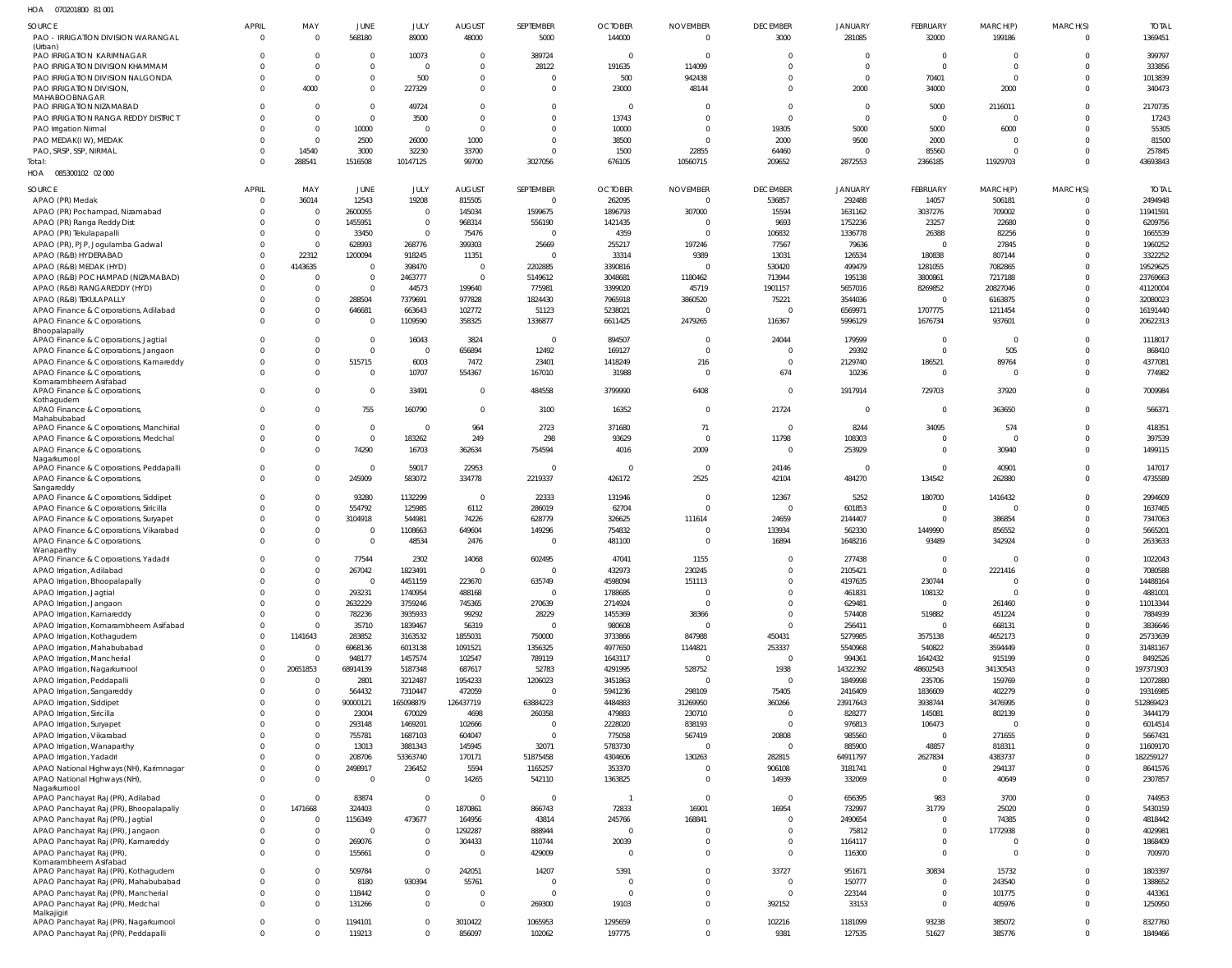070201800 81 001 HOA

| <b>SOURCE</b>                                                                   | <b>APRIL</b><br>$\overline{0}$ | MAY<br>$\mathbf 0$         | <b>JUNE</b>              | <b>JULY</b><br>89000 | <b>AUGUST</b>                | SEPTEMBER            | <b>OCTOBER</b>           | <b>NOVEMBER</b><br>$\Omega$ | <b>DECEMBER</b>            | <b>JANUARY</b>         | <b>FEBRUARY</b>      | MARCH(P)                   | MARCH(S)<br>$\Omega$ | <b>TOTAL</b><br>1369451 |
|---------------------------------------------------------------------------------|--------------------------------|----------------------------|--------------------------|----------------------|------------------------------|----------------------|--------------------------|-----------------------------|----------------------------|------------------------|----------------------|----------------------------|----------------------|-------------------------|
| PAO - IRRIGATION DIVISION WARANGAL<br>(Urban)                                   |                                |                            | 568180                   |                      | 48000                        | 5000                 | 144000                   |                             | 3000                       | 281085                 | 32000                | 199186                     |                      |                         |
| PAO IRRIGATION KARIMNAGAR                                                       | $\Omega$                       | $\mathbf 0$                | $\Omega$                 | 10073                | $\overline{0}$               | 389724               | $\Omega$                 | $\cap$                      | $\Omega$                   | $\overline{0}$         | $\overline{0}$       | $\mathbf 0$                | $\Omega$             | 399797                  |
| PAO IRRIGATION DIVISION KHAMMAM                                                 | $\Omega$                       | $\mathbf{0}$               | $\mathbf{0}$             | $\Omega$             | $\Omega$                     | 28122                | 191635                   | 114099                      | $\Omega$                   | $\Omega$               | $\Omega$             | $^{\circ}$                 | $\Omega$             | 333856                  |
| PAO IRRIGATION DIVISION NALGONDA                                                | $\Omega$<br>$\Omega$           | $\overline{0}$<br>4000     | $\mathbf{0}$<br>$\Omega$ | 500                  | $\mathbf{0}$<br>$\mathbf{0}$ | $\Omega$<br>$\Omega$ | 500<br>23000             | 942438<br>48144             | $\Omega$<br>$\Omega$       | $\overline{0}$<br>2000 | 70401<br>34000       | $\overline{0}$<br>2000     | $\Omega$<br>$\Omega$ | 1013839<br>340473       |
| PAO IRRIGATION DIVISION,<br>MAHABOOBNAGAR                                       |                                |                            |                          | 227329               |                              |                      |                          |                             |                            |                        |                      |                            |                      |                         |
| PAO IRRIGATION NIZAMABAD                                                        | $\Omega$                       | $\mathbf 0$                | $\Omega$                 | 49724                | $\mathbf{0}$                 | $\Omega$             | $\Omega$                 |                             | $\Omega$                   | $\overline{0}$         | 5000                 | 2116011                    | $\Omega$             | 2170735                 |
| PAO IRRIGATION RANGA REDDY DISTRICT                                             | $\Omega$                       | $\overline{0}$             | $\overline{0}$           | 3500                 | $\overline{0}$               | $\Omega$             | 13743                    |                             | $\Omega$                   | $\overline{0}$         | $\Omega$             | $\mathbf 0$                | $\Omega$             | 17243                   |
| PAO Irrigation Nirmal                                                           |                                | $\overline{0}$             | 10000                    | $\overline{0}$       | $\overline{0}$               | $\cap$               | 10000                    | $\Omega$                    | 19305                      | 5000                   | 5000                 | 6000                       | $\Omega$             | 55305                   |
| PAO MEDAK(IW), MEDAK<br>PAO, SRSP, SSP, NIRMAL                                  | $\Omega$<br>$\Omega$           | $\mathbf{0}$<br>14540      | 2500<br>3000             | 26000<br>32230       | 1000<br>33700                | $\Omega$<br>$\cap$   | 38500<br>1500            | $\Omega$<br>22855           | 2000<br>64460              | 9500<br>$\overline{0}$ | 2000<br>85560        | $^{\circ}$<br>$\mathbf 0$  | $\Omega$<br>$\Omega$ | 81500<br>257845         |
| Total:                                                                          | $\Omega$                       | 288541                     | 1516508                  | 10147125             | 99700                        | 3027056              | 676105                   | 10560715                    | 209652                     | 2872553                | 2366185              | 11929703                   | $\Omega$             | 43693843                |
| HOA<br>085300102 02 000                                                         |                                |                            |                          |                      |                              |                      |                          |                             |                            |                        |                      |                            |                      |                         |
|                                                                                 | <b>APRIL</b>                   | MAY                        | <b>JUNE</b>              |                      |                              | SEPTEMBER            |                          | <b>NOVEMBER</b>             | <b>DECEMBER</b>            | <b>JANUARY</b>         | FEBRUARY             |                            | MARCH(S)             | <b>TOTAL</b>            |
| SOURCE<br>APAO (PR) Medak                                                       | $\Omega$                       | 36014                      | 12543                    | JULY<br>19208        | <b>AUGUST</b><br>815505      | $\Omega$             | <b>OCTOBER</b><br>262095 | $\Omega$                    | 536857                     | 292488                 | 14057                | MARCH(P)<br>506181         | $\Omega$             | 2494948                 |
| APAO (PR) Pochampad, Nizamabad                                                  | $\Omega$                       | $\mathbf{0}$               | 2600055                  | $\overline{0}$       | 145034                       | 1599675              | 1896793                  | 307000                      | 15594                      | 1631162                | 3037276              | 709002                     | $\Omega$             | 11941591                |
| APAO (PR) Ranga Reddy Dist                                                      |                                | $\mathbf{0}$               | 1455951                  | $\overline{0}$       | 968314                       | 556190               | 1421435                  | $\Omega$                    | 9693                       | 1752236                | 23257                | 22680                      |                      | 6209756                 |
| APAO (PR) Tekulapapalli                                                         |                                | $\mathbf{0}$               | 33450                    | $\mathbf 0$          | 75476                        | $\Omega$             | 4359                     | $\cap$                      | 106832                     | 1336778                | 26388                | 82256                      |                      | 1665539                 |
| APAO (PR), PJP, Jogulamba Gadwal                                                | $\Omega$                       | $\mathbf{0}$               | 628993                   | 268776               | 399303                       | 25669                | 255217                   | 197246                      | 77567                      | 79636                  | $\Omega$             | 27845                      | $\cap$               | 1960252                 |
| APAO (R&B) HYDERABAD                                                            | $\Omega$                       | 22312                      | 1200094                  | 918245               | 11351                        | $\Omega$             | 33314                    | 9389                        | 13031                      | 126534                 | 180838               | 807144                     |                      | 3322252                 |
| APAO (R&B) MEDAK (HYD)                                                          | $\Omega$                       | 4143635                    | $\Omega$                 | 398470               | $\overline{0}$               | 2202885              | 3390816                  |                             | 530420                     | 499479                 | 1281055              | 7082865                    |                      | 19529625                |
| APAO (R&B) POCHAMPAD (NIZAMABAD)                                                | $\Omega$                       | $\mathbf{0}$               | $\mathbf 0$              | 2463777              | $\overline{0}$               | 5149612              | 3048681                  | 1180462                     | 713944                     | 195138                 | 3800861              | 7217188                    |                      | 23769663                |
| APAO (R&B) RANGAREDDY (HYD)<br>APAO (R&B) TEKULAPALLY                           | $\Omega$                       | $\mathbf 0$<br>$\mathbf 0$ | $\overline{0}$<br>288504 | 44573<br>7379691     | 199640<br>977828             | 775981<br>1824430    | 3399020<br>7965918       | 45719<br>3860520            | 1901157<br>75221           | 5657016<br>3544036     | 8269852<br>$\Omega$  | 20827046<br>6163875        | $\Omega$             | 41120004<br>32080023    |
| APAO Finance & Corporations, Adilabad                                           |                                | $\mathbf 0$                | 646681                   | 663643               | 102772                       | 51123                | 5238021                  |                             | $\Omega$                   | 6569971                | 1707775              | 1211454                    |                      | 16191440                |
| APAO Finance & Corporations,                                                    | $\Omega$                       | $\mathbf 0$                | $\Omega$                 | 1109590              | 358325                       | 1336877              | 6611425                  | 2479265                     | 116367                     | 5996129                | 1676734              | 937601                     | $\Omega$             | 20622313                |
| Bhoopalapally                                                                   |                                |                            |                          |                      |                              |                      |                          |                             |                            |                        |                      |                            |                      |                         |
| APAO Finance & Corporations, Jagtial                                            | $\Omega$                       | $\mathbf 0$                | $\overline{0}$           | 16043                | 3824                         |                      | 894507                   | $\Omega$                    | 24044                      | 179599                 | $\Omega$             | $^{\circ}$                 | $\Omega$             | 1118017                 |
| APAO Finance & Corporations, Jangaon                                            |                                | $\mathbf 0$                | $\Omega$                 | $\overline{0}$       | 656894                       | 12492                | 169127                   | $\Omega$                    | $\Omega$                   | 29392                  | $\overline{0}$       | 505                        | $\Omega$             | 868410                  |
| APAO Finance & Corporations, Kamareddy                                          | $\Omega$<br>$\Omega$           | $\mathbf 0$<br>$\Omega$    | 515715<br>$\Omega$       | 6003<br>10707        | 7472<br>554367               | 23401<br>167010      | 1418249<br>31988         | 216<br>$\Omega$             | $\overline{0}$<br>674      | 2129740<br>10236       | 186521<br>$\Omega$   | 89764<br>$\Omega$          | $\Omega$<br>$\Omega$ | 4377081<br>774982       |
| APAO Finance & Corporations,<br>Komarambheem Asifabad                           |                                |                            |                          |                      |                              |                      |                          |                             |                            |                        |                      |                            |                      |                         |
| APAO Finance & Corporations                                                     | $\Omega$                       | $\Omega$                   | $\mathbf{0}$             | 33491                | $\Omega$                     | 484558               | 3799990                  | 6408                        | $\Omega$                   | 1917914                | 729703               | 37920                      | $\Omega$             | 7009984                 |
| Kothagudem                                                                      | $\Omega$                       |                            |                          |                      |                              |                      |                          |                             |                            |                        | $\Omega$             |                            | $\Omega$             |                         |
| APAO Finance & Corporations,<br>Mahabubabad                                     |                                | $\mathbf{0}$               | 755                      | 160790               | $\overline{0}$               | 3100                 | 16352                    | $\overline{0}$              | 21724                      | $\overline{0}$         |                      | 363650                     |                      | 566371                  |
| APAO Finance & Corporations, Manchirial                                         | $\Omega$                       | $\Omega$                   | $\overline{0}$           | $\Omega$             | 964                          | 2723                 | 371680                   | 71                          | $\Omega$                   | 8244                   | 34095                | 574                        | $\Omega$             | 418351                  |
| APAO Finance & Corporations, Medchal                                            | $\Omega$                       | $\mathbf 0$                | $\mathbf 0$              | 183262               | 249                          | 298                  | 93629                    | $\Omega$                    | 11798                      | 108303                 | $\Omega$             | $^{\circ}$                 | $\Omega$             | 397539                  |
| APAO Finance & Corporations,                                                    | $\Omega$                       | $\Omega$                   | 74290                    | 16703                | 362634                       | 754594               | 4016                     | 2009                        | $\Omega$                   | 253929                 | $\Omega$             | 30940                      | $\Omega$             | 1499115                 |
| Nagarkurnool<br>APAO Finance & Corporations, Peddapalli                         |                                | $\mathbf 0$                | $\Omega$                 | 59017                | 22953                        |                      | - 0                      | $\Omega$                    | 24146                      | $\overline{0}$         | $\Omega$             | 40901                      | $\Omega$             | 147017                  |
| APAO Finance & Corporations,                                                    | $\Omega$                       | $\Omega$                   | 245909                   | 583072               | 334778                       | 2219337              | 426172                   | 2525                        | 42104                      | 484270                 | 134542               | 262880                     | $\Omega$             | 4735589                 |
| Sangareddy                                                                      |                                |                            |                          |                      |                              |                      |                          |                             |                            |                        |                      |                            |                      |                         |
| APAO Finance & Corporations, Siddipet                                           |                                | $\Omega$                   | 93280                    | 1132299              | $\overline{0}$               | 22333                | 131946                   |                             | 12367                      | 5252                   | 180700               | 1416432                    |                      | 2994609                 |
| APAO Finance & Corporations, Siricilla<br>APAO Finance & Corporations, Suryapet |                                | $\Omega$<br>$\Omega$       | 554792                   | 125985<br>544981     | 6112                         | 286019               | 62704                    |                             | $\Omega$                   | 601853<br>2144407      | $\Omega$<br>$\Omega$ | $\Omega$                   | $\Omega$             | 1637465<br>7347063      |
| APAO Finance & Corporations, Vikarabad                                          |                                | $\Omega$                   | 3104918<br>$\Omega$      | 1108663              | 74226<br>649604              | 628779<br>149296     | 326625<br>754832         | 111614                      | 24659<br>133934            | 562330                 | 1449990              | 386854<br>856552           |                      | 5665201                 |
| APAO Finance & Corporations,                                                    | $\Omega$                       | $\Omega$                   | $\mathbf 0$              | 48534                | 2476                         |                      | 481100                   |                             | 16894                      | 1648216                | 93489                | 342924                     |                      | 2633633                 |
| Wanaparthy                                                                      |                                |                            |                          |                      |                              |                      |                          |                             |                            |                        |                      |                            |                      |                         |
| APAO Finance & Corporations, Yadadri                                            |                                | $\Omega$                   | 77544                    | 2302                 | 14068                        | 602495               | 47041                    | 1155                        | $\mathbf 0$                | 277438                 | $\overline{0}$       | $\Omega$                   | $\Omega$             | 1022043                 |
| APAO Irrigation, Adilabad                                                       |                                | $\Omega$                   | 267042                   | 1823491              | $\mathbf{0}$                 | $\Omega$             | 432973                   | 230245                      | $\Omega$                   | 2105421                | $\Omega$             | 2221416                    |                      | 7080588                 |
| APAO Irrigation, Bhoopalapally<br>APAO Irrigation, Jagtial                      | $\Omega$                       | $\Omega$<br>$\Omega$       | $\Omega$<br>293231       | 4451159<br>1740954   | 223670<br>488168             | 635749<br>$\Omega$   | 4598094<br>1788685       | 151113<br>$\Omega$          | $\Omega$<br>$\overline{0}$ | 4197635<br>461831      | 230744<br>108132     | $\overline{0}$<br>$\Omega$ | $\Omega$<br>$\Omega$ | 14488164<br>4881001     |
| APAO Irrigation, Jangaon                                                        |                                | $\Omega$                   | 2632229                  | 3759246              | 745365                       | 270639               | 2714924                  |                             | $\Omega$                   | 629481                 | $\Omega$             | 261460                     | $\Omega$             | 11013344                |
| APAO Irrigation, Kamareddy                                                      |                                | $\mathbf 0$                | 782236                   | 3935933              | 99292                        | 28229                | 1455369                  | 38366                       | $\overline{0}$             | 574408                 | 519882               | 451224                     |                      | 7884939                 |
| APAO Irrigation, Komarambheem Asifabad                                          | $\Omega$                       | $\Omega$                   | 35710                    | 1839467              | 56319                        |                      | 980608                   |                             | $\Omega$                   | 256411                 | $\Omega$             | 668131                     | $\Omega$             | 3836646                 |
| APAO Irrigation, Kothagudem                                                     | $\Omega$                       | 1141643                    | 283852                   | 3163532              | 1855031                      | 750000               | 3733866                  | 847988                      | 450431                     | 5279985                | 3575138              | 4652173                    |                      | 25733639                |
| APAO Irrigation, Mahabubabad                                                    | $\Omega$                       | $\Omega$                   | 6968136                  | 6013138              | 1091521                      | 1356325              | 4977650                  | 1144821                     | 253337                     | 5540968                | 540822               | 3594449                    | $\Omega$             | 31481167                |
| APAO Irrigation, Mancherial                                                     | $\Omega$                       | $\Omega$                   | 948177                   | 1457574              | 102547                       | 789119               | 1643117                  | $\Omega$                    | $\overline{0}$             | 994361                 | 1642432              | 915199                     | $\Omega$             | 8492526                 |
| APAO Irrigation, Nagarkurnool                                                   | $\Omega$                       | 20651853                   | 68914139                 | 5187348              | 687617                       | 52783                | 4291995                  | 528752                      | 1938                       | 14322392               | 48602543             | 34130543                   | $\Omega$             | 197371903               |
| APAO Irrigation, Peddapalli                                                     | $\Omega$                       | $\Omega$                   | 2801                     | 3212487              | 1954233                      | 1206023              | 3451863                  | $\Omega$                    | $\overline{0}$             | 1849998                | 235706               | 159769                     | $\Omega$             | 12072880                |
| APAO Irrigation, Sangareddy<br>APAO Irrigation, Siddipet                        | $\Omega$                       | $\Omega$<br>$\mathbf 0$    | 564432<br>90000121       | 7310447<br>165098879 | 472059<br>126437719          | $\Omega$<br>63884223 | 5941236<br>4484883       | 298109<br>31269950          | 75405<br>360266            | 2416409<br>23917643    | 1836609<br>3938744   | 402279<br>3476995          | $\Omega$<br>$\Omega$ | 19316985<br>512869423   |
| APAO Irrigation, Siricilla                                                      |                                | $\Omega$                   | 23004                    | 670029               | 4698                         | 260358               | 479883                   | 230710                      | $\overline{0}$             | 828277                 | 145081               | 802139                     | $\Omega$             | 3444179                 |
| APAO Irrigation, Suryapet                                                       |                                | $\Omega$                   | 293148                   | 1469201              | 102666                       | $\Omega$             | 2228020                  | 838193                      | $\overline{0}$             | 976813                 | 106473               | $\mathbf 0$                |                      | 6014514                 |
| APAO Irrigation, Vikarabad                                                      |                                | $\Omega$                   | 755781                   | 1687103              | 604047                       |                      | 775058                   | 567419                      | 20808                      | 985560                 | $\Omega$             | 271655                     | $\Omega$             | 5667431                 |
| APAO Irrigation, Wanaparthy                                                     |                                | $\Omega$                   | 13013                    | 3881343              | 145945                       | 32071                | 5783730                  |                             | $\overline{0}$             | 885900                 | 48857                | 818311                     | $\Omega$             | 11609170                |
| APAO Irrigation, Yadadri                                                        |                                | $\Omega$                   | 208706                   | 53363740             | 170171                       | 51875458             | 4304606                  | 130263                      | 282815                     | 64911797               | 2627834              | 4383737                    | $\Omega$             | 182259127               |
| APAO National Highways (NH), Karimnagar                                         |                                | $\mathbf 0$                | 2498917                  | 236452               | 5594                         | 1165257              | 353370                   | $\Omega$                    | 906108                     | 3181741                | $\Omega$             | 294137                     | $\Omega$             | 8641576                 |
| APAO National Highways (NH)<br>Nagarkurnool                                     |                                | $\Omega$                   | $\Omega$                 | $\overline{0}$       | 14265                        | 542110               | 1363825                  | $\Omega$                    | 14939                      | 332069                 | $\Omega$             | 40649                      | $\Omega$             | 2307857                 |
| APAO Panchayat Raj (PR), Adilabad                                               | $\Omega$                       | $\Omega$                   | 83874                    | $\overline{0}$       | $\overline{0}$               | $\Omega$             |                          | $\Omega$                    | $\overline{0}$             | 656395                 | 983                  | 3700                       | $\Omega$             | 744953                  |
| APAO Panchayat Raj (PR), Bhoopalapally                                          | $\Omega$                       | 1471668                    | 324403                   | $\Omega$             | 1870861                      | 866743               | 72833                    | 16901                       | 16954                      | 732997                 | 31779                | 25020                      | $\Omega$             | 5430159                 |
| APAO Panchayat Raj (PR), Jagtial                                                |                                | $\mathbf{0}$               | 1156349                  | 473677               | 164956                       | 43814                | 245766                   | 168841                      | $\overline{0}$             | 2490654                | $\Omega$             | 74385                      | $\Omega$             | 4818442                 |
| APAO Panchayat Raj (PR), Jangaon                                                |                                | $\Omega$                   | $\Omega$                 | $\overline{0}$       | 1292287                      | 888944               | $\Omega$                 |                             | $\overline{0}$             | 75812                  | $\Omega$             | 1772938                    | $\Omega$             | 4029981                 |
| APAO Panchayat Raj (PR), Kamareddy                                              |                                | $\mathbf 0$                | 269076                   | $\overline{0}$       | 304433                       | 110744               | 20039                    | $\Omega$                    | $\overline{0}$             | 1164117                | $\overline{0}$       | $\Omega$                   | $\Omega$             | 1868409                 |
| APAO Panchayat Raj (PR),                                                        |                                | $\Omega$                   | 155661                   | $\mathbf 0$          | $\Omega$                     | 429009               | $\Omega$                 | $\Omega$                    | $\Omega$                   | 116300                 | $\Omega$             | $^{\circ}$                 | $\Omega$             | 700970                  |
| Komarambheem Asifabad<br>APAO Panchayat Raj (PR), Kothagudem                    |                                | $\Omega$                   | 509784                   | $\overline{0}$       | 242051                       | 14207                | 5391                     |                             | 33727                      | 951671                 | 30834                | 15732                      | $\Omega$             | 1803397                 |
| APAO Panchayat Raj (PR), Mahabubabad                                            | $\Omega$                       | $\Omega$                   | 8180                     | 930394               | 55761                        | $\Omega$             |                          | $\Omega$                    | $\overline{0}$             | 150777                 | $\Omega$             | 243540                     | $\Omega$             | 1388652                 |
| APAO Panchayat Raj (PR), Mancherial                                             | $\Omega$                       | $\mathbf 0$                | 118442                   | $\overline{0}$       | $\mathbf 0$                  | $\Omega$             | $\Omega$                 | $\Omega$                    | $\overline{0}$             | 223144                 | $\overline{0}$       | 101775                     | $\Omega$             | 443361                  |
| APAO Panchayat Raj (PR), Medchal                                                | $\Omega$                       | $\Omega$                   | 131266                   | $\overline{0}$       | $\overline{0}$               | 269300               | 19103                    | $\Omega$                    | 392152                     | 33153                  | $\Omega$             | 405976                     | $\Omega$             | 1250950                 |
| Malkajigiri<br>APAO Panchayat Raj (PR), Nagarkurnool                            | $\Omega$                       | $\mathbf 0$                | 1194101                  | $\mathbf 0$          | 3010422                      | 1065953              | 1295659                  | $\Omega$                    | 102216                     | 1181099                | 93238                | 385072                     | $\Omega$             | 8327760                 |
| APAO Panchayat Raj (PR), Peddapalli                                             | $\Omega$                       | $\mathbf 0$                | 119213                   | $\Omega$             | 856097                       | 102062               | 197775                   | $\Omega$                    | 9381                       | 127535                 | 51627                | 385776                     | $\Omega$             | 1849466                 |
|                                                                                 |                                |                            |                          |                      |                              |                      |                          |                             |                            |                        |                      |                            |                      |                         |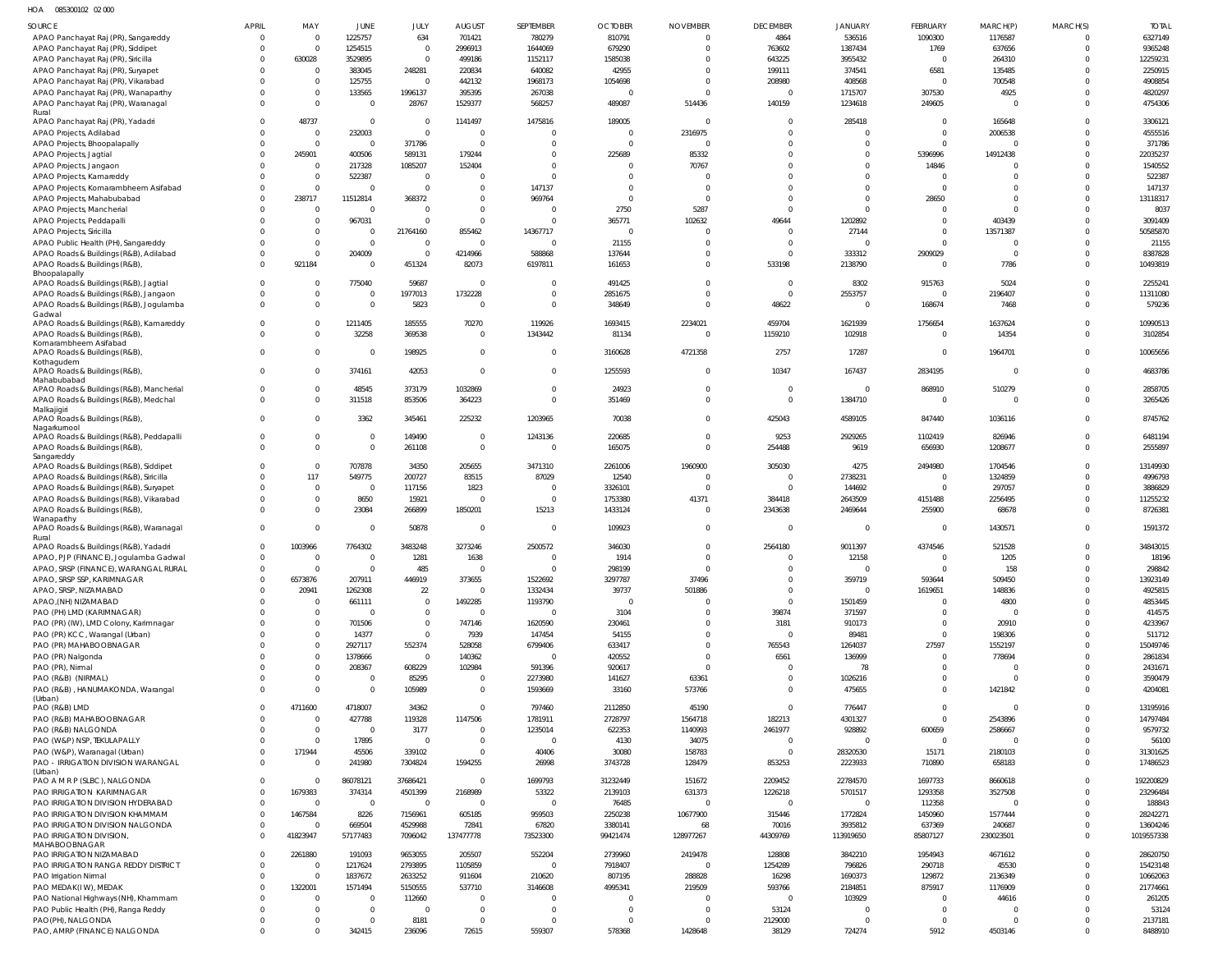HOA 085300102 02 000

| SOURCE                                                                     | APRIL    | MAY                      | JUNE                               | JULY                | <b>AUGUST</b>              | SEPTEMBER                | <b>OCTOBER</b>         | <b>NOVEMBER</b>    | <b>DECEMBER</b>          | <b>JANUARY</b>       | FEBRUARY             | MARCH(P)             | MARCH(S) | <b>TOTAL</b>           |
|----------------------------------------------------------------------------|----------|--------------------------|------------------------------------|---------------------|----------------------------|--------------------------|------------------------|--------------------|--------------------------|----------------------|----------------------|----------------------|----------|------------------------|
| APAO Panchayat Raj (PR), Sangareddy                                        | $\Omega$ | $\Omega$                 | 1225757                            | 634                 | 701421                     | 780279                   | 810791                 | $\overline{0}$     | 4864                     | 536516               | 1090300              | 1176587              |          | 6327149                |
| APAO Panchayat Raj (PR), Siddipet                                          |          | $\Omega$                 | 1254515                            | $\Omega$            | 2996913                    | 1644069                  | 679290                 | $\Omega$           | 763602                   | 1387434              | 1769                 | 637656               |          | 9365248                |
| APAO Panchayat Raj (PR), Siricilla                                         |          | 630028                   | 3529895                            | $\Omega$            | 499186                     | 1152117                  | 1585038                | C                  | 643225                   | 3955432              | $\Omega$             | 264310               |          | 12259231               |
| APAO Panchayat Raj (PR), Suryapet                                          |          | $\Omega$                 | 383045                             | 248281              | 220834                     | 640082                   | 42955                  | $\Omega$           | 199111                   | 374541               | 6581                 | 135485               |          | 2250915                |
| APAO Panchayat Raj (PR), Vikarabad                                         |          | $\Omega$                 | 125755                             | $\overline{0}$      | 442132                     | 1968173                  | 1054698                | $\Omega$           | 208980                   | 408568               | $\Omega$             | 700548               |          | 4908854                |
| APAO Panchayat Raj (PR), Wanaparthy<br>APAO Panchayat Raj (PR), Waranagal  |          | $\Omega$<br>$\Omega$     | 133565<br>$\overline{0}$           | 1996137<br>28767    | 395395<br>1529377          | 267038<br>568257         | $\mathsf{C}$<br>489087 | $\Omega$<br>514436 | $\Omega$<br>140159       | 1715707<br>1234618   | 307530<br>249605     | 4925<br>$\Omega$     |          | 4820297<br>4754306     |
| Rural                                                                      |          |                          |                                    |                     |                            |                          |                        |                    |                          |                      |                      |                      |          |                        |
| APAO Panchayat Raj (PR), Yadadri                                           | $\Omega$ | 48737                    | $\overline{\mathbf{0}}$            | $\Omega$            | 1141497                    | 1475816                  | 189005                 | C                  | $\Omega$                 | 285418               | $\Omega$             | 165648               |          | 3306121                |
| APAO Projects, Adilabad                                                    |          | $\Omega$                 | 232003                             | $\Omega$            | $\Omega$                   | $\mathsf{C}$             | $\Omega$               | 2316975            | $\Omega$                 | $\Omega$             | $\Omega$             | 2006538              |          | 4555516                |
| APAO Projects, Bhoopalapally                                               |          | $\Omega$                 | $\Omega$                           | 371786              | $\Omega$                   | C                        | $\Omega$               | $\Omega$           | $\Omega$                 | $\Omega$             | $\Omega$             | $\Omega$             |          | 371786                 |
| APAO Projects, Jagtial                                                     |          | 245901                   | 400506                             | 589131              | 179244                     | $\Omega$                 | 225689                 | 85332              | $\Omega$                 | $\Omega$             | 5396996              | 14912438             |          | 22035237               |
| APAO Projects, Jangaon                                                     |          | $\Omega$<br>$\Omega$     | 217328<br>522387                   | 1085207<br>$\Omega$ | 152404                     | $\Omega$<br>$\mathsf{C}$ | $\Omega$<br>C          | 70767<br>C         | $\Omega$<br>$\Omega$     | $\Omega$<br>$\Omega$ | 14846<br>$\Omega$    | $\Omega$<br>$\Omega$ |          | 1540552<br>522387      |
| APAO Projects, Kamareddy<br>APAO Projects, Komarambheem Asifabad           |          | $\Omega$                 | $\Omega$                           | $\Omega$            | $\Omega$                   | 147137                   | $\Omega$               | C                  | $\Omega$                 | $\Omega$             | $\Omega$             | $\Omega$             |          | 147137                 |
| APAO Projects, Mahabubabad                                                 |          | 238717                   | 11512814                           | 368372              | $\Omega$                   | 969764                   | $\Omega$               | $\Omega$           | $\Omega$                 | $\Omega$             | 28650                | $\Omega$             |          | 13118317               |
| APAO Projects, Mancherial                                                  |          | $\Omega$                 | 0                                  | $\Omega$            | $\Omega$                   | C                        | 2750                   | 5287               | $\Omega$                 | $\Omega$             | $\Omega$             | $\Omega$             |          | 8037                   |
| APAO Projects, Peddapalli                                                  |          | $\Omega$                 | 967031                             | $\Omega$            | $\Omega$                   | C                        | 365771                 | 102632             | 49644                    | 1202892              | $\Omega$             | 403439               |          | 3091409                |
| APAO Projects, Siricilla                                                   |          | $\Omega$                 | 0                                  | 21764160            | 855462                     | 14367717                 | $\Omega$               | C                  | $\Omega$                 | 27144                | $\Omega$             | 13571387             |          | 50585870               |
| APAO Public Health (PH), Sangareddy                                        |          | $\Omega$                 | $\Omega$                           | $\Omega$            | $\Omega$                   | $\Omega$                 | 21155                  | C                  | $\Omega$                 | $\Omega$             | $\Omega$             | $\Omega$             |          | 21155                  |
| APAO Roads & Buildings (R&B), Adilabad                                     |          | $\Omega$                 | 204009                             | $\Omega$            | 4214966                    | 588868                   | 137644                 | $\Omega$           | $\Omega$                 | 333312               | 2909029              | $\Omega$             |          | 8387828                |
| APAO Roads & Buildings (R&B),<br>Bhoopalapally                             |          | 921184                   | $\Omega$                           | 451324              | 82073                      | 6197811                  | 161653                 | 0                  | 533198                   | 2138790              | $\Omega$             | 7786                 |          | 10493819               |
| APAO Roads & Buildings (R&B), Jagtial                                      | $\Omega$ | <sup>0</sup>             | 775040                             | 59687               | $\Omega$                   | $\Omega$                 | 491425                 | $\Omega$           | $\Omega$                 | 8302                 | 915763               | 5024                 |          | 2255241                |
| APAO Roads & Buildings (R&B), Jangaon                                      |          | $\Omega$                 | $\Omega$                           | 1977013             | 1732228                    | $\Omega$                 | 2851675                | $\Omega$           | $\Omega$                 | 2553757              | $\Omega$             | 2196407              |          | 11311080               |
| APAO Roads & Buildings (R&B), Jogulamba                                    |          | $\Omega$                 | $\overline{0}$                     | 5823                | $\Omega$                   | $\Omega$                 | 348649                 | $\Omega$           | 48622                    | $\Omega$             | 168674               | 7468                 | $\Omega$ | 579236                 |
| Gadwal                                                                     |          | <sup>0</sup>             |                                    | 185555              |                            | 119926                   |                        | 2234021            | 459704                   | 1621939              | 1756654              | 1637624              |          | 10990513               |
| APAO Roads & Buildings (R&B), Kamareddy<br>APAO Roads & Buildings (R&B)    |          | $\Omega$                 | 1211405<br>32258                   | 369538              | 70270<br>$\Omega$          | 1343442                  | 1693415<br>81134       | $\Omega$           | 1159210                  | 102918               | $\Omega$             | 14354                | $\Omega$ | 3102854                |
| Komarambheem Asifabad                                                      |          |                          |                                    |                     |                            |                          |                        |                    |                          |                      |                      |                      |          |                        |
| APAO Roads & Buildings (R&B)                                               |          | $\Omega$                 | $\Omega$                           | 198925              | $\Omega$                   | $\Omega$                 | 3160628                | 4721358            | 2757                     | 17287                | $\Omega$             | 1964701              |          | 10065656               |
| Kothagudem<br>APAO Roads & Buildings (R&B),                                | $\Omega$ | $\Omega$                 | 374161                             | 42053               | $\Omega$                   | $\Omega$                 | 1255593                | $\Omega$           | 10347                    | 167437               | 2834195              | $\Omega$             | $\Omega$ | 4683786                |
| Mahabubabad                                                                |          |                          |                                    |                     |                            |                          |                        |                    |                          |                      |                      |                      |          |                        |
| APAO Roads & Buildings (R&B), Mancherial                                   |          | $\Omega$                 | 48545                              | 373179              | 1032869                    | $\Omega$                 | 24923                  | $\Omega$           | $\Omega$                 | $\Omega$             | 868910               | 510279               |          | 2858705                |
| APAO Roads & Buildings (R&B), Medchal                                      |          | $\Omega$                 | 311518                             | 853506              | 364223                     | $\Omega$                 | 351469                 | $\Omega$           | $\Omega$                 | 1384710              | $\Omega$             | $\Omega$             | $\Omega$ | 3265426                |
| Malkajigiri<br>APAO Roads & Buildings (R&B),                               |          | $\Omega$                 | 3362                               | 345461              | 225232                     | 1203965                  | 70038                  | $\mathbf{0}$       | 425043                   | 4589105              | 847440               | 1036116              |          | 8745762                |
| Nagarkurnool                                                               |          |                          |                                    |                     |                            |                          |                        |                    |                          |                      |                      |                      |          |                        |
| APAO Roads & Buildings (R&B), Peddapalli                                   |          | $\Omega$                 | $\overline{0}$                     | 149490              | $\Omega$                   | 1243136                  | 220685                 | $\overline{0}$     | 9253                     | 2929265              | 1102419              | 826946               |          | 6481194                |
| APAO Roads & Buildings (R&B),                                              |          | $\Omega$                 | $\overline{0}$                     | 261108              | $\overline{0}$             | $\overline{0}$           | 165075                 | $\mathbf 0$        | 254488                   | 9619                 | 656930               | 1208677              | $\Omega$ | 2555897                |
| Sangareddy<br>APAO Roads & Buildings (R&B), Siddipet                       |          | $\Omega$                 | 707878                             | 34350               | 205655                     | 3471310                  | 2261006                | 1960900            | 305030                   | 4275                 | 2494980              | 1704546              |          | 13149930               |
| APAO Roads & Buildings (R&B), Siricilla                                    |          | 117                      | 549775                             | 200727              | 83515                      | 87029                    | 12540                  | $\mathsf{C}$       | $\Omega$                 | 2738231              | $\Omega$             | 1324859              |          | 4996793                |
| APAO Roads & Buildings (R&B), Suryapet                                     |          | $\overline{0}$           | $\overline{0}$                     | 117156              | 1823                       | C                        | 3326101                | C                  | $\Omega$                 | 144692               | $\Omega$             | 297057               |          | 3886829                |
| APAO Roads & Buildings (R&B), Vikarabad                                    |          | $\Omega$                 | 8650                               | 15921               | $\Omega$                   | C                        | 1753380                | 41371              | 384418                   | 2643509              | 4151488              | 2256495              |          | 11255232               |
| APAO Roads & Buildings (R&B),                                              |          | $\Omega$                 | 23084                              | 266899              | 1850201                    | 15213                    | 1433124                | $\overline{0}$     | 2343638                  | 2469644              | 255900               | 68678                | $\Omega$ | 8726381                |
| Wanaparthy<br>APAO Roads & Buildings (R&B), Waranagal                      |          | $\Omega$                 | $\overline{0}$                     | 50878               | $\overline{0}$             | 0                        | 109923                 | $\overline{0}$     | $\Omega$                 | $\Omega$             | $\Omega$             | 1430571              |          | 1591372                |
| Rural                                                                      |          |                          |                                    |                     |                            |                          |                        |                    |                          |                      |                      |                      |          |                        |
| APAO Roads & Buildings (R&B), Yadadri                                      | $\Omega$ | 1003966                  | 7764302                            | 3483248             | 3273246                    | 2500572                  | 346030                 | 0                  | 2564180                  | 9011397              | 4374546              | 521528               |          | 34843015               |
| APAO, PJP (FINANCE), Jogulamba Gadwal                                      | $\Omega$ | $\Omega$                 | $\Omega$                           | 1281                | 1638                       | $\Omega$                 | 1914                   | $\Omega$           | $\Omega$                 | 12158                | $\Omega$             | 1205                 | $\Omega$ | 18196                  |
| APAO, SRSP (FINANCE), WARANGAL RURAL                                       |          | 0                        | $\Omega$                           | 485                 | - 0                        | $\Omega$                 | 298199                 | $\Omega$           | - 0                      | - 0                  | - 0                  | 158                  |          | 298842                 |
| APAO, SRSP SSP, KARIMNAGAR<br>APAO, SRSP, NIZAMABAD                        |          | 6573876<br>20941         | 207911<br>1262308                  | 446919<br>22        | 373655<br>$\Omega$         | 1522692<br>1332434       | 3297787<br>39737       | 37496<br>501886    | $\Omega$<br>$\Omega$     | 359719<br>$\Omega$   | 593644<br>1619651    | 509450<br>148836     |          | 13923149<br>4925815    |
| APAO, (NH) NIZAMABAD                                                       |          |                          | 661111                             | $\mathbf 0$         | 1492285                    | 1193790                  | $\overline{0}$         |                    | $\Omega$                 | 1501459              | $\Omega$             | 4800                 |          | 4853445                |
| PAO (PH) LMD (KARIMNAGAR)                                                  |          | $\Omega$                 | $\overline{0}$                     | $\mathbf 0$         | $\Omega$                   | $\overline{0}$           | 3104                   | C                  | 39874                    | 371597               | $\Omega$             | $\Omega$             |          | 414575                 |
| PAO (PR) (IW), LMD Colony, Karimnagar                                      |          | $\Omega$                 | 701506                             | $\mathbf 0$         | 747146                     | 1620590                  | 230461                 | 0                  | 3181                     | 910173               | $\Omega$             | 20910                |          | 4233967                |
| PAO (PR) KCC, Warangal (Urban)                                             |          | $\Omega$                 | 14377                              | $\overline{0}$      | 7939                       | 147454                   | 54155                  | $\mathbf 0$        | $\Omega$                 | 89481                | $\Omega$             | 198306               |          | 511712                 |
| PAO (PR) MAHABOOBNAGAR                                                     |          | $\Omega$                 | 2927117                            | 552374              | 528058                     | 6799406                  | 633417                 | $\mathbf 0$        | 765543                   | 1264037              | 27597                | 1552197              |          | 15049746               |
| PAO (PR) Nalgonda                                                          |          | $\Omega$                 | 1378666                            | $\circ$             | 140362                     | $\Omega$                 | 420552                 | $\overline{0}$     | 6561                     | 136999               | $\Omega$             | 778694               |          | 2861834                |
| PAO (PR), Nirmal                                                           |          | $\Omega$                 | 208367                             | 608229              | 102984                     | 591396                   | 920617                 | $\Omega$           | $\Omega$                 | 78                   | $\Omega$             | $\overline{0}$       |          | 2431671                |
| PAO (R&B) (NIRMAL)<br>PAO (R&B), HANUMAKONDA, Warangal                     |          | $\mathbf{0}$<br>$\Omega$ | $\overline{0}$<br>$\mathbf 0$      | 85295<br>105989     | $\Omega$<br>$\overline{0}$ | 2273980<br>1593669       | 141627<br>33160        | 63361<br>573766    | $\Omega$<br>$\Omega$     | 1026216<br>475655    | $\Omega$<br>$\Omega$ | $\circ$<br>1421842   |          | 3590479<br>4204081     |
| (Urban)                                                                    |          |                          |                                    |                     |                            |                          |                        |                    |                          |                      |                      |                      |          |                        |
| PAO (R&B) LMD                                                              |          | 4711600                  | 4718007                            | 34362               | $\Omega$                   | 797460                   | 2112850                | 45190              | $\Omega$                 | 776447               | $\Omega$             | $\overline{0}$       |          | 13195916               |
| PAO (R&B) MAHABOOBNAGAR                                                    |          | $\Omega$                 | 427788                             | 119328              | 1147506                    | 1781911                  | 2728797                | 1564718            | 182213                   | 4301327              | $\Omega$             | 2543896              |          | 14797484               |
| PAO (R&B) NALGONDA                                                         |          | $\Omega$                 | $\overline{\mathbf{0}}$            | 3177                | $\Omega$                   | 1235014                  | 622353                 | 1140993            | 2461977                  | 928892               | 600659               | 2586667              |          | 9579732                |
| PAO (W&P) NSP, TEKULAPALLY                                                 |          | $\Omega$                 | 17895                              | $\overline{0}$      | $\Omega$<br>$\Omega$       | $\overline{0}$           | 4130                   | 34075              | $\Omega$                 | $\Omega$             | $\overline{0}$       | $\overline{0}$       |          | 56100                  |
| PAO (W&P), Waranagal (Urban)<br>PAO - IRRIGATION DIVISION WARANGAL         |          | 171944<br>$\Omega$       | 45506<br>241980                    | 339102<br>7304824   | 1594255                    | 40406<br>26998           | 30080<br>3743728       | 158783<br>128479   | $\overline{0}$<br>853253 | 28320530<br>2223933  | 15171<br>710890      | 2180103<br>658183    |          | 31301625<br>17486523   |
| (Urban)                                                                    |          |                          |                                    |                     |                            |                          |                        |                    |                          |                      |                      |                      |          |                        |
| PAO A M R P (SLBC), NALGONDA                                               | $\Omega$ | $\Omega$                 | 86078121                           | 37686421            | $\overline{0}$             | 1699793                  | 31232449               | 151672             | 2209452                  | 22784570             | 1697733              | 8660618              |          | 192200829              |
| PAO IRRIGATION KARIMNAGAR                                                  |          | 1679383                  | 374314                             | 4501399             | 2168989                    | 53322                    | 2139103                | 631373             | 1226218                  | 5701517              | 1293358              | 3527508              |          | 23296484               |
| PAO IRRIGATION DIVISION HYDERABAD                                          | $\Omega$ | $\Omega$                 | $\overline{0}$                     | $\overline{0}$      | $\Omega$                   | $\overline{0}$           | 76485                  | $\mathsf{C}$       | $\Omega$                 | $\Omega$             | 112358               | $\overline{0}$       |          | 188843                 |
| PAO IRRIGATION DIVISION KHAMMAM                                            | $\Omega$ | 1467584                  | 8226                               | 7156961             | 605185                     | 959503                   | 2250238                | 10677900           | 315446                   | 1772824              | 1450960              | 1577444              |          | 28242271               |
| PAO IRRIGATION DIVISION NALGONDA<br>PAO IRRIGATION DIVISION,               |          | 41823947                 | 669504<br>57177483                 | 4529988<br>7096042  | 72841<br>137477778         | 67820<br>73523300        | 3380141<br>99421474    | 68<br>128977267    | 70016<br>44309769        | 3935812<br>113919650 | 637369<br>85807127   | 240687<br>230023501  | $\Omega$ | 13604246<br>1019557338 |
| MAHABOOBNAGAR                                                              |          |                          |                                    |                     |                            |                          |                        |                    |                          |                      |                      |                      |          |                        |
| PAO IRRIGATION NIZAMABAD                                                   |          | 2261880                  | 191093                             | 9653055             | 205507                     | 552204                   | 2739960                | 2419478            | 128808                   | 3842210              | 1954943              | 4671612              |          | 28620750               |
| PAO IRRIGATION RANGA REDDY DISTRICT                                        |          | $\Omega$                 | 1217624                            | 2793895             | 1105859                    | $\overline{0}$           | 7918407                | $\overline{0}$     | 1254289                  | 796826               | 290718               | 45530                |          | 15423148               |
| PAO Irrigation Nirmal                                                      |          |                          | 1837672                            | 2633252             | 911604                     | 210620                   | 807195                 | 288828             | 16298                    | 1690373              | 129872               | 2136349              |          | 10662063               |
| PAO MEDAK(IW), MEDAK                                                       |          | 1322001<br>$\Omega$      | 1571494<br>$\overline{\mathbf{0}}$ | 5150555             | 537710<br>$\Omega$         | 3146608<br>C             | 4995341<br>$\Omega$    | 219509<br>C        | 593766<br>$\Omega$       | 2184851<br>103929    | 875917<br>$\Omega$   | 1176909              |          | 21774661               |
| PAO National Highways (NH), Khammam<br>PAO Public Health (PH), Ranga Reddy |          | $\Omega$                 | $\overline{0}$                     | 112660<br>$\Omega$  | $\Omega$                   | C                        | C                      | C                  | 53124                    | $\Omega$             | $\Omega$             | 44616<br>$\Omega$    |          | 261205<br>53124        |
| PAO(PH), NALGONDA                                                          |          | $\Omega$                 | $\overline{0}$                     | 8181                | $\Omega$                   | 0                        | 0                      | 0                  | 2129000                  | $\Omega$             | $\Omega$             | - 0                  |          | 2137181                |
| PAO, AMRP (FINANCE) NALGONDA                                               |          | $\Omega$                 | 342415                             | 236096              | 72615                      | 559307                   | 578368                 | 1428648            | 38129                    | 724274               | 5912                 | 4503146              |          | 8488910                |
|                                                                            |          |                          |                                    |                     |                            |                          |                        |                    |                          |                      |                      |                      |          |                        |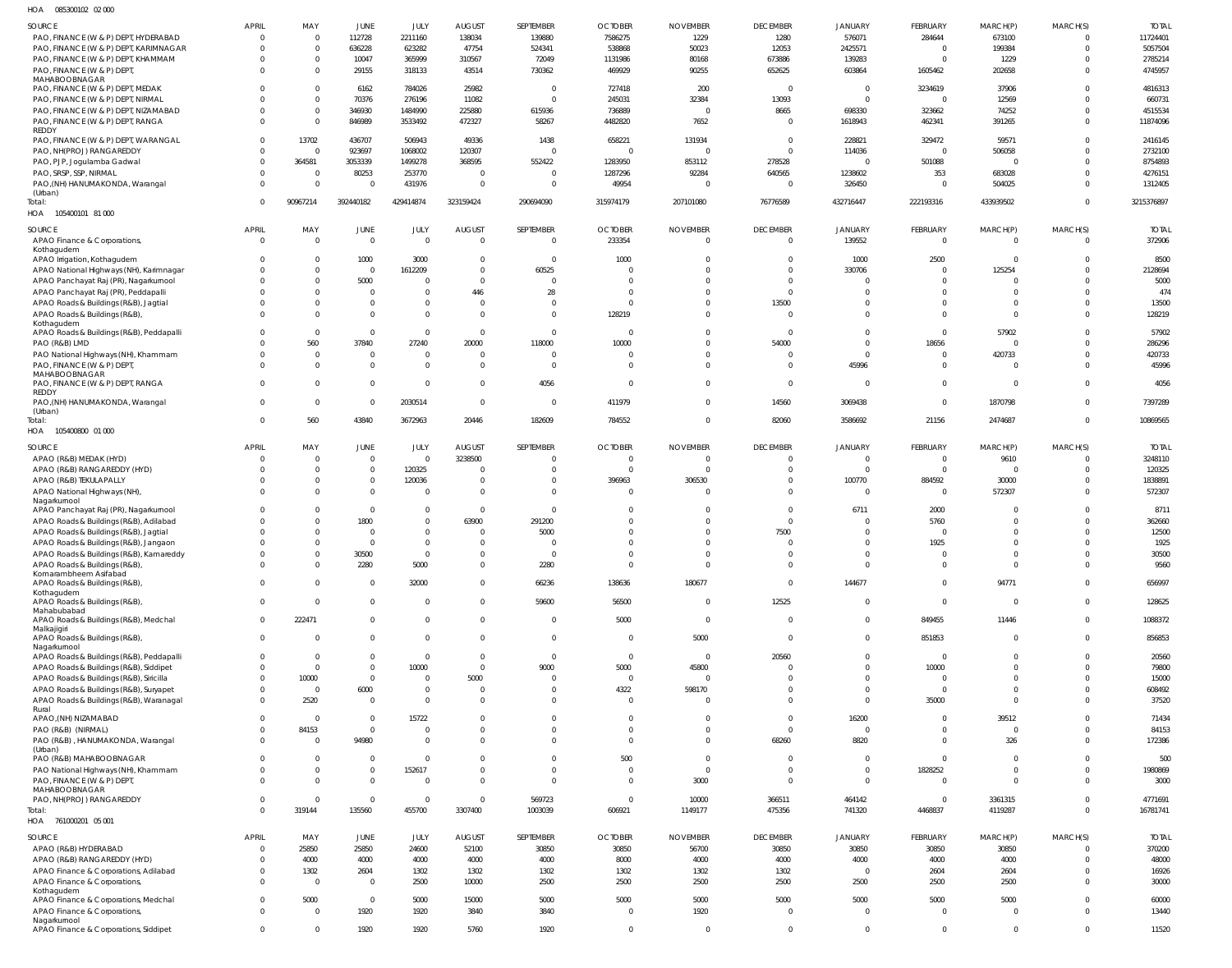| HOA | 085300102 02000 |  |
|-----|-----------------|--|

| <b>SOURCE</b>                                         | <b>APRIL</b>   | MAY            | JUNE           | JULY           | <b>AUGUST</b> | SEPTEMBER               | <b>OCTOBER</b>          | <b>NOVEMBER</b> | <b>DECEMBER</b> | <b>JANUARY</b> | <b>FEBRUARY</b> | MARCH(P)       | MARCH(S)       | <b>TOTAL</b> |
|-------------------------------------------------------|----------------|----------------|----------------|----------------|---------------|-------------------------|-------------------------|-----------------|-----------------|----------------|-----------------|----------------|----------------|--------------|
| PAO, FINANCE (W & P) DEPT, HYDERABAD                  | 0              | $\Omega$       | 112728         | 2211160        | 138034        | 139880                  | 7586275                 | 1229            | 1280            | 576071         | 284644          | 673100         |                | 11724401     |
| PAO, FINANCE (W & P) DEPT, KARIMNAGAR                 | $\Omega$       | $\Omega$       | 636228         | 623282         | 47754         | 524341                  | 538868                  | 50023           | 12053           | 2425571        | $\mathbf{0}$    | 199384         | $\Omega$       | 5057504      |
| PAO, FINANCE (W & P) DEPT, KHAMMAM                    | $\Omega$       | $\Omega$       | 10047          | 365999         | 310567        | 72049                   | 1131986                 | 80168           | 673886          | 139283         | $\Omega$        | 1229           |                | 2785214      |
| PAO, FINANCE (W & P) DEPT,                            | $\Omega$       | $\Omega$       | 29155          | 318133         | 43514         | 730362                  | 469929                  | 90255           | 652625          | 603864         | 1605462         | 202658         | $\Omega$       | 4745957      |
| MAHABOOBNAGAR                                         |                |                |                |                |               |                         |                         |                 |                 |                |                 |                |                |              |
| PAO, FINANCE (W & P) DEPT, MEDAK                      | $\Omega$       | $\Omega$       | 6162           | 784026         | 25982         | - 0                     | 727418                  | 200             | $\overline{0}$  | $^{\circ}$     | 3234619         | 37906          |                | 4816313      |
| PAO, FINANCE (W & P) DEPT, NIRMAL                     | $\Omega$       | $\Omega$       | 70376          | 276196         | 11082         | $\overline{0}$          | 245031                  | 32384           | 13093           | $\Omega$       | $\Omega$        | 12569          |                | 660731       |
|                                                       |                |                |                |                |               |                         |                         |                 |                 |                |                 |                |                |              |
| PAO, FINANCE (W & P) DEPT, NIZAMABAD                  | $\Omega$       | $\Omega$       | 346930         | 1484990        | 225880        | 615936                  | 736889                  | $\overline{0}$  | 8665            | 698330         | 323662          | 74252          |                | 4515534      |
| PAO, FINANCE (W & P) DEPT, RANGA                      | $\Omega$       | $\Omega$       | 846989         | 3533492        | 472327        | 58267                   | 4482820                 | 7652            | $\Omega$        | 1618943        | 462341          | 391265         |                | 11874096     |
| REDDY                                                 |                |                |                |                |               |                         |                         |                 |                 |                |                 |                |                |              |
| PAO, FINANCE (W & P) DEPT, WARANGAL                   | $\Omega$       | 13702          | 436707         | 506943         | 49336         | 1438                    | 658221                  | 131934          | $\Omega$        | 228821         | 329472          | 59571          |                | 2416145      |
| PAO, NH(PROJ) RANGAREDDY                              | $\Omega$       | $\Omega$       | 923697         | 1068002        | 120307        | $\Omega$                | $\overline{0}$          | $\Omega$        | $\Omega$        | 114036         | $\Omega$        | 506058         |                | 2732100      |
| PAO, PJP, Jogulamba Gadwal                            | $\Omega$       | 364581         | 3053339        | 1499278        | 368595        | 552422                  | 1283950                 | 853112          | 278528          | $\Omega$       | 501088          | $\overline{0}$ |                | 8754893      |
| PAO, SRSP, SSP, NIRMAL                                | $\Omega$       | $\overline{0}$ | 80253          | 253770         | $\Omega$      | 0                       | 1287296                 | 92284           | 640565          | 1238602        | 353             | 683028         |                | 4276151      |
| PAO, (NH) HANUMAKONDA, Warangal                       | $\Omega$       | $\Omega$       | $\Omega$       | 431976         | $\mathbf 0$   | $\overline{0}$          | 49954                   | $\Omega$        | $\overline{0}$  | 326450         | $\mathbf{0}$    | 504025         |                | 1312405      |
| (Urban)                                               |                |                |                |                |               |                         |                         |                 |                 |                |                 |                |                |              |
| Total:                                                | $\Omega$       | 90967214       | 392440182      | 429414874      | 323159424     | 290694090               | 315974179               | 207101080       | 76776589        | 432716447      | 222193316       | 433939502      | $\Omega$       | 3215376897   |
| HOA<br>105400101 81 000                               |                |                |                |                |               |                         |                         |                 |                 |                |                 |                |                |              |
|                                                       |                |                |                |                |               |                         |                         |                 |                 |                |                 |                |                |              |
| SOURCE                                                | <b>APRIL</b>   | MAY            | <b>JUNE</b>    | JULY           | <b>AUGUST</b> | SEPTEMBER               | <b>OCTOBER</b>          | <b>NOVEMBER</b> | <b>DECEMBER</b> | <b>JANUARY</b> | FEBRUARY        | MARCH(P)       | MARCH(S)       | <b>TOTAL</b> |
| APAO Finance & Corporations,                          | $\overline{0}$ | $\Omega$       | $\overline{0}$ | $\Omega$       | $\Omega$      | $\overline{0}$          | 233354                  | $\overline{0}$  | $\Omega$        | 139552         | $\mathbf 0$     | $\overline{0}$ | $\overline{0}$ | 372906       |
| Kothagudem                                            |                |                |                |                |               |                         |                         |                 |                 |                |                 |                |                |              |
| APAO Irrigation, Kothagudem                           | $\Omega$       | $\Omega$       | 1000           | 3000           | $\Omega$      | $\overline{\mathbf{0}}$ | 1000                    | $\mathbf 0$     | $\Omega$        | 1000           | 2500            | $\overline{0}$ |                | 8500         |
|                                                       |                | $\Omega$       | $\overline{0}$ | 1612209        | $\Omega$      | 60525                   | $\Omega$                | $\Omega$        | $\Omega$        | 330706         | $\Omega$        | 125254         |                | 2128694      |
| APAO National Highways (NH), Karimnagar               |                |                |                |                |               |                         |                         |                 |                 |                |                 |                |                |              |
| APAO Panchayat Raj (PR), Nagarkurnool                 | $\Omega$       | $\Omega$       | 5000           | $\Omega$       | $\Omega$      | $\Omega$                | $\Omega$                | $\Omega$        | $\Omega$        |                | $\Omega$        | $\Omega$       |                | 5000         |
| APAO Panchayat Raj (PR), Peddapalli                   |                |                | $\mathbf 0$    | $\Omega$       | 446           | 28                      | $\Omega$                | $\Omega$        | $\Omega$        | $\Omega$       | $\Omega$        | $\Omega$       |                | 474          |
| APAO Roads & Buildings (R&B), Jagtial                 | $\Omega$       | $\Omega$       | $\mathbf 0$    | $\mathbf 0$    | $\Omega$      | $\Omega$                | $\Omega$                | $\Omega$        | 13500           | $\Omega$       | $\Omega$        | $\Omega$       |                | 13500        |
| APAO Roads & Buildings (R&B),                         | $\Omega$       |                | $\Omega$       | $\Omega$       | $\Omega$      | $\overline{0}$          | 128219                  | $\Omega$        | $\Omega$        | $\Omega$       | $\Omega$        | $\Omega$       |                | 128219       |
| Kothagudem                                            |                |                |                |                |               |                         |                         |                 |                 |                |                 |                |                |              |
| APAO Roads & Buildings (R&B), Peddapalli              | $\Omega$       | $\Omega$       | $\overline{0}$ | $\mathbf 0$    | $\Omega$      | $\overline{0}$          | $\Omega$                | $\Omega$        | $\Omega$        | $\Omega$       | $\Omega$        | 57902          |                | 57902        |
| PAO (R&B) LMD                                         |                | 560            | 37840          | 27240          | 20000         | 118000                  | 10000                   | $\Omega$        | 54000           | $\Omega$       | 18656           | $\Omega$       |                | 286296       |
| PAO National Highways (NH), Khammam                   | $\Omega$       | $\Omega$       | $\mathbf 0$    | $\mathbf 0$    | $\Omega$      | $\overline{0}$          | $\Omega$                | $\Omega$        | $\Omega$        | $\Omega$       | $\Omega$        | 420733         |                | 420733       |
|                                                       |                |                |                |                |               |                         |                         |                 |                 |                |                 |                |                |              |
| PAO, FINANCE (W & P) DEPT,                            | $\Omega$       | $\Omega$       | $\mathbf 0$    | $\overline{0}$ | $\Omega$      | $\overline{0}$          | $\Omega$                | $\overline{0}$  | $\Omega$        | 45996          | $\Omega$        | $\overline{0}$ |                | 45996        |
| MAHABOOBNAGAR                                         |                |                |                |                |               |                         |                         |                 |                 |                |                 |                |                |              |
| PAO, FINANCE (W & P) DEPT, RANGA                      | $\Omega$       | $\Omega$       | $\overline{0}$ | $\mathbf 0$    | $\Omega$      | 4056                    | $\overline{0}$          | $\Omega$        | $\Omega$        | $\overline{0}$ | $\Omega$        | $\overline{0}$ |                | 4056         |
| <b>REDDY</b>                                          |                |                |                |                |               |                         |                         |                 |                 |                |                 |                |                |              |
| PAO, (NH) HANUMAKONDA, Warangal                       | $\Omega$       | $\Omega$       | $\overline{0}$ | 2030514        | $\Omega$      | $\overline{\mathbf{0}}$ | 411979                  | $\overline{0}$  | 14560           | 3069438        | $\Omega$        | 1870798        | $\Omega$       | 7397289      |
| (Urban)                                               |                |                |                |                |               |                         |                         |                 |                 |                |                 |                |                |              |
| Total:                                                | $\Omega$       | 560            | 43840          | 3672963        | 20446         | 182609                  | 784552                  | $\overline{0}$  | 82060           | 3586692        | 21156           | 2474687        | $\Omega$       | 10869565     |
| HOA 105400800 01 000                                  |                |                |                |                |               |                         |                         |                 |                 |                |                 |                |                |              |
|                                                       |                |                |                |                |               |                         |                         |                 |                 |                |                 |                |                |              |
| SOURCE                                                | <b>APRIL</b>   | MAY            | <b>JUNE</b>    | JULY           | <b>AUGUST</b> | SEPTEMBER               | <b>OCTOBER</b>          | <b>NOVEMBER</b> | <b>DECEMBER</b> | <b>JANUARY</b> | <b>FEBRUARY</b> | MARCH(P)       | MARCH(S)       | <b>TOTAL</b> |
| APAO (R&B) MEDAK (HYD)                                | 0              | $\overline{0}$ | $\overline{0}$ | $\mathbf 0$    | 3238500       | 0                       | $\overline{0}$          | $\Omega$        | $\Omega$        | $\Omega$       | $\Omega$        | 9610           | $\Omega$       | 3248110      |
| APAO (R&B) RANGAREDDY (HYD)                           | $\Omega$       | $\Omega$       | $\mathbf{0}$   | 120325         | $\Omega$      | 0                       | $\overline{0}$          | $\Omega$        | $\Omega$        | $\mathbf{0}$   | $\Omega$        | $\overline{0}$ | $\Omega$       | 120325       |
| APAO (R&B) TEKULAPALLY                                | $\Omega$       | $\Omega$       | $\mathbf{0}$   | 120036         | $\Omega$      | $\overline{0}$          | 396963                  | 306530          | $\Omega$        | 100770         | 884592          | 30000          | $\Omega$       | 1838891      |
| APAO National Highways (NH),                          | $\Omega$       | $\Omega$       | $\mathbf{0}$   | $\Omega$       | $\mathbf{0}$  | $\overline{0}$          | $\overline{\mathbf{0}}$ | $\Omega$        | $\Omega$        | $\mathbf{0}$   | $\Omega$        | 572307         | $\Omega$       | 572307       |
| Nagarkurnool                                          |                |                |                |                |               |                         |                         |                 |                 |                |                 |                |                |              |
| APAO Panchayat Raj (PR), Nagarkurnool                 | $\Omega$       | $\Omega$       | $\mathbf{0}$   | $\mathbf 0$    | $\Omega$      | $\Omega$                | $\Omega$                | $\Omega$        | $\Omega$        | 6711           | 2000            | $\Omega$       |                | 8711         |
| APAO Roads & Buildings (R&B), Adilabad                | $\Omega$       | $\Omega$       | 1800           | $\mathbf 0$    | 63900         | 291200                  | $\Omega$                | $\Omega$        | $\Omega$        | $\Omega$       | 5760            | $\Omega$       |                | 362660       |
|                                                       |                |                |                |                |               |                         |                         |                 |                 |                |                 |                |                |              |
| APAO Roads & Buildings (R&B), Jagtial                 | $\Omega$       | $\Omega$       | $\overline{0}$ | $\mathbf 0$    | $\Omega$      | 5000                    | $\Omega$                | $\Omega$        | 7500            | $\Omega$       | - 0             | $\Omega$       |                | 12500        |
| APAO Roads & Buildings (R&B), Jangaon                 |                |                | $\Omega$       | $\Omega$       | $\Omega$      | $\Omega$                | $\Omega$                | $\Omega$        | $\Omega$        | $\Omega$       | 1925            | $\Omega$       |                | 1925         |
| APAO Roads & Buildings (R&B), Kamareddy               | $\Omega$       | $\Omega$       | 30500          | $\Omega$       | $\Omega$      | $\Omega$                | $\Omega$                | $\Omega$        | $\Omega$        | $\Omega$       | $\Omega$        | $\Omega$       | $\Omega$       | 30500        |
| APAO Roads & Buildings (R&B)                          |                |                | 2280           | 5000           |               | 2280                    |                         |                 |                 |                |                 |                |                | 9560         |
| Komarambheem Asifabad                                 |                |                |                |                |               |                         |                         |                 |                 |                |                 |                |                |              |
| APAO Roads & Buildings (R&B)                          | $\mathbf 0$    | $\Omega$       | $\mathbf{0}$   | 32000          | $\Omega$      | 66236                   | 138636                  | 180677          | $\Omega$        | 144677         | $\Omega$        | 94771          | $\Omega$       | 656997       |
| Kothagudem                                            |                |                |                |                |               |                         |                         |                 |                 |                |                 |                |                |              |
| APAO Roads & Buildings (R&B)                          | $\Omega$       | $\Omega$       | $\mathbf{0}$   | $\mathbf 0$    | $\Omega$      | 59600                   | 56500                   | $\overline{0}$  | 12525           | $\mathbf{0}$   | $\Omega$        | $\overline{0}$ | $\Omega$       | 128625       |
| Mahabubabad                                           |                |                |                |                |               |                         |                         |                 |                 |                |                 |                |                |              |
| APAO Roads & Buildings (R&B), Medchal                 | $\mathbf 0$    | 222471         | $\mathbf{0}$   | $\mathbf 0$    | $\Omega$      | $\overline{0}$          | 5000                    | $\overline{0}$  | $\Omega$        | $\mathbf{0}$   | 849455          | 11446          | $\overline{0}$ | 1088372      |
| Malkajigiri                                           |                |                |                |                |               |                         |                         |                 |                 |                |                 |                |                |              |
| APAO Roads & Buildings (R&B),                         | $\overline{0}$ | $\Omega$       | $\mathbf 0$    | $\mathbf 0$    | $\Omega$      | $\overline{0}$          | $\overline{0}$          | 5000            | $\overline{0}$  | $\mathbf{0}$   | 851853          | $\overline{0}$ | $\Omega$       | 856853       |
| Nagarkurnool                                          |                |                |                |                |               |                         |                         |                 |                 |                |                 |                |                |              |
| APAO Roads & Buildings (R&B), Peddapalli              | $\mathbf 0$    | $\overline{0}$ | $\mathbf{0}$   | $\mathbf 0$    | $\Omega$      | $\overline{0}$          | $\overline{0}$          | $\overline{0}$  | 20560           | $\Omega$       | $\Omega$        | $\overline{0}$ | $\Omega$       | 20560        |
| APAO Roads & Buildings (R&B), Siddipet                | $\mathbf 0$    | $\Omega$       | $\mathbf 0$    | 10000          | $\mathbf{0}$  | 9000                    | 5000                    | 45800           | $\Omega$        | $\mathbf{0}$   | 10000           | $\mathbf 0$    | $\Omega$       | 79800        |
| APAO Roads & Buildings (R&B), Siricilla               | $\Omega$       | 10000          | $\mathbf{0}$   | $\mathbf 0$    | 5000          | $\overline{0}$          | $\overline{\mathbf{0}}$ | $\overline{0}$  | $\Omega$        | $\Omega$       | $\Omega$        | $\overline{0}$ | $\Omega$       | 15000        |
| APAO Roads & Buildings (R&B), Suryapet                | $\mathbf 0$    | $\overline{0}$ | 6000           | $\mathbf 0$    | $\mathbf{0}$  | $\overline{0}$          | 4322                    | 598170          | $\Omega$        | $\mathbf{0}$   | $\mathbf{0}$    | $\overline{0}$ | $\Omega$       | 608492       |
|                                                       |                |                |                |                |               |                         |                         |                 |                 |                |                 |                |                |              |
| APAO Roads & Buildings (R&B), Waranagal               | $\Omega$       | 2520           | $\mathbf{0}$   | $\mathbf 0$    | $\Omega$      | $\overline{0}$          | $\overline{0}$          | $\overline{0}$  | $\Omega$        | $\Omega$       | 35000           | $\overline{0}$ | $\Omega$       | 37520        |
| Rural                                                 |                |                |                |                |               |                         |                         |                 |                 |                |                 |                |                |              |
| APAO, (NH) NIZAMABAD                                  | $\mathbf 0$    | $\overline{0}$ | $\mathbf{0}$   | 15722          | $\Omega$      | $\mathbf 0$             | $\mathbf 0$             | $\mathbf 0$     | $\mathbf{0}$    | 16200          | $\overline{0}$  | 39512          | $\Omega$       | 71434        |
| PAO (R&B) (NIRMAL)                                    | $\mathbf 0$    | 84153          | $\mathbf{0}$   | $\mathbf 0$    | $\Omega$      | $\overline{0}$          | $\overline{0}$          | $\overline{0}$  | $\Omega$        | $\mathbf{0}$   | $\Omega$        | $\overline{0}$ | $\Omega$       | 84153        |
| PAO (R&B), HANUMAKONDA, Warangal                      | $\mathbf 0$    | $\Omega$       | 94980          | $\overline{0}$ | $\Omega$      | $\overline{0}$          | $\overline{0}$          | $\overline{0}$  | 68260           | 8820           | $\Omega$        | 326            | $\Omega$       | 172386       |
| (Urban)                                               |                |                |                |                |               |                         |                         |                 |                 |                |                 |                |                |              |
| PAO (R&B) MAHABOOBNAGAR                               | $\Omega$       | $\Omega$       | $\mathbf{0}$   | $\overline{0}$ | $\Omega$      | $\overline{0}$          | 500                     | $\overline{0}$  | $\Omega$        | $\mathbf{0}$   | $\Omega$        | $\overline{0}$ | $\Omega$       | 500          |
| PAO National Highways (NH), Khammam                   | $\mathbf 0$    | $\overline{0}$ | $\mathbf 0$    | 152617         | $\mathbf{0}$  | $\overline{0}$          | $\overline{\mathbf{0}}$ | $\overline{0}$  | $\mathbf{0}$    | $\mathbf{0}$   | 1828252         | $\overline{0}$ | $\Omega$       | 1980869      |
| PAO, FINANCE (W & P) DEPT,                            | $\Omega$       | $\Omega$       | $\mathbf{0}$   | $\overline{0}$ | $\Omega$      | $\overline{0}$          | $\overline{0}$          | 3000            | $\Omega$        | $\mathbf 0$    | $\Omega$        | $\overline{0}$ | $\Omega$       | 3000         |
| MAHABOOBNAGAR                                         |                |                |                |                |               |                         |                         |                 |                 |                |                 |                |                |              |
| PAO, NH(PROJ) RANGAREDDY                              | $\mathbf 0$    | $\Omega$       | $\mathbf{0}$   | $\mathbf 0$    | $\Omega$      | 569723                  | $\overline{0}$          | 10000           | 366511          | 464142         | $\overline{0}$  | 3361315        | $\Omega$       | 4771691      |
| Total:                                                | $\Omega$       | 319144         | 135560         | 455700         | 3307400       | 1003039                 | 606921                  | 1149177         | 475356          | 741320         | 4468837         | 4119287        | $\Omega$       | 16781741     |
|                                                       |                |                |                |                |               |                         |                         |                 |                 |                |                 |                |                |              |
| HOA 761000201 05 001                                  |                |                |                |                |               |                         |                         |                 |                 |                |                 |                |                |              |
| SOURCE                                                | <b>APRIL</b>   | MAY            | <b>JUNE</b>    | JULY           | <b>AUGUST</b> | SEPTEMBER               | <b>OCTOBER</b>          | <b>NOVEMBER</b> | <b>DECEMBER</b> | JANUARY        | FEBRUARY        | MARCH(P)       | MARCH(S)       | <b>TOTAL</b> |
| APAO (R&B) HYDERABAD                                  | $\overline{0}$ | 25850          | 25850          | 24600          | 52100         | 30850                   | 30850                   | 56700           | 30850           | 30850          | 30850           | 30850          | $\Omega$       | 370200       |
|                                                       |                |                |                |                |               |                         |                         |                 |                 |                |                 |                |                |              |
| APAO (R&B) RANGAREDDY (HYD)                           | $\mathbf 0$    | 4000           | 4000           | 4000           | 4000          | 4000                    | 8000                    | 4000            | 4000            | 4000           | 4000            | 4000           | $\Omega$       | 48000        |
| APAO Finance & Corporations, Adilabad                 | $\mathbf 0$    | 1302           | 2604           | 1302           | 1302          | 1302                    | 1302                    | 1302            | 1302            | $\overline{0}$ | 2604            | 2604           | $\Omega$       | 16926        |
| APAO Finance & Corporations,                          | $\Omega$       | $\Omega$       | $\overline{0}$ | 2500           | 10000         | 2500                    | 2500                    | 2500            | 2500            | 2500           | 2500            | 2500           | $\Omega$       | 30000        |
| Kothagudem                                            |                |                |                |                |               |                         |                         |                 |                 |                |                 |                |                |              |
| APAO Finance & Corporations, Medchal                  |                |                |                |                |               |                         |                         |                 |                 |                |                 |                |                |              |
|                                                       | $\mathbf 0$    | 5000           | $\overline{0}$ | 5000           | 15000         | 5000                    | 5000                    | 5000            | 5000            | 5000           | 5000            | 5000           | $\Omega$       | 60000        |
| APAO Finance & Corporations,                          | $\mathbf 0$    | $\overline{0}$ | 1920           | 1920           | 3840          | 3840                    | $\overline{0}$          | 1920            | $\mathbf{0}$    | $\overline{0}$ | $\mathbf 0$     | $\overline{0}$ | $\Omega$       | 13440        |
| Nagarkurnool<br>APAO Finance & Corporations, Siddipet | $\overline{0}$ | $\overline{0}$ | 1920           | 1920           | 5760          | 1920                    | $\overline{0}$          | $\overline{0}$  | $\mathbf 0$     | $\mathbf 0$    | $\mathbf 0$     | $\overline{0}$ | $\overline{0}$ | 11520        |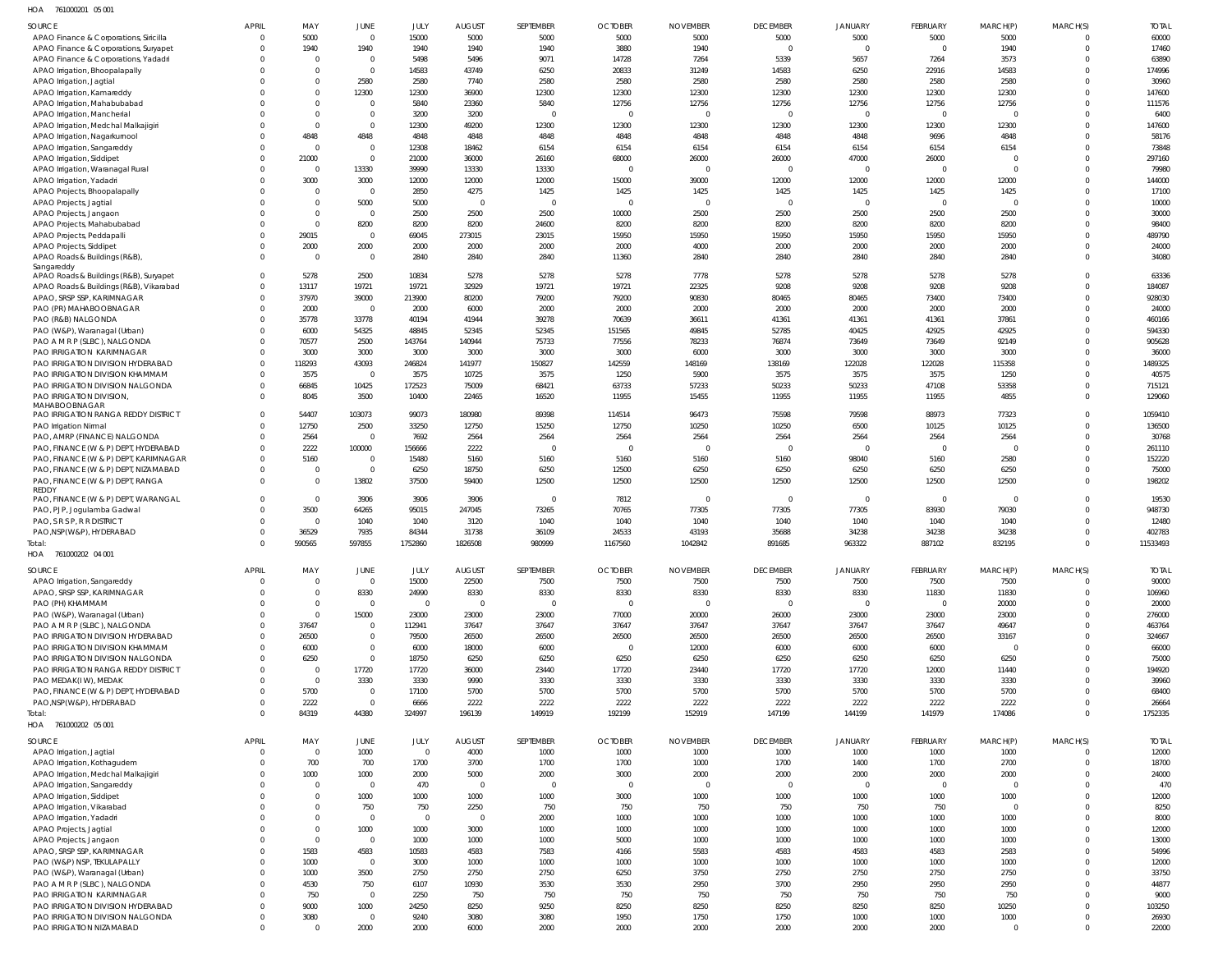761000201 05 001 HOA

| <b>SOURCE</b>                                                          | <b>APRIL</b>         | MAY                  | JUNE                             | JULY             | <b>AUGUST</b>          | SEPTEMBER              | <b>OCTOBER</b>         | <b>NOVEMBER</b>  | <b>DECEMBER</b>        | <b>JANUARY</b>           | <b>FEBRUARY</b>        | MARCH(P)         | MARCH(S)                   | <b>TOTAL</b>       |
|------------------------------------------------------------------------|----------------------|----------------------|----------------------------------|------------------|------------------------|------------------------|------------------------|------------------|------------------------|--------------------------|------------------------|------------------|----------------------------|--------------------|
| APAO Finance & Corporations, Siricilla                                 | $\Omega$             | 5000                 | $\mathbf 0$                      | 15000            | 5000                   | 5000                   | 5000                   | 5000             | 5000                   | 5000                     | 5000                   | 5000             | 0                          | 60000              |
| APAO Finance & Corporations, Suryapet                                  | $\Omega$             | 1940                 | 1940                             | 1940             | 1940                   | 1940                   | 3880                   | 1940             | $\Omega$               | $\overline{0}$           | $\Omega$               | 1940             | $\mathbf 0$                | 17460              |
| APAO Finance & Corporations, Yadadri<br>APAO Irrigation, Bhoopalapally | $\Omega$<br>$\Omega$ | $\Omega$<br>$\Omega$ | $\overline{0}$<br>$\overline{0}$ | 5498<br>14583    | 5496<br>43749          | 9071<br>6250           | 14728<br>20833         | 7264<br>31249    | 5339<br>14583          | 5657<br>6250             | 7264<br>22916          | 3573<br>14583    | $\Omega$<br>$\Omega$       | 63890<br>174996    |
| APAO Irrigation, Jagtial                                               |                      | $\Omega$             | 2580                             | 2580             | 7740                   | 2580                   | 2580                   | 2580             | 2580                   | 2580                     | 2580                   | 2580             | $\Omega$                   | 30960              |
| APAO Irrigation, Kamareddy                                             |                      | $\Omega$             | 12300                            | 12300            | 36900                  | 12300                  | 12300                  | 12300            | 12300                  | 12300                    | 12300                  | 12300            | $\Omega$                   | 147600             |
| APAO Irrigation, Mahabubabad                                           |                      | $\Omega$             | $\mathbf 0$                      | 5840             | 23360                  | 5840                   | 12756                  | 12756            | 12756                  | 12756                    | 12756                  | 12756            | $\Omega$                   | 111576             |
| APAO Irrigation, Mancherial                                            |                      | $\Omega$<br>$\Omega$ | $\mathbf 0$                      | 3200             | 3200                   | 0                      | $\overline{0}$         | $\Omega$         | $\Omega$               | $\overline{0}$           | $\Omega$               |                  | $\Omega$<br>$\Omega$       | 6400               |
| APAO Irrigation, Medchal Malkajigiri<br>APAO Irrigation, Nagarkurnool  |                      | 4848                 | $\mathbf 0$<br>4848              | 12300<br>4848    | 49200<br>4848          | 12300<br>4848          | 12300<br>4848          | 12300<br>4848    | 12300<br>4848          | 12300<br>4848            | 12300<br>9696          | 12300<br>4848    | $\Omega$                   | 147600<br>58176    |
| APAO Irrigation, Sangareddy                                            | $\Omega$             | $\Omega$             | $\overline{0}$                   | 12308            | 18462                  | 6154                   | 6154                   | 6154             | 6154                   | 6154                     | 6154                   | 6154             | $\Omega$                   | 73848              |
| APAO Irrigation, Siddipet                                              | $\Omega$             | 21000                | $\overline{0}$                   | 21000            | 36000                  | 26160                  | 68000                  | 26000            | 26000                  | 47000                    | 26000                  | - 0              | $\Omega$                   | 297160             |
| APAO Irrigation, Waranagal Rural                                       | $\Omega$             | $\Omega$             | 13330                            | 39990            | 13330                  | 13330                  | $\overline{0}$         | $\Omega$         | $\overline{0}$         | $\overline{0}$           | $\overline{0}$         | $\Omega$         | $\Omega$                   | 79980              |
| APAO Irrigation, Yadadri                                               | $\Omega$             | 3000                 | 3000                             | 12000            | 12000                  | 12000                  | 15000                  | 39000            | 12000                  | 12000                    | 12000                  | 12000            | $\Omega$                   | 144000             |
| APAO Projects, Bhoopalapally<br>APAO Projects, Jagtial                 | $\Omega$             | $\Omega$             | $\overline{0}$<br>5000           | 2850<br>5000     | 4275<br>$\Omega$       | 1425<br>$\overline{0}$ | 1425<br>$\overline{0}$ | 1425<br>$\Omega$ | 1425<br>$\Omega$       | 1425<br>$\overline{0}$   | 1425<br>$\Omega$       | 1425<br>$\Omega$ | $\Omega$<br>$\Omega$       | 17100<br>10000     |
| APAO Projects, Jangaon                                                 | $\Omega$             | $\Omega$             | $\overline{0}$                   | 2500             | 2500                   | 2500                   | 10000                  | 2500             | 2500                   | 2500                     | 2500                   | 2500             | $\mathbf 0$                | 30000              |
| APAO Projects, Mahabubabad                                             | $\Omega$             | $\Omega$             | 8200                             | 8200             | 8200                   | 24600                  | 8200                   | 8200             | 8200                   | 8200                     | 8200                   | 8200             | $\Omega$                   | 98400              |
| APAO Projects, Peddapalli                                              | $\Omega$             | 29015                | $\overline{0}$                   | 69045            | 273015                 | 23015                  | 15950                  | 15950            | 15950                  | 15950                    | 15950                  | 15950            | $\Omega$                   | 489790             |
| APAO Projects, Siddipet                                                | $\Omega$             | 2000                 | 2000                             | 2000             | 2000                   | 2000                   | 2000                   | 4000             | 2000                   | 2000                     | 2000                   | 2000             | $\Omega$                   | 24000              |
| APAO Roads & Buildings (R&B),<br>Sangareddy                            | $\Omega$             | $\Omega$             | $\overline{0}$                   | 2840             | 2840                   | 2840                   | 11360                  | 2840             | 2840                   | 2840                     | 2840                   | 2840             | $\mathbf 0$                | 34080              |
| APAO Roads & Buildings (R&B), Suryapet                                 | $\Omega$             | 5278                 | 2500                             | 10834            | 5278                   | 5278                   | 5278                   | 7778             | 5278                   | 5278                     | 5278                   | 5278             | $\Omega$                   | 63336              |
| APAO Roads & Buildings (R&B), Vikarabad                                | $\Omega$             | 13117                | 19721                            | 19721            | 32929                  | 19721                  | 19721                  | 22325            | 9208                   | 9208                     | 9208                   | 9208             | $\Omega$                   | 184087             |
| APAO, SRSP SSP, KARIMNAGAR                                             | $\Omega$<br>$\Omega$ | 37970<br>2000        | 39000<br>$\overline{0}$          | 213900           | 80200                  | 79200                  | 79200                  | 90830<br>2000    | 80465                  | 80465                    | 73400                  | 73400<br>2000    | $\Omega$<br>$\Omega$       | 928030<br>24000    |
| PAO (PR) MAHABOOBNAGAR<br>PAO (R&B) NALGONDA                           | $\Omega$             | 35778                | 33778                            | 2000<br>40194    | 6000<br>41944          | 2000<br>39278          | 2000<br>70639          | 36611            | 2000<br>41361          | 2000<br>41361            | 2000<br>41361          | 37861            | $\Omega$                   | 460166             |
| PAO (W&P), Waranagal (Urban)                                           | $\Omega$             | 6000                 | 54325                            | 48845            | 52345                  | 52345                  | 151565                 | 49845            | 52785                  | 40425                    | 42925                  | 42925            | $\Omega$                   | 594330             |
| PAO A M R P (SLBC), NALGONDA                                           | $\Omega$             | 70577                | 2500                             | 143764           | 140944                 | 75733                  | 77556                  | 78233            | 76874                  | 73649                    | 73649                  | 92149            | $\Omega$                   | 905628             |
| PAO IRRIGATION KARIMNAGAR                                              | $\Omega$             | 3000                 | 3000                             | 3000             | 3000                   | 3000                   | 3000                   | 6000             | 3000                   | 3000                     | 3000                   | 3000             | $\Omega$                   | 36000              |
| PAO IRRIGATION DIVISION HYDERABAD                                      | $\Omega$             | 118293               | 43093                            | 246824           | 141977                 | 150827                 | 142559                 | 148169           | 138169                 | 122028                   | 122028                 | 115358           | $\Omega$                   | 1489325            |
| PAO IRRIGATION DIVISION KHAMMAM<br>PAO IRRIGATION DIVISION NALGONDA    | $\Omega$<br>$\Omega$ | 3575<br>66845        | $\overline{0}$<br>10425          | 3575<br>172523   | 10725<br>75009         | 3575<br>68421          | 1250<br>63733          | 5900<br>57233    | 3575<br>50233          | 3575<br>50233            | 3575<br>47108          | 1250<br>53358    | $\Omega$<br>$\Omega$       | 40575<br>715121    |
| PAO IRRIGATION DIVISION,                                               | $\Omega$             | 8045                 | 3500                             | 10400            | 22465                  | 16520                  | 11955                  | 15455            | 11955                  | 11955                    | 11955                  | 4855             | $\mathbf 0$                | 129060             |
| MAHABOOBNAGAR                                                          |                      |                      |                                  |                  |                        |                        |                        |                  |                        |                          |                        |                  |                            |                    |
| PAO IRRIGATION RANGA REDDY DISTRICT                                    | $\Omega$<br>$\Omega$ | 54407                | 103073                           | 99073<br>33250   | 180980                 | 89398<br>15250         | 114514                 | 96473<br>10250   | 75598<br>10250         | 79598<br>6500            | 88973                  | 77323<br>10125   | $\Omega$<br>$\mathbf 0$    | 1059410<br>136500  |
| PAO Irrigation Nirmal<br>PAO, AMRP (FINANCE) NALGONDA                  | $\Omega$             | 12750<br>2564        | 2500<br>$\overline{0}$           | 7692             | 12750<br>2564          | 2564                   | 12750<br>2564          | 2564             | 2564                   | 2564                     | 10125<br>2564          | 2564             | $\Omega$                   | 30768              |
| PAO, FINANCE (W & P) DEPT, HYDERABAD                                   | $\Omega$             | 2222                 | 100000                           | 156666           | 2222                   | $\Omega$               | $\overline{0}$         | $\Omega$         | $\Omega$               | $\overline{0}$           | $\Omega$               | $\Omega$         | $\Omega$                   | 261110             |
| PAO, FINANCE (W & P) DEPT, KARIMNAGAR                                  | $\Omega$             | 5160                 | $\overline{0}$                   | 15480            | 5160                   | 5160                   | 5160                   | 5160             | 5160                   | 98040                    | 5160                   | 2580             | $\Omega$                   | 152220             |
| PAO, FINANCE (W & P) DEPT, NIZAMABAD                                   | $\Omega$             |                      | $\mathbf 0$                      | 6250             | 18750                  | 6250                   | 12500                  | 6250             | 6250                   | 6250                     | 6250                   | 6250             | $\mathbf 0$                | 75000              |
| PAO, FINANCE (W & P) DEPT, RANGA<br><b>REDDY</b>                       | $\Omega$             | $\overline{0}$       | 13802                            | 37500            | 59400                  | 12500                  | 12500                  | 12500            | 12500                  | 12500                    | 12500                  | 12500            | $\mathbf 0$                | 198202             |
| PAO, FINANCE (W & P) DEPT, WARANGAL                                    | $\Omega$             | $\Omega$             | 3906                             | 3906             | 3906                   | 0                      | 7812                   |                  | $\overline{0}$         | $\overline{\phantom{0}}$ | $\overline{0}$         |                  | $\mathbf 0$                | 19530              |
| PAO, PJP, Jogulamba Gadwal                                             | $\Omega$             | 3500                 | 64265                            | 95015            | 247045                 | 73265                  | 70765                  | 77305            | 77305                  | 77305                    | 83930                  | 79030            | $\Omega$                   | 948730             |
| PAO, S R S P, R R DISTRICT                                             | $\Omega$             | $\Omega$             | 1040                             | 1040             | 3120                   | 1040                   | 1040                   | 1040             | 1040                   | 1040                     | 1040                   | 1040             | $\Omega$                   | 12480              |
| PAO,NSP(W&P), HYDERABAD<br>Total:                                      | $\Omega$<br>$\Omega$ | 36529<br>590565      | 7935<br>597855                   | 84344<br>1752860 | 31738<br>1826508       | 36109<br>980999        | 24533<br>1167560       | 43193<br>1042842 | 35688<br>891685        | 34238<br>963322          | 34238<br>887102        | 34238<br>832195  | $\Omega$<br>$\Omega$       | 402783<br>11533493 |
| HOA 761000202 04 001                                                   |                      |                      |                                  |                  |                        |                        |                        |                  |                        |                          |                        |                  |                            |                    |
| SOURCE                                                                 | <b>APRIL</b>         | MAY                  | <b>JUNE</b>                      | <b>JULY</b>      | <b>AUGUST</b>          | SEPTEMBER              | <b>OCTOBER</b>         | <b>NOVEMBER</b>  | <b>DECEMBER</b>        | <b>JANUARY</b>           | <b>FEBRUARY</b>        | MARCH(P)         | MARCH(S)                   | <b>TOTAL</b>       |
| APAO Irrigation, Sangareddy                                            | $\Omega$             |                      | $\mathbf 0$                      | 15000            | 22500                  | 7500                   | 7500                   | 7500             | 7500                   | 7500                     | 7500                   | 7500             | $\Omega$                   | 90000              |
| APAO, SRSP SSP, KARIMNAGAR                                             | $\Omega$             |                      | 8330                             | 24990            | 8330                   | 8330                   | 8330                   | 8330             | 8330                   | 8330                     | 11830                  | 11830            | $\mathbf 0$                | 106960             |
| PAO (PH) KHAMMAM                                                       |                      |                      | $\overline{0}$                   | $\overline{0}$   | $\Omega$               | $\overline{0}$         | $\overline{0}$         |                  | $\overline{0}$         | $\overline{0}$           | $\Omega$               | 20000            | $\Omega$                   | 20000              |
| PAO (W&P), Waranagal (Urban)                                           | $\Omega$             |                      | 15000                            | 23000            | 23000                  | 23000                  | 77000                  | 20000            | 26000                  | 23000                    | 23000                  | 23000            | $\Omega$                   | 276000             |
| PAO A M R P (SLBC), NALGONDA<br>PAO IRRIGATION DIVISION HYDERABAD      | $\Omega$<br>$\Omega$ | 37647<br>26500       | $\mathbf 0$<br>$\mathbf 0$       | 112941<br>79500  | 37647<br>26500         | 37647<br>26500         | 37647<br>26500         | 37647<br>26500   | 37647<br>26500         | 37647<br>26500           | 37647<br>26500         | 49647<br>33167   | $\Omega$<br>$\Omega$       | 463764<br>324667   |
| PAO IRRIGATION DIVISION KHAMMAM                                        | $\Omega$             | 6000                 | $\mathbf 0$                      | 6000             | 18000                  | 6000                   | $\overline{0}$         | 12000            | 6000                   | 6000                     | 6000                   |                  | $\Omega$                   | 66000              |
| PAO IRRIGATION DIVISION NALGONDA                                       |                      | 6250                 | $\mathbf 0$                      | 18750            | 6250                   | 6250                   | 6250                   | 6250             | 6250                   | 6250                     | 6250                   | 6250             | $\Omega$                   | 75000              |
| PAO IRRIGATION RANGA REDDY DISTRICT                                    | $\Omega$             |                      | 17720                            | 17720            | 36000                  | 23440                  | 17720                  | 23440            | 17720                  | 17720                    | 12000                  | 11440            | $\Omega$                   | 194920             |
| PAO MEDAK(IW), MEDAK                                                   |                      |                      | 3330                             | 3330             | 9990                   | 3330                   | 3330                   | 3330             | 3330                   | 3330                     | 3330                   | 3330             | $\Omega$                   | 39960              |
| PAO, FINANCE (W & P) DEPT, HYDERABAD<br>PAO, NSP(W&P), HYDERABAD       | $\Omega$             | 5700<br>2222         | $\mathbf 0$<br>$\mathbf{0}$      | 17100<br>6666    | 5700<br>2222           | 5700<br>2222           | 5700<br>2222           | 5700<br>2222     | 5700<br>2222           | 5700<br>2222             | 5700<br>2222           | 5700<br>2222     | $\Omega$<br>$\mathbf 0$    | 68400<br>26664     |
| Total:                                                                 | $\Omega$             | 84319                | 44380                            | 324997           | 196139                 | 149919                 | 192199                 | 152919           | 147199                 | 144199                   | 141979                 | 174086           | $\Omega$                   | 1752335            |
| HOA 761000202 05 001                                                   |                      |                      |                                  |                  |                        |                        |                        |                  |                        |                          |                        |                  |                            |                    |
| SOURCE                                                                 | <b>APRIL</b>         | MAY                  | JUNE                             | JULY             | <b>AUGUST</b>          | SEPTEMBER              | <b>OCTOBER</b>         | <b>NOVEMBER</b>  | <b>DECEMBER</b>        | JANUARY                  | FEBRUARY               | MARCH(P)         | MARCH(S)                   | <b>TOTAL</b>       |
| APAO Irrigation, Jagtial                                               | - 0                  | $\Omega$             | 1000                             | $\overline{0}$   | 4000                   | 1000                   | 1000                   | 1000             | 1000                   | 1000                     | 1000                   | 1000             | 0                          | 12000              |
| APAO Irrigation, Kothagudem                                            | -0                   | 700                  | 700                              | 1700             | 3700                   | 1700                   | 1700                   | 1000             | 1700                   | 1400                     | 1700                   | 2700             | $\mathbf 0$                | 18700              |
| APAO Irrigation, Medchal Malkajigiri                                   |                      | 1000                 | 1000                             | 2000             | 5000                   | 2000                   | 3000                   | 2000             | 2000                   | 2000                     | 2000                   | 2000             | $\mathbf 0$                | 24000              |
| APAO Irrigation, Sangareddy                                            |                      | $\Omega$<br>$\Omega$ | $\overline{0}$<br>1000           | 470<br>1000      | $\overline{0}$<br>1000 | $\overline{0}$<br>1000 | $\overline{0}$<br>3000 | $\Omega$<br>1000 | $\overline{0}$<br>1000 | $\overline{0}$<br>1000   | $\overline{0}$<br>1000 | $\Omega$<br>1000 | $\mathbf 0$<br>$\mathbf 0$ | 470<br>12000       |
| APAO Irrigation, Siddipet<br>APAO Irrigation, Vikarabad                |                      |                      | 750                              | 750              | 2250                   | 750                    | 750                    | 750              | 750                    | 750                      | 750                    | $\Omega$         | $\mathbf 0$                | 8250               |
| APAO Irrigation, Yadadri                                               |                      |                      | $\overline{0}$                   | $\overline{0}$   | $\Omega$               | 2000                   | 1000                   | 1000             | 1000                   | 1000                     | 1000                   | 1000             | $\mathbf 0$                | 8000               |
| APAO Projects, Jagtial                                                 | $\Omega$             | $\Omega$             | 1000                             | 1000             | 3000                   | 1000                   | 1000                   | 1000             | 1000                   | 1000                     | 1000                   | 1000             | $\mathbf 0$                | 12000              |
| APAO Projects, Jangaon                                                 | $\Omega$             | $\Omega$             | $\overline{0}$                   | 1000             | 1000                   | 1000                   | 5000                   | 1000             | 1000                   | 1000                     | 1000                   | 1000             | $\mathbf 0$                | 13000              |
| APAO, SRSP SSP, KARIMNAGAR                                             | $\Omega$             | 1583                 | 4583                             | 10583            | 4583                   | 7583                   | 4166                   | 5583             | 4583                   | 4583                     | 4583                   | 2583             | $\mathbf 0$                | 54996              |
| PAO (W&P) NSP, TEKULAPALLY<br>PAO (W&P), Waranagal (Urban)             | $\Omega$<br>$\Omega$ | 1000<br>1000         | $\overline{0}$<br>3500           | 3000<br>2750     | 1000<br>2750           | 1000<br>2750           | 1000<br>6250           | 1000<br>3750     | 1000<br>2750           | 1000<br>2750             | 1000<br>2750           | 1000<br>2750     | $\mathbf 0$<br>$\mathbf 0$ | 12000<br>33750     |
| PAO A M R P (SLBC), NALGONDA                                           | $\Omega$             | 4530                 | 750                              | 6107             | 10930                  | 3530                   | 3530                   | 2950             | 3700                   | 2950                     | 2950                   | 2950             | $\mathbf 0$                | 44877              |
| PAO IRRIGATION KARIMNAGAR                                              | $\Omega$             | 750                  | $\overline{0}$                   | 2250             | 750                    | 750                    | 750                    | 750              | 750                    | 750                      | 750                    | 750              | $\Omega$                   | 9000               |
| PAO IRRIGATION DIVISION HYDERABAD                                      | $\Omega$             | 9000                 | 1000                             | 24250            | 8250                   | 9250                   | 8250                   | 8250             | 8250                   | 8250                     | 8250                   | 10250            | $\mathbf 0$                | 103250             |
| PAO IRRIGATION DIVISION NALGONDA                                       | $\overline{0}$       | 3080                 | $\overline{0}$                   | 9240             | 3080                   | 3080                   | 1950                   | 1750             | 1750                   | 1000                     | 1000                   | 1000             | $\mathbf 0$                | 26930              |
| PAO IRRIGATION NIZAMABAD                                               | $\Omega$             |                      | 2000                             | 2000             | 6000                   | 2000                   | 2000                   | 2000             | 2000                   | 2000                     | 2000                   | $\overline{0}$   | $\mathbf 0$                | 22000              |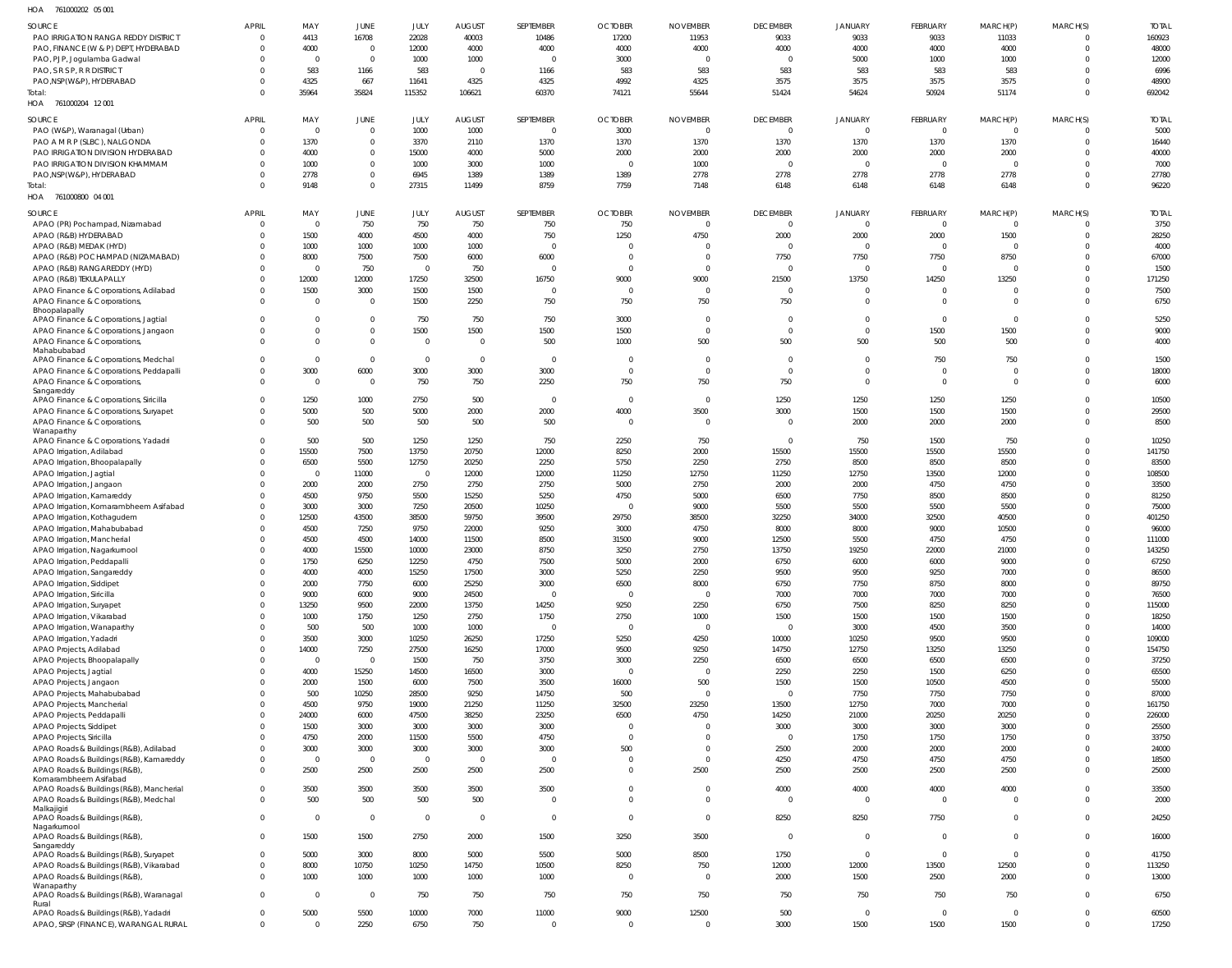| Н∩∆ | 761000202 05.001 |  |
|-----|------------------|--|

| HOA<br>761000202 05 001                                                  |                |                  |                         |                        |                        |                        |                         |                                  |                 |                |                |                |                               |                |
|--------------------------------------------------------------------------|----------------|------------------|-------------------------|------------------------|------------------------|------------------------|-------------------------|----------------------------------|-----------------|----------------|----------------|----------------|-------------------------------|----------------|
| <b>SOURCE</b>                                                            | <b>APRIL</b>   | MAY              | <b>JUNE</b>             | JULY                   | <b>AUGUST</b>          | SEPTEMBER              | <b>OCTOBER</b>          | <b>NOVEMBER</b>                  | <b>DECEMBER</b> | <b>JANUARY</b> | FEBRUARY       | MARCH(P)       | MARCH(S)                      | <b>TOTAL</b>   |
| PAO IRRIGATION RANGA REDDY DISTRICT                                      |                | 4413             | 16708                   | 22028                  | 40003                  | 10486                  | 17200                   | 11953                            | 9033            | 9033           | 9033           | 11033          | $\Omega$                      | 160923         |
| PAO, FINANCE (W & P) DEPT, HYDERABAD                                     |                | 4000             | $\overline{0}$          | 12000                  | 4000                   | 4000                   | 4000                    | 4000                             | 4000            | 4000           | 4000           | 4000           | $\overline{0}$                | 48000          |
| PAO, PJP, Jogulamba Gadwal                                               |                | $\Omega$         | $\overline{0}$          | 1000                   | 1000                   | $\overline{0}$         | 3000                    | $\overline{0}$                   | 0               | 5000           | 1000           | 1000           | $^{\circ}$                    | 12000          |
| PAO, S R S P, R R DISTRICT                                               |                | 583              | 1166                    | 583                    | $\overline{0}$         | 1166                   | 583                     | 583                              | 583             | 583            | 583            | 583            | $\Omega$                      | 6996           |
| PAO, NSP (W&P), HYDERABAD                                                |                | 4325             | 667                     | 11641                  | 4325                   | 4325                   | 4992                    | 4325                             | 3575            | 3575           | 3575           | 3575           | $\mathbf 0$                   | 48900          |
| Total:                                                                   |                | 35964            | 35824                   | 115352                 | 106621                 | 60370                  | 74121                   | 55644                            | 51424           | 54624          | 50924          | 51174          | $\Omega$                      | 692042         |
| HOA 761000204 12 001                                                     |                |                  |                         |                        |                        |                        |                         |                                  |                 |                |                |                |                               |                |
| SOURCE                                                                   | APRIL          | MAY              | <b>JUNE</b>             | JULY                   | <b>AUGUST</b>          | SEPTEMBER              | <b>OCTOBER</b>          | <b>NOVEMBER</b>                  | <b>DECEMBER</b> | <b>JANUARY</b> | FEBRUARY       | MARCH(P)       | MARCH(S)                      | <b>TOTAL</b>   |
| PAO (W&P), Waranagal (Urban)                                             | $\Omega$       | $\overline{0}$   | $\overline{0}$          | 1000                   | 1000                   | $\overline{0}$         | 3000                    | $\overline{0}$                   | $\mathbf 0$     | $\mathbf 0$    | $\mathbf 0$    | $\overline{0}$ | $\mathbf 0$                   | 5000           |
| PAO A M R P (SLBC), NALGONDA                                             |                | 1370             | $\mathbf 0$             | 3370                   | 2110                   | 1370                   | 1370                    | 1370                             | 1370            | 1370           | 1370           | 1370           | -0                            | 16440          |
| PAO IRRIGATION DIVISION HYDERABAD                                        |                | 4000             | $\mathbf 0$             | 15000                  | 4000                   | 5000                   | 2000                    | 2000                             | 2000            | 2000           | 2000           | 2000           | -0                            | 40000          |
| PAO IRRIGATION DIVISION KHAMMAM                                          |                | 1000             | $\mathbf 0$             | 1000                   | 3000                   | 1000                   | $\overline{\mathbf{0}}$ | 1000                             | $\overline{0}$  | $\mathbf 0$    | $\mathbf{0}$   | $\Omega$       | $\Omega$                      | 7000           |
| PAO, NSP (W&P), HYDERABAD                                                |                | 2778             | $\mathbf 0$             | 6945                   | 1389                   | 1389                   | 1389                    | 2778                             | 2778            | 2778           | 2778           | 2778           | -0                            | 27780          |
| Total:                                                                   |                | 9148             | $\mathbf 0$             | 27315                  | 11499                  | 8759                   | 7759                    | 7148                             | 6148            | 6148           | 6148           | 6148           | $\Omega$                      | 96220          |
| HOA<br>761000800 04 001                                                  |                |                  |                         |                        |                        |                        |                         |                                  |                 |                |                |                |                               |                |
|                                                                          |                |                  |                         |                        |                        |                        |                         |                                  |                 |                |                |                |                               |                |
| SOURCE                                                                   | APRIL          | MAY              | <b>JUNE</b>             | JULY                   | <b>AUGUST</b>          | SEPTEMBER              | <b>OCTOBER</b>          | <b>NOVEMBER</b>                  | <b>DECEMBER</b> | <b>JANUARY</b> | FEBRUARY       | MARCH(P)       | MARCH(S)                      | <b>TOTAL</b>   |
| APAO (PR) Pochampad, Nizamabad                                           | $\Omega$       | $\Omega$         | 750                     | 750                    | 750                    | 750                    | 750                     | $\Omega$                         | $\Omega$        | $\mathbf 0$    | $\overline{0}$ | $\Omega$       | $\Omega$                      | 3750           |
| APAO (R&B) HYDERABAD                                                     |                | 1500             | 4000                    | 4500                   | 4000                   | 750                    | 1250                    | 4750                             | 2000            | 2000           | 2000           | 1500           | $\mathbf 0$                   | 28250          |
| APAO (R&B) MEDAK (HYD)                                                   |                | 1000             | 1000                    | 1000                   | 1000                   | $\mathbf{C}$           | $\circ$                 | $\Omega$                         | $\Omega$        | $\mathbf 0$    | $\overline{0}$ |                | $\Omega$                      | 4000           |
| APAO (R&B) POCHAMPAD (NIZAMABAD)                                         |                | 8000             | 7500                    | 7500                   | 6000                   | 6000                   | $\overline{0}$          | 0                                | 7750            | 7750           | 7750           | 8750           | $^{\circ}$                    | 67000          |
| APAO (R&B) RANGAREDDY (HYD)                                              |                | $\Omega$         | 750                     | $\circ$                | 750                    | C                      | $\overline{0}$          | $\Omega$                         | $\Omega$        | $\mathbf 0$    | $\mathbf 0$    |                | $\Omega$                      | 1500           |
| APAO (R&B) TEKULAPALLY                                                   | $\Omega$       | 12000            | 12000                   | 17250                  | 32500                  | 16750                  | 9000                    | 9000                             | 21500           | 13750          | 14250          | 13250          | $\mathbf 0$                   | 171250         |
| APAO Finance & Corporations, Adilabad                                    | $\Omega$       | 1500             | 3000                    | 1500                   | 1500                   | $\overline{0}$         | $\overline{0}$          | $\overline{0}$                   | 0               | $\mathbf 0$    | $\mathbf 0$    |                | $^{\circ}$                    | 7500           |
| APAO Finance & Corporations,                                             | $\Omega$       | $\Omega$         | $\overline{0}$          | 1500                   | 2250                   | 750                    | 750                     | 750                              | 750             | $\mathbf 0$    | $\mathbf 0$    | $\Omega$       | $\Omega$                      | 6750           |
| Bhoopalapally<br>APAO Finance & Corporations, Jagtial                    | $\Omega$       | $\Omega$         | $\overline{0}$          | 750                    | 750                    | 750                    | 3000                    | $\overline{0}$                   | $\mathbf 0$     | $\mathbf 0$    | $\overline{0}$ | $\Omega$       | $\mathbf 0$                   | 5250           |
| APAO Finance & Corporations, Jangaon                                     |                | $\mathbf 0$      | $\mathbf 0$             | 1500                   | 1500                   | 1500                   | 1500                    | $\overline{0}$                   | $\mathbf 0$     | $\mathbf{0}$   | 1500           | 1500           | $\mathbf 0$                   | 9000           |
| APAO Finance & Corporations,                                             | $\Omega$       | $\Omega$         | $\mathbf 0$             | $\overline{0}$         | $\overline{0}$         | 500                    | 1000                    | 500                              | 500             | 500            | 500            | 500            | $\mathbf 0$                   | 4000           |
| Mahabubabad                                                              |                |                  |                         |                        |                        |                        |                         |                                  |                 |                |                |                |                               |                |
| APAO Finance & Corporations, Medchal                                     |                | $\Omega$         | $\overline{0}$          | $\overline{0}$         | $\overline{0}$         | $\overline{0}$         | $\overline{0}$          | $\mathbf 0$                      | $\mathbf 0$     | $\overline{0}$ | 750            | 750            | $\mathbf 0$                   | 1500           |
| APAO Finance & Corporations, Peddapalli                                  | $\Omega$       | 3000             | 6000                    | 3000                   | 3000                   | 3000                   | $\overline{0}$          | $\overline{0}$                   | $\Omega$        | $\mathbf 0$    | $\overline{0}$ |                | $\mathbf 0$                   | 18000          |
| APAO Finance & Corporations,                                             | $\Omega$       | $\Omega$         | $\overline{\mathbf{0}}$ | 750                    | 750                    | 2250                   | 750                     | 750                              | 750             | $\mathbf 0$    | $\overline{0}$ | $\Omega$       | $\mathbf 0$                   | 6000           |
| Sangareddy                                                               | $\Omega$       |                  |                         |                        |                        | $\overline{0}$         | $\overline{\mathbf{0}}$ | $\overline{0}$                   |                 |                |                |                | $\mathbf 0$                   |                |
| APAO Finance & Corporations, Siricilla                                   |                | 1250<br>5000     | 1000<br>500             | 2750<br>5000           | 500<br>2000            | 2000                   | 4000                    | 3500                             | 1250<br>3000    | 1250<br>1500   | 1250<br>1500   | 1250<br>1500   | $\mathbf 0$                   | 10500<br>29500 |
| APAO Finance & Corporations, Suryapet<br>APAO Finance & Corporations,    |                | 500              | 500                     | 500                    | 500                    | 500                    | $\overline{0}$          | $\overline{0}$                   | 0               | 2000           |                | 2000           | $\mathbf 0$                   | 8500           |
| Wanaparthy                                                               |                |                  |                         |                        |                        |                        |                         |                                  |                 |                | 2000           |                |                               |                |
| APAO Finance & Corporations, Yadadri                                     |                | 500              | 500                     | 1250                   | 1250                   | 750                    | 2250                    | 750                              | $\mathbf 0$     | 750            | 1500           | 750            | $\mathbf 0$                   | 10250          |
| APAO Irrigation, Adilabad                                                |                | 15500            | 7500                    | 13750                  | 20750                  | 12000                  | 8250                    | 2000                             | 15500           | 15500          | 15500          | 15500          | $\mathbf 0$                   | 141750         |
| APAO Irrigation, Bhoopalapally                                           |                | 6500             | 5500                    | 12750                  | 20250                  | 2250                   | 5750                    | 2250                             | 2750            | 8500           | 8500           | 8500           | $\mathbf 0$                   | 83500          |
| APAO Irrigation, Jagtial                                                 |                | $\Omega$         | 11000                   | $\circ$                | 12000                  | 12000                  | 11250                   | 12750                            | 11250           | 12750          | 13500          | 12000          | $\Omega$                      | 108500         |
| APAO Irrigation, Jangaon                                                 |                | 2000             | 2000                    | 2750                   | 2750                   | 2750                   | 5000                    | 2750                             | 2000            | 2000           | 4750           | 4750           | $\mathbf 0$                   | 33500          |
| APAO Irrigation, Kamareddy                                               |                | 4500             | 9750                    | 5500                   | 15250                  | 5250                   | 4750                    | 5000                             | 6500            | 7750           | 8500           | 8500           | $\Omega$                      | 81250          |
| APAO Irrigation, Komarambheem Asifabad                                   |                | 3000             | 3000                    | 7250                   | 20500                  | 10250                  | $\overline{0}$          | 9000                             | 5500            | 5500           | 5500           | 5500           | $\mathbf 0$                   | 75000          |
| APAO Irrigation, Kothagudem                                              |                | 12500            | 43500                   | 38500                  | 59750                  | 39500                  | 29750                   | 38500                            | 32250           | 34000          | 32500          | 40500          | $\Omega$                      | 401250         |
| APAO Irrigation, Mahabubabad                                             |                | 4500             | 7250                    | 9750                   | 22000                  | 9250                   | 3000                    | 4750                             | 8000            | 8000           | 9000           | 10500          | $\Omega$                      | 96000          |
| APAO Irrigation, Mancherial                                              |                | 4500             | 4500                    | 14000                  | 11500                  | 8500                   | 31500                   | 9000                             | 12500           | 5500           | 4750           | 4750           | $\Omega$                      | 111000         |
| APAO Irrigation, Nagarkurnool                                            | $\Omega$       | 4000             | 15500                   | 10000                  | 23000                  | 8750                   | 3250                    | 2750                             | 13750           | 19250          | 22000          | 21000          | $\Omega$                      | 143250         |
| APAO Irrigation, Peddapalli                                              | $\Omega$       | 1750             | 6250                    | 12250                  | 4750                   | 7500                   | 5000                    | 2000                             | 6750            | 6000           | 6000           | 9000           | $\mathbf 0$                   | 67250          |
| APAO Irrigation, Sangareddy                                              | $\Omega$       | 4000             | 4000                    | 15250                  | 17500                  | 3000                   | 5250                    | 2250                             | 9500            | 9500           | 9250           | 7000           | $\mathbf 0$                   | 86500          |
| APAO Irrigation, Siddipet                                                | $\Omega$       | 2000             | 7750                    | 6000                   | 25250                  | 3000                   | 6500                    | 8000                             | 6750            | 7750           | 8750           | 8000           | $\mathbf 0$                   | 89750          |
| APAO Irrigation, Siricilla                                               | $\Omega$       | 9000             | 6000                    | 9000                   | 24500                  | $\overline{0}$         | $\overline{0}$          | $\overline{0}$                   | 7000            | 7000           | 7000           | 7000           | $\mathbf 0$                   | 76500          |
| APAO Irrigation, Suryapet                                                | $\Omega$       | 13250            | 9500                    | 22000                  | 13750                  | 14250                  | 9250                    | 2250                             | 6750            | 7500           | 8250           | 8250           | $\mathbf 0$                   | 115000         |
| APAO Irrigation, Vikarabad                                               | $\Omega$       | 1000             | 1750                    | 1250                   | 2750                   | 1750                   | 2750                    | 1000                             | 1500            | 1500           | 1500           | 1500           | $\mathbf 0$                   | 18250          |
| APAO Irrigation, Wanaparthy                                              | $\Omega$       | 500              | 500                     | 1000                   | 1000                   | $\overline{0}$         | $\overline{0}$          | $\overline{0}$                   | $\overline{0}$  | 3000           | 4500           | 3500           | $\mathbf 0$                   | 14000          |
| APAO Irrigation, Yadadri                                                 | $\Omega$       | 3500             | 3000                    | 10250                  | 26250                  | 17250                  | 5250                    | 4250                             | 10000           | 10250          | 9500           | 9500           | $\mathbf 0$                   | 109000         |
| APAO Projects, Adilabad                                                  | $\Omega$       | 14000            | 7250                    | 27500                  | 16250                  | 17000                  | 9500                    | 9250                             | 14750           | 12750          | 13250          | 13250          | $\mathbf 0$                   | 154750         |
| APAO Projects, Bhoopalapally                                             | $\Omega$       | $\Omega$         | $\overline{0}$          | 1500                   | 750                    | 3750                   | 3000                    | 2250                             | 6500            | 6500           | 6500           | 6500           | $\mathbf 0$                   | 37250          |
| APAO Projects, Jagtial                                                   |                | 4000             | 15250                   | 14500                  | 16500                  | 3000                   | $\overline{0}$          | $\overline{0}$                   | 2250            | 2250           | 1500           | 6250           | $\mathbf 0$                   | 65500          |
| APAO Projects, Jangaon                                                   |                | 2000             | 1500                    | 6000                   | 7500                   | 3500                   | 16000                   | 500                              | 1500            | 1500           | 10500          | 4500           | $\mathbf 0$                   | 55000          |
| APAO Projects, Mahabubabad                                               |                | 500              | 10250                   | 28500                  | 9250                   | 14750                  | 500                     | $\overline{0}$                   | $\mathbf 0$     | 7750           | 7750           | 7750           | $\overline{0}$                | 87000          |
| APAO Projects, Mancherial                                                | $\Omega$       | 4500             | 9750                    | 19000                  | 21250                  | 11250                  | 32500                   | 23250                            | 13500           | 12750          | 7000           | 7000           | $\mathbf 0$                   | 161750         |
| APAO Projects, Peddapalli                                                | $\Omega$       | 24000            | 6000                    | 47500                  | 38250                  | 23250                  | 6500                    | 4750                             | 14250           | 21000          | 20250          | 20250          | $\mathbf 0$                   | 226000         |
| APAO Projects, Siddipet                                                  | $\Omega$       | 1500             | 3000                    | 3000                   | 3000                   | 3000                   | $\overline{0}$          | $\overline{0}$                   | 3000            | 3000           | 3000           | 3000           | $\mathbf 0$                   | 25500          |
| APAO Projects, Siricilla                                                 | $\Omega$       | 4750             | 2000                    | 11500                  | 5500                   | 4750                   | $\overline{0}$          | $\overline{0}$<br>$\overline{0}$ | $\mathbf 0$     | 1750           | 1750           | 1750           | $\mathbf 0$                   | 33750          |
| APAO Roads & Buildings (R&B), Adilabad                                   | $\Omega$       | 3000<br>$\Omega$ | 3000<br>$\overline{0}$  | 3000<br>$\overline{0}$ | 3000<br>$\overline{0}$ | 3000<br>$\overline{0}$ | 500<br>$\overline{0}$   | $\overline{0}$                   | 2500<br>4250    | 2000<br>4750   | 2000<br>4750   | 2000<br>4750   | $\overline{0}$<br>$\mathbf 0$ | 24000<br>18500 |
| APAO Roads & Buildings (R&B), Kamareddy<br>APAO Roads & Buildings (R&B), | $\Omega$       | 2500             | 2500                    | 2500                   | 2500                   | 2500                   | $\overline{0}$          | 2500                             | 2500            | 2500           | 2500           | 2500           | $\overline{0}$                | 25000          |
| Komarambheem Asifabad                                                    |                |                  |                         |                        |                        |                        |                         |                                  |                 |                |                |                |                               |                |
| APAO Roads & Buildings (R&B), Mancherial                                 | $\Omega$       | 3500             | 3500                    | 3500                   | 3500                   | 3500                   | $\overline{0}$          | $\overline{0}$                   | 4000            | 4000           | 4000           | 4000           | $\mathbf 0$                   | 33500          |
| APAO Roads & Buildings (R&B), Medchal                                    | $\Omega$       | 500              | 500                     | 500                    | 500                    | $\overline{0}$         | $\overline{0}$          | $\overline{0}$                   | $\overline{0}$  | $\mathbf 0$    | $\mathbf 0$    | $\overline{0}$ | $\mathbf 0$                   | 2000           |
| Malkajigiri                                                              |                |                  |                         |                        |                        |                        |                         |                                  |                 |                |                |                |                               |                |
| APAO Roads & Buildings (R&B),                                            | $\overline{0}$ | $\Omega$         | $\overline{0}$          | $\mathbf 0$            | $\overline{0}$         | $\overline{0}$         | $\overline{0}$          | $\overline{0}$                   | 8250            | 8250           | 7750           | $\overline{0}$ | $\mathbf 0$                   | 24250          |
| Nagarkurnool<br>APAO Roads & Buildings (R&B),                            | $\Omega$       | 1500             | 1500                    | 2750                   | 2000                   | 1500                   | 3250                    | 3500                             | $\overline{0}$  | $\mathbf 0$    | $\overline{0}$ | $\overline{0}$ | $\mathbf 0$                   | 16000          |
| Sangareddy                                                               |                |                  |                         |                        |                        |                        |                         |                                  |                 |                |                |                |                               |                |
| APAO Roads & Buildings (R&B), Suryapet                                   | $\Omega$       | 5000             | 3000                    | 8000                   | 5000                   | 5500                   | 5000                    | 8500                             | 1750            | $\mathbf 0$    | $\mathbf{0}$   | $\mathbf 0$    | $\mathbf 0$                   | 41750          |
| APAO Roads & Buildings (R&B), Vikarabad                                  |                | 8000             | 10750                   | 10250                  | 14750                  | 10500                  | 8250                    | 750                              | 12000           | 12000          | 13500          | 12500          | $\mathbf 0$                   | 113250         |
| APAO Roads & Buildings (R&B),                                            | $\Omega$       | 1000             | 1000                    | 1000                   | 1000                   | 1000                   | $\overline{0}$          | $\overline{0}$                   | 2000            | 1500           | 2500           | 2000           | $\mathbf 0$                   | 13000          |
| Wanaparthy                                                               |                |                  |                         |                        |                        |                        |                         |                                  |                 |                |                |                |                               |                |
| APAO Roads & Buildings (R&B), Waranagal<br>Rural                         | $\Omega$       | $\Omega$         | $\overline{0}$          | 750                    | 750                    | 750                    | 750                     | 750                              | 750             | 750            | 750            | 750            | $\mathbf 0$                   | 6750           |
| APAO Roads & Buildings (R&B), Yadadri                                    | $\Omega$       | 5000             | 5500                    | 10000                  | 7000                   | 11000                  | 9000                    | 12500                            | 500             | $\mathbf 0$    | $\overline{0}$ | $\overline{0}$ | $\mathbf 0$                   | 60500          |
| APAO, SRSP (FINANCE), WARANGAL RURAL                                     | $\Omega$       | $\Omega$         | 2250                    | 6750                   | 750                    | $\mathbf 0$            | $\overline{0}$          | $\overline{0}$                   | 3000            | 1500           | 1500           | 1500           | $\mathbf 0$                   | 17250          |
|                                                                          |                |                  |                         |                        |                        |                        |                         |                                  |                 |                |                |                |                               |                |